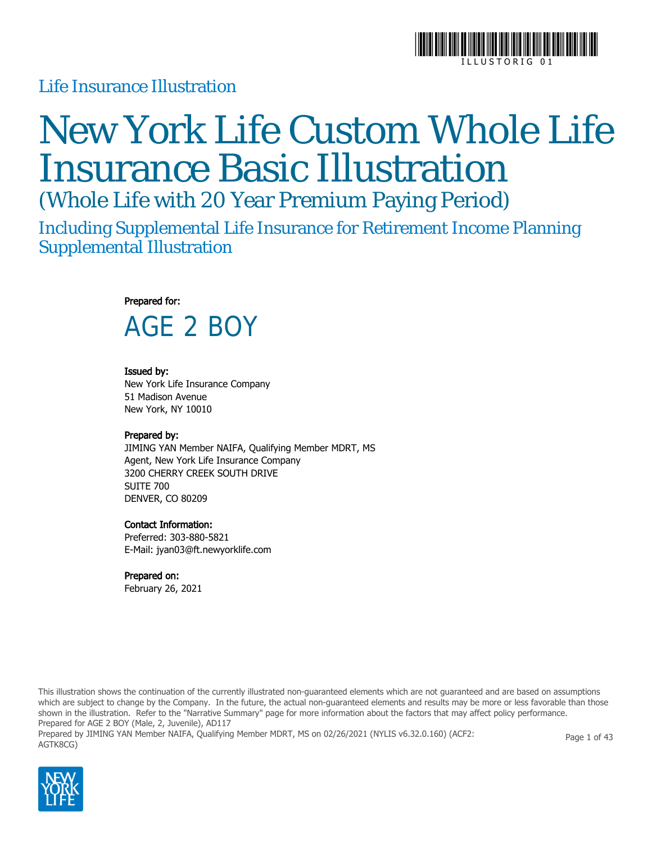

### Life Insurance Illustration

# New York Life Custom Whole Life Insurance Basic Illustration

(Whole Life with 20 Year Premium Paying Period)

Including Supplemental Life Insurance for Retirement Income Planning Supplemental Illustration

#### Prepared for:



#### Issued by:

New York Life Insurance Company 51 Madison Avenue New York, NY 10010

#### Prepared by:

JIMING YAN Member NAIFA, Qualifying Member MDRT, MS Agent, New York Life Insurance Company 3200 CHERRY CREEK SOUTH DRIVE SUITE 700 DENVER, CO 80209

#### Contact Information:

Preferred: 303-880-5821 E-Mail: jyan03@ft.newyorklife.com

#### Prepared on:

February 26, 2021

This illustration shows the continuation of the currently illustrated non-guaranteed elements which are not guaranteed and are based on assumptions which are subject to change by the Company. In the future, the actual non-guaranteed elements and results may be more or less favorable than those shown in the illustration. Refer to the "Narrative Summary" page for more information about the factors that may affect policy performance. Prepared for AGE 2 BOY (Male, 2, Juvenile), AD117

Prepared by JIMING YAN Member NAIFA, Qualifying Member MDRT, MS on 02/26/2021 (NYLIS v6.32.0.160) (ACF2: AGTK8CG)



Page 1 of 43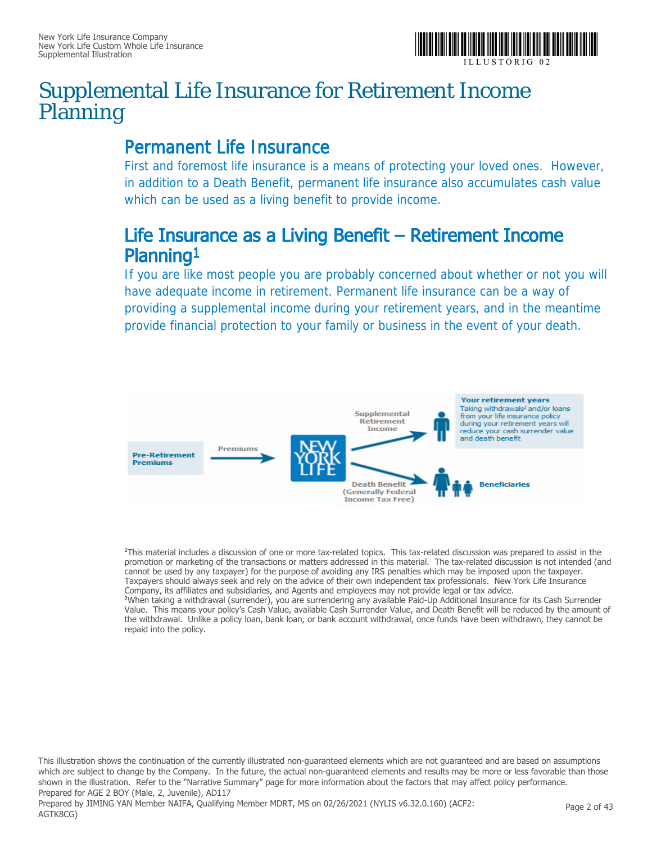

## Supplemental Life Insurance for Retirement Income Planning

### Permanent Life Insurance

First and foremost life insurance is a means of protecting your loved ones. However, in addition to a Death Benefit, permanent life insurance also accumulates cash value which can be used as a living benefit to provide income.

### Life Insurance as a Living Benefit – Retirement Income Planning1

If you are like most people you are probably concerned about whether or not you will have adequate income in retirement. Permanent life insurance can be a way of providing a supplemental income during your retirement years, and in the meantime provide financial protection to your family or business in the event of your death.



<sup>1</sup>This material includes a discussion of one or more tax-related topics. This tax-related discussion was prepared to assist in the promotion or marketing of the transactions or matters addressed in this material. The tax-related discussion is not intended (and cannot be used by any taxpayer) for the purpose of avoiding any IRS penalties which may be imposed upon the taxpayer. Taxpayers should always seek and rely on the advice of their own independent tax professionals. New York Life Insurance Company, its affiliates and subsidiaries, and Agents and employees may not provide legal or tax advice. <sup>2</sup>When taking a withdrawal (surrender), you are surrendering any available Paid-Up Additional Insurance for its Cash Surrender Value. This means your policy's Cash Value, available Cash Surrender Value, and Death Benefit will be reduced by the amount of the withdrawal. Unlike a policy loan, bank loan, or bank account withdrawal, once funds have been withdrawn, they cannot be repaid into the policy.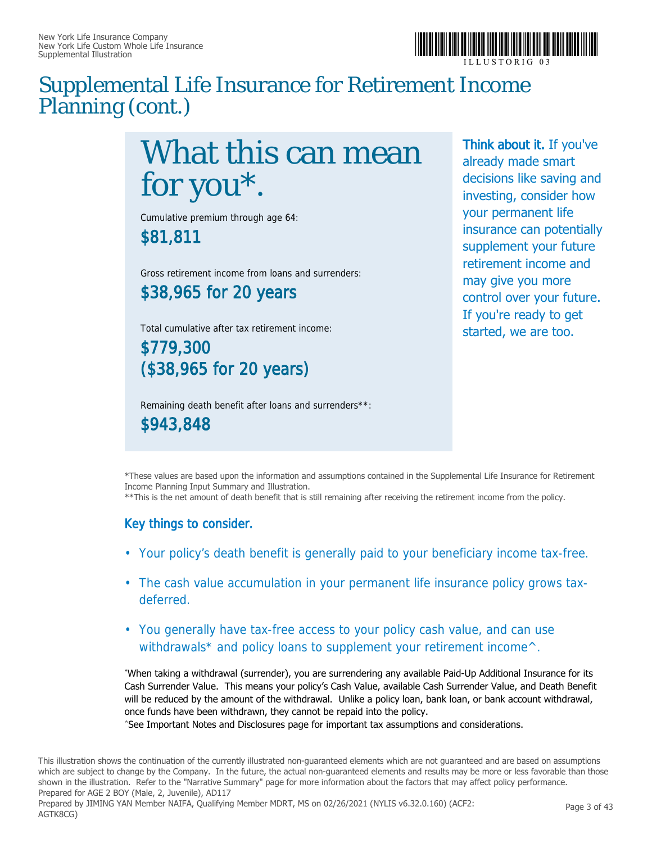

## Supplemental Life Insurance for Retirement Income Planning (cont.)

# What this can mean for you\*.

Cumulative premium through age 64:

\$81,811

Gross retirement income from loans and surrenders: \$38,965 for 20 years

Total cumulative after tax retirement income:

\$779,300 (\$38,965 for 20 years)

Remaining death benefit after loans and surrenders\*\*: \$943,848

Think about it. If you've already made smart decisions like saving and investing, consider how your permanent life insurance can potentially supplement your future retirement income and may give you more control over your future. If you're ready to get started, we are too.

\*These values are based upon the information and assumptions contained in the Supplemental Life Insurance for Retirement Income Planning Input Summary and Illustration.

\*\*This is the net amount of death benefit that is still remaining after receiving the retirement income from the policy.

#### Key things to consider.

- Your policy's death benefit is generally paid to your beneficiary income tax-free.
- The cash value accumulation in your permanent life insurance policy grows taxdeferred.
- You generally have tax-free access to your policy cash value, and can use withdrawals\* and policy loans to supplement your retirement income<sup> $\wedge$ </sup>.

\*When taking a withdrawal (surrender), you are surrendering any available Paid-Up Additional Insurance for its Cash Surrender Value. This means your policy's Cash Value, available Cash Surrender Value, and Death Benefit will be reduced by the amount of the withdrawal. Unlike a policy loan, bank loan, or bank account withdrawal, once funds have been withdrawn, they cannot be repaid into the policy.

^See Important Notes and Disclosures page for important tax assumptions and considerations.

This illustration shows the continuation of the currently illustrated non-guaranteed elements which are not guaranteed and are based on assumptions which are subject to change by the Company. In the future, the actual non-guaranteed elements and results may be more or less favorable than those shown in the illustration. Refer to the "Narrative Summary" page for more information about the factors that may affect policy performance. Prepared for AGE 2 BOY (Male, 2, Juvenile), AD117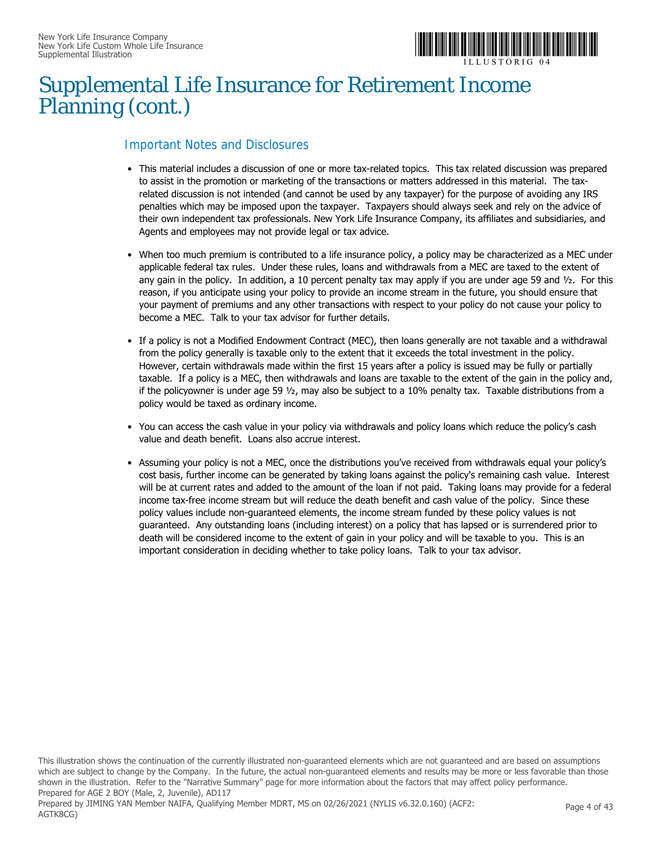

## Supplemental Life Insurance for Retirement Income Planning (cont.)

#### Important Notes and Disclosures

- This material includes a discussion of one or more tax-related topics. This tax related discussion was prepared to assist in the promotion or marketing of the transactions or matters addressed in this material. The taxrelated discussion is not intended (and cannot be used by any taxpayer) for the purpose of avoiding any IRS penalties which may be imposed upon the taxpayer. Taxpayers should always seek and rely on the advice of their own independent tax professionals. New York Life Insurance Company, its affiliates and subsidiaries, and Agents and employees may not provide legal or tax advice.
- When too much premium is contributed to a life insurance policy, a policy may be characterized as a MEC under applicable federal tax rules. Under these rules, loans and withdrawals from a MEC are taxed to the extent of any gain in the policy. In addition, a 10 percent penalty tax may apply if you are under age 59 and ½. For this reason, if you anticipate using your policy to provide an income stream in the future, you should ensure that your payment of premiums and any other transactions with respect to your policy do not cause your policy to become a MEC. Talk to your tax advisor for further details.
- If a policy is not a Modified Endowment Contract (MEC), then loans generally are not taxable and a withdrawal from the policy generally is taxable only to the extent that it exceeds the total investment in the policy. However, certain withdrawals made within the first 15 years after a policy is issued may be fully or partially taxable. If a policy is a MEC, then withdrawals and loans are taxable to the extent of the gain in the policy and, if the policyowner is under age 59 ½, may also be subject to a 10% penalty tax. Taxable distributions from a policy would be taxed as ordinary income.
- You can access the cash value in your policy via withdrawals and policy loans which reduce the policy's cash value and death benefit. Loans also accrue interest.
- Assuming your policy is not a MEC, once the distributions you've received from withdrawals equal your policy's cost basis, further income can be generated by taking loans against the policy's remaining cash value. Interest will be at current rates and added to the amount of the loan if not paid. Taking loans may provide for a federal income tax-free income stream but will reduce the death benefit and cash value of the policy. Since these policy values include non-guaranteed elements, the income stream funded by these policy values is not guaranteed. Any outstanding loans (including interest) on a policy that has lapsed or is surrendered prior to death will be considered income to the extent of gain in your policy and will be taxable to you. This is an important consideration in deciding whether to take policy loans. Talk to your tax advisor.

This illustration shows the continuation of the currently illustrated non-guaranteed elements which are not guaranteed and are based on assumptions which are subject to change by the Company. In the future, the actual non-guaranteed elements and results may be more or less favorable than those shown in the illustration. Refer to the "Narrative Summary" page for more information about the factors that may affect policy performance. Prepared for AGE 2 BOY (Male, 2, Juvenile), AD117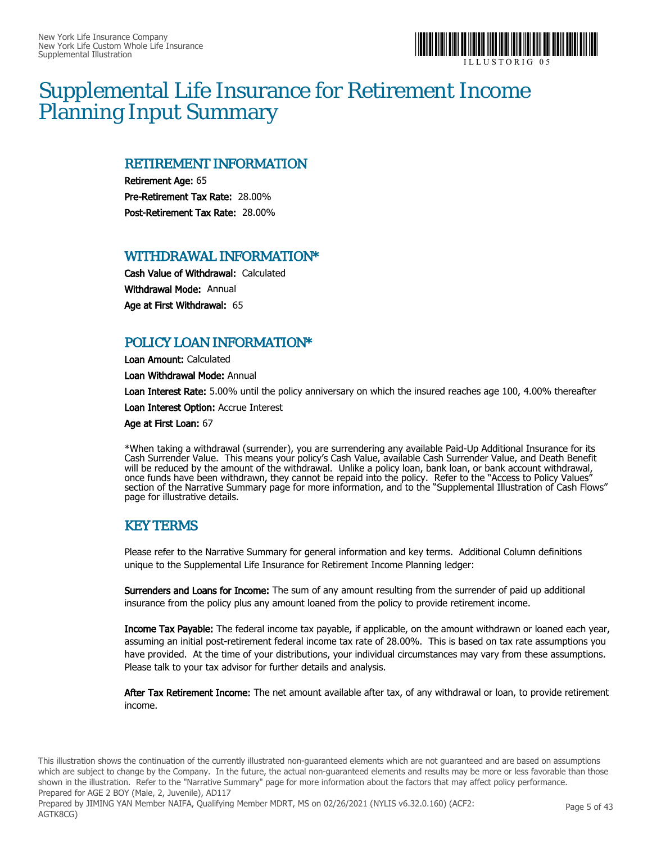

### Supplemental Life Insurance for Retirement Income Planning Input Summary

#### RETIREMENT INFORMATION

Retirement Age: 65 Pre-Retirement Tax Rate: 28.00% Post-Retirement Tax Rate: 28.00%

#### WITHDRAWAL INFORMATION\*

Cash Value of Withdrawal: Calculated Withdrawal Mode: Annual Age at First Withdrawal: 65

#### POLICY LOAN INFORMATION\*

Loan Amount: Calculated

Loan Withdrawal Mode: Annual

Loan Interest Rate: 5.00% until the policy anniversary on which the insured reaches age 100, 4.00% thereafter

Loan Interest Option: Accrue Interest

Age at First Loan: 67

\*When taking a withdrawal (surrender), you are surrendering any available Paid-Up Additional Insurance for its Cash Surrender Value. This means your policy's Cash Value, available Cash Surrender Value, and Death Benefit will be reduced by the amount of the withdrawal. Unlike a policy loan, bank loan, or bank account withdrawal, once funds have been withdrawn, they cannot be repaid into the policy. Refer to the "Access to Policy Values" section of the Narrative Summary page for more information, and to the "Supplemental Illustration of Cash Flows" page for illustrative details.

#### KEY TERMS

Please refer to the Narrative Summary for general information and key terms. Additional Column definitions unique to the Supplemental Life Insurance for Retirement Income Planning ledger:

Surrenders and Loans for Income: The sum of any amount resulting from the surrender of paid up additional insurance from the policy plus any amount loaned from the policy to provide retirement income.

Income Tax Payable: The federal income tax payable, if applicable, on the amount withdrawn or loaned each year, assuming an initial post-retirement federal income tax rate of 28.00%. This is based on tax rate assumptions you have provided. At the time of your distributions, your individual circumstances may vary from these assumptions. Please talk to your tax advisor for further details and analysis.

After Tax Retirement Income: The net amount available after tax, of any withdrawal or loan, to provide retirement income.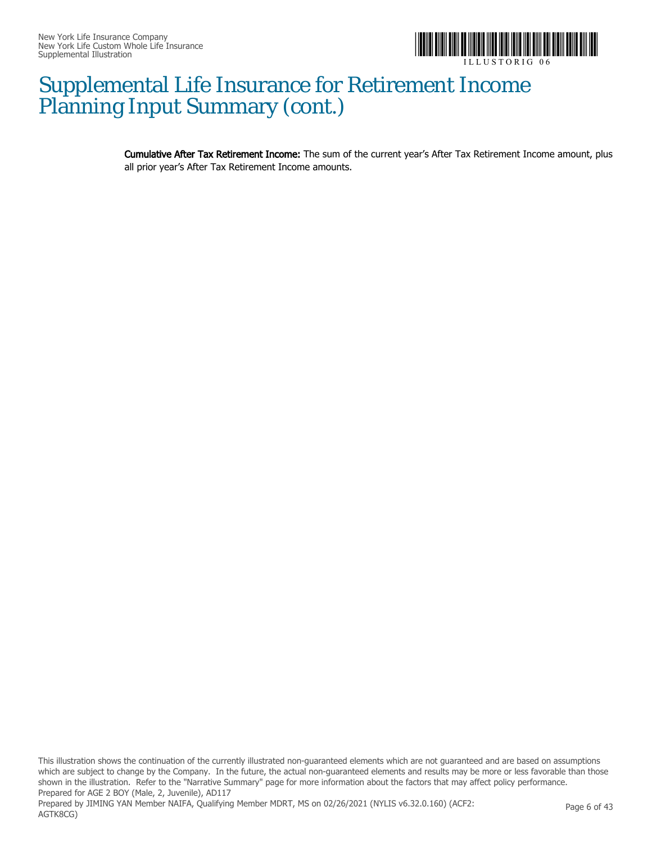

## Supplemental Life Insurance for Retirement Income Planning Input Summary (cont.)

Cumulative After Tax Retirement Income: The sum of the current year's After Tax Retirement Income amount, plus all prior year's After Tax Retirement Income amounts.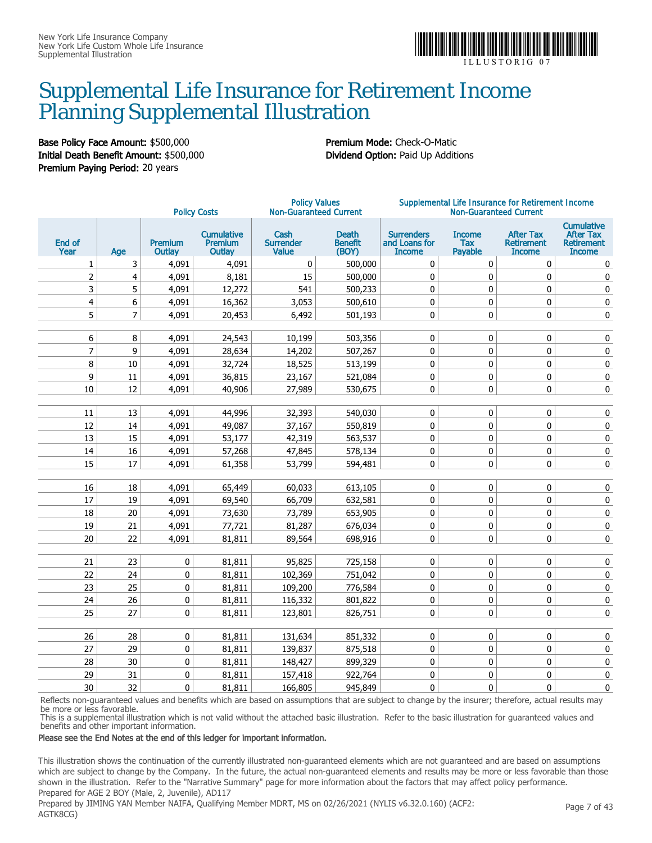

### Supplemental Life Insurance for Retirement Income Planning Supplemental Illustration

Base Policy Face Amount: \$500,000 Premium Mode: Check-O-Matic Initial Death Benefit Amount: \$500,000 Dividend Option: Paid Up Additions Premium Paying Period: 20 years

| <b>Policy Costs</b>     |        | <b>Policy Values</b><br><b>Non-Guaranteed Current</b> |                                                      | Supplemental Life Insurance for Retirement Income<br><b>Non-Guaranteed Current</b> |                                         |                                                     |                                 |                                                        |                                                                             |
|-------------------------|--------|-------------------------------------------------------|------------------------------------------------------|------------------------------------------------------------------------------------|-----------------------------------------|-----------------------------------------------------|---------------------------------|--------------------------------------------------------|-----------------------------------------------------------------------------|
| End of<br>Year          | Age    | Premium<br>Outlay                                     | <b>Cumulative</b><br><b>Premium</b><br><b>Outlay</b> | Cash<br><b>Surrender</b><br>Value                                                  | <b>Death</b><br><b>Benefit</b><br>(BOY) | <b>Surrenders</b><br>and Loans for<br><b>Income</b> | <b>Income</b><br>Tax<br>Payable | <b>After Tax</b><br><b>Retirement</b><br><b>Income</b> | <b>Cumulative</b><br><b>After Tax</b><br><b>Retirement</b><br><b>Income</b> |
| 1                       | 3      | 4.091                                                 | 4.091                                                | $\mathbf 0$                                                                        | 500,000                                 | 0                                                   | $\mathbf{0}$                    | 0                                                      | 0                                                                           |
| $\overline{2}$          | 4      | 4,091                                                 | 8,181                                                | 15                                                                                 | 500,000                                 | 0                                                   | $\mathbf 0$                     | 0                                                      | 0                                                                           |
| 3                       | 5      | 4,091                                                 | 12,272                                               | 541                                                                                | 500,233                                 | $\mathbf 0$                                         | $\mathbf 0$                     | $\pmb{0}$                                              | 0                                                                           |
| $\overline{\mathbf{4}}$ | 6      | 4,091                                                 | 16,362                                               | 3,053                                                                              | 500,610                                 | 0                                                   | 0                               | 0                                                      | 0                                                                           |
| 5                       | 7      | 4,091                                                 | 20,453                                               | 6,492                                                                              | 501,193                                 | 0                                                   | 0                               | $\pmb{0}$                                              | $\pmb{0}$                                                                   |
|                         |        |                                                       |                                                      |                                                                                    |                                         |                                                     |                                 |                                                        |                                                                             |
| 6                       | 8      | 4,091                                                 | 24,543                                               | 10,199                                                                             | 503,356                                 | $\mathbf 0$                                         | 0                               | 0                                                      | 0                                                                           |
| $\overline{7}$          | 9      | 4,091                                                 | 28,634                                               | 14,202                                                                             | 507,267                                 | $\mathbf 0$                                         | 0                               | $\pmb{0}$                                              | 0                                                                           |
| 8                       | 10     | 4,091                                                 | 32,724                                               | 18,525                                                                             | 513,199                                 | $\mathbf 0$                                         | $\mathbf 0$                     | $\pmb{0}$                                              | 0                                                                           |
| 9                       | $11\,$ | 4,091                                                 | 36,815                                               | 23,167                                                                             | 521,084                                 | 0                                                   | $\mathbf 0$                     | $\pmb{0}$                                              | 0                                                                           |
| 10                      | 12     | 4,091                                                 | 40,906                                               | 27,989                                                                             | 530,675                                 | 0                                                   | $\mathbf 0$                     | $\pmb{0}$                                              | 0                                                                           |
|                         |        |                                                       |                                                      |                                                                                    |                                         |                                                     |                                 |                                                        |                                                                             |
| $11\,$                  | 13     | 4,091                                                 | 44,996                                               | 32,393                                                                             | 540,030                                 | 0                                                   | 0                               | $\pmb{0}$                                              | 0                                                                           |
| 12                      | 14     | 4,091                                                 | 49,087                                               | 37,167                                                                             | 550,819                                 | 0                                                   | $\mathbf 0$                     | $\pmb{0}$                                              | 0                                                                           |
| 13                      | 15     | 4,091                                                 | 53,177                                               | 42,319                                                                             | 563,537                                 | 0                                                   | $\mathbf 0$                     | $\pmb{0}$                                              | $\pmb{0}$                                                                   |
| 14                      | 16     | 4,091                                                 | 57,268                                               | 47,845                                                                             | 578,134                                 | 0                                                   | $\pmb{0}$                       | $\pmb{0}$                                              | $\pmb{0}$                                                                   |
| 15                      | 17     | 4,091                                                 | 61,358                                               | 53,799                                                                             | 594,481                                 | 0                                                   | 0                               | $\pmb{0}$                                              | 0                                                                           |
|                         |        |                                                       |                                                      |                                                                                    |                                         |                                                     |                                 |                                                        |                                                                             |
| 16                      | 18     | 4,091                                                 | 65,449                                               | 60,033                                                                             | 613,105                                 | 0                                                   | 0                               | 0                                                      | 0                                                                           |
| 17                      | 19     | 4,091                                                 | 69,540                                               | 66,709                                                                             | 632,581                                 | $\pmb{0}$                                           | $\pmb{0}$                       | $\pmb{0}$                                              | 0                                                                           |
| 18                      | 20     | 4,091                                                 | 73,630                                               | 73,789                                                                             | 653,905                                 | 0                                                   | $\mathbf 0$                     | $\mathbf 0$                                            | 0                                                                           |
| 19                      | 21     | 4,091                                                 | 77,721                                               | 81,287                                                                             | 676,034                                 | 0                                                   | $\pmb{0}$                       | 0                                                      | 0                                                                           |
| 20                      | 22     | 4,091                                                 | 81,811                                               | 89,564                                                                             | 698,916                                 | $\mathbf 0$                                         | 0                               | 0                                                      | 0                                                                           |
|                         |        |                                                       |                                                      |                                                                                    |                                         |                                                     |                                 |                                                        |                                                                             |
| 21                      | 23     | 0                                                     | 81,811                                               | 95,825                                                                             | 725,158                                 | 0                                                   | $\pmb{0}$                       | 0                                                      | 0                                                                           |
| 22                      | 24     | 0                                                     | 81,811                                               | 102,369                                                                            | 751,042                                 | 0                                                   | $\pmb{0}$                       | $\pmb{0}$                                              | $\pmb{0}$                                                                   |
| 23                      | 25     | 0                                                     | 81,811                                               | 109,200                                                                            | 776,584                                 | 0                                                   | $\pmb{0}$                       | $\pmb{0}$                                              | 0                                                                           |
| 24                      | 26     | 0                                                     | 81,811                                               | 116,332                                                                            | 801,822                                 | $\pmb{0}$                                           | $\pmb{0}$                       | $\pmb{0}$                                              | 0                                                                           |
| 25                      | 27     | 0                                                     | 81,811                                               | 123,801                                                                            | 826,751                                 | 0                                                   | $\mathbf{0}$                    | $\mathbf 0$                                            | 0                                                                           |
|                         |        |                                                       |                                                      |                                                                                    |                                         |                                                     |                                 |                                                        |                                                                             |
| 26                      | 28     | 0                                                     | 81,811                                               | 131,634                                                                            | 851,332                                 | 0                                                   | 0                               | 0                                                      | 0                                                                           |
| 27                      | 29     | 0                                                     | 81,811                                               | 139,837                                                                            | 875,518                                 | 0                                                   | $\pmb{0}$                       | $\pmb{0}$                                              | 0                                                                           |
| 28                      | 30     | 0                                                     | 81,811                                               | 148,427                                                                            | 899,329                                 | $\mathbf 0$                                         | $\mathbf 0$                     | 0                                                      | 0                                                                           |
| 29                      | 31     | 0                                                     | 81,811                                               | 157,418                                                                            | 922,764                                 | $\pmb{0}$                                           | 0                               | $\pmb{0}$                                              | $\pmb{0}$                                                                   |
| 30                      | 32     | 0                                                     | 81,811                                               | 166,805                                                                            | 945,849                                 | $\mathbf 0$                                         | 0                               | 0                                                      | 0                                                                           |

Reflects non-guaranteed values and benefits which are based on assumptions that are subject to change by the insurer; therefore, actual results may be more or less favorable.

This is a supplemental illustration which is not valid without the attached basic illustration. Refer to the basic illustration for guaranteed values and benefits and other important information.

#### Please see the End Notes at the end of this ledger for important information.

This illustration shows the continuation of the currently illustrated non-guaranteed elements which are not guaranteed and are based on assumptions which are subject to change by the Company. In the future, the actual non-guaranteed elements and results may be more or less favorable than those shown in the illustration. Refer to the "Narrative Summary" page for more information about the factors that may affect policy performance. Prepared for AGE 2 BOY (Male, 2, Juvenile), AD117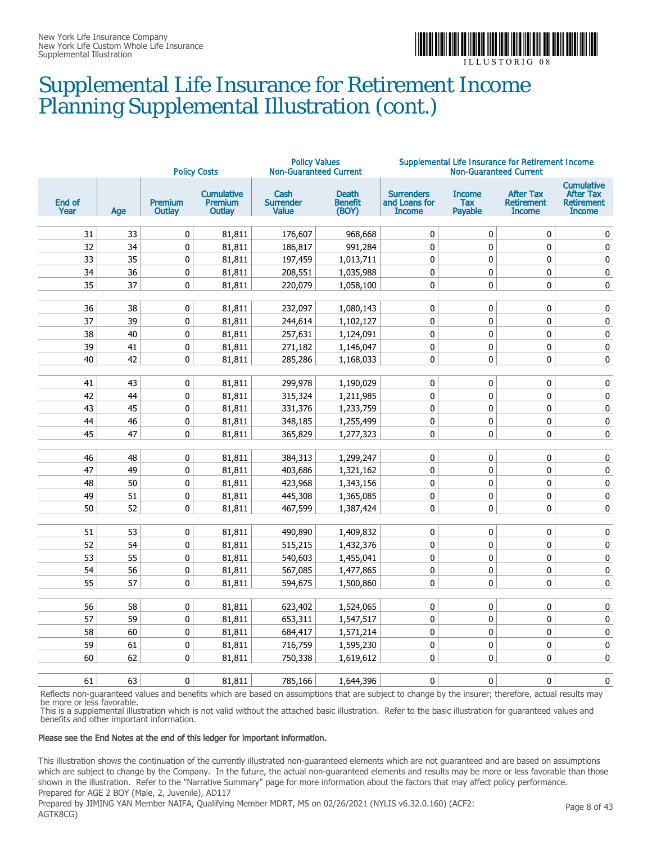

## Supplemental Life Insurance for Retirement Income Planning Supplemental Illustration (cont.)

|                |          |                          | <b>Policy Costs</b>                           | <b>Policy Values</b><br><b>Non-Guaranteed Current</b> |                                         |                                                     | <b>Non-Guaranteed Current</b>                 | Supplemental Life Insurance for Retirement Income      |                                                                             |
|----------------|----------|--------------------------|-----------------------------------------------|-------------------------------------------------------|-----------------------------------------|-----------------------------------------------------|-----------------------------------------------|--------------------------------------------------------|-----------------------------------------------------------------------------|
| End of<br>Year | Age      | <b>Premium</b><br>Outlay | <b>Cumulative</b><br>Premium<br><b>Outlay</b> | Cash<br><b>Surrender</b><br><b>Value</b>              | <b>Death</b><br><b>Benefit</b><br>(BOY) | <b>Surrenders</b><br>and Loans for<br><b>Income</b> | <b>Income</b><br><b>Tax</b><br><b>Payable</b> | <b>After Tax</b><br><b>Retirement</b><br><b>Income</b> | <b>Cumulative</b><br><b>After Tax</b><br><b>Retirement</b><br><b>Income</b> |
| 31             | 33       | 0                        | 81,811                                        | 176,607                                               | 968,668                                 | $\mathbf 0$                                         | $\mathbf 0$                                   | $\pmb{0}$                                              | $\mathbf 0$                                                                 |
| 32             | 34       | $\mathbf 0$              | 81,811                                        | 186,817                                               | 991,284                                 | $\Omega$                                            | $\overline{0}$                                | $\mathbf 0$                                            | $\pmb{0}$                                                                   |
| 33             | 35       | 0                        | 81,811                                        | 197,459                                               | 1,013,711                               | 0                                                   | 0                                             | 0                                                      | $\pmb{0}$                                                                   |
| 34             | 36       | 0                        | 81,811                                        | 208,551                                               | 1,035,988                               | 0                                                   | 0                                             | 0                                                      | 0                                                                           |
| 35             | 37       | 0                        | 81,811                                        | 220,079                                               | 1,058,100                               | $\mathbf 0$                                         | 0                                             | 0                                                      | $\pmb{0}$                                                                   |
|                |          |                          |                                               |                                                       |                                         |                                                     |                                               |                                                        |                                                                             |
| 36             | 38       | 0                        | 81,811                                        | 232,097                                               | 1,080,143                               | $\pmb{0}$                                           | 0                                             | $\pmb{0}$                                              | $\pmb{0}$                                                                   |
| 37             | 39       | 0                        | 81,811                                        | 244,614                                               | 1,102,127                               | $\mathbf 0$                                         | 0                                             | $\mathbf 0$                                            | 0                                                                           |
| 38             | 40       | 0                        | 81,811                                        | 257,631                                               | 1,124,091                               | 0                                                   | $\pmb{0}$                                     | 0                                                      | $\pmb{0}$                                                                   |
| 39             | 41       | $\pmb{0}$                | 81,811                                        | 271,182                                               | 1,146,047                               | 0                                                   | $\pmb{0}$                                     | $\pmb{0}$                                              | $\pmb{0}$                                                                   |
| 40             | 42       | 0                        | 81,811                                        | 285,286                                               | 1,168,033                               | $\mathbf 0$                                         | 0                                             | 0                                                      | 0                                                                           |
|                |          |                          |                                               |                                                       |                                         |                                                     |                                               |                                                        |                                                                             |
| 41             | 43       | 0                        | 81,811                                        | 299,978                                               | 1,190,029                               | $\mathbf 0$                                         | 0                                             | $\pmb{0}$                                              | $\pmb{0}$                                                                   |
| 42             | 44       | 0                        | 81,811                                        | 315,324                                               | 1,211,985                               | $\mathbf 0$                                         | $\pmb{0}$<br>$\mathbf{0}$                     | $\mathbf 0$                                            | $\pmb{0}$                                                                   |
| 43             | 45       | 0                        | 81,811                                        | 331,376                                               | 1,233,759                               | 0                                                   |                                               | $\mathbf 0$                                            | $\pmb{0}$                                                                   |
| 44<br>45       | 46<br>47 | 0<br>0                   | 81,811<br>81,811                              | 348,185<br>365,829                                    | 1,255,499<br>1,277,323                  | 0<br>$\mathbf 0$                                    | $\pmb{0}$<br>0                                | $\pmb{0}$<br>0                                         | 0<br>0                                                                      |
|                |          |                          |                                               |                                                       |                                         |                                                     |                                               |                                                        |                                                                             |
| 46             | 48       | 0                        | 81,811                                        | 384,313                                               | 1,299,247                               | $\pmb{0}$                                           | $\pmb{0}$                                     | $\pmb{0}$                                              | 0                                                                           |
| 47             | 49       | $\pmb{0}$                | 81,811                                        | 403,686                                               | 1,321,162                               | $\mathbf 0$                                         | 0                                             | $\pmb{0}$                                              | $\pmb{0}$                                                                   |
| 48             | 50       | 0                        | 81,811                                        | 423,968                                               | 1,343,156                               | $\mathbf 0$                                         | 0                                             | $\mathbf 0$                                            | $\pmb{0}$                                                                   |
| 49             | 51       | $\pmb{0}$                | 81,811                                        | 445,308                                               | 1,365,085                               | 0                                                   | 0                                             | $\pmb{0}$                                              | $\pmb{0}$                                                                   |
| 50             | 52       | 0                        | 81,811                                        | 467,599                                               | 1,387,424                               | $\mathbf 0$                                         | 0                                             | 0                                                      | $\mathbf 0$                                                                 |
|                |          |                          |                                               |                                                       |                                         |                                                     |                                               |                                                        |                                                                             |
| 51             | 53       | 0                        | 81,811                                        | 490,890                                               | 1,409,832                               | 0                                                   | $\pmb{0}$                                     | 0                                                      | $\pmb{0}$                                                                   |
| 52             | 54       | 0                        | 81,811                                        | 515,215                                               | 1,432,376                               | $\mathbf 0$                                         | 0                                             | $\pmb{0}$                                              | $\pmb{0}$                                                                   |
| 53             | 55       | $\pmb{0}$                | 81,811                                        | 540,603                                               | 1,455,041                               | 0                                                   | 0                                             | $\pmb{0}$                                              | $\pmb{0}$                                                                   |
| 54             | 56       | $\pmb{0}$                | 81,811                                        | 567,085                                               | 1,477,865                               | $\mathbf 0$                                         | 0                                             | $\pmb{0}$                                              | 0                                                                           |
| 55             | 57       | 0                        | 81,811                                        | 594,675                                               | 1,500,860                               | 0                                                   | 0                                             | 0                                                      | 0                                                                           |
|                |          |                          |                                               |                                                       |                                         |                                                     |                                               |                                                        |                                                                             |
| 56             | 58       | 0                        | 81,811                                        | 623,402                                               | 1,524,065                               | 0                                                   | 0                                             | $\pmb{0}$                                              | $\pmb{0}$                                                                   |
| 57             | 59       | 0                        | 81,811                                        | 653,311                                               | 1,547,517                               | $\pmb{0}$                                           | $\pmb{0}$                                     | $\pmb{0}$                                              | $\pmb{0}$                                                                   |
| 58             | 60       | 0                        | 81,811                                        | 684,417                                               | 1,571,214                               | 0                                                   | 0                                             | $\pmb{0}$                                              | $\pmb{0}$                                                                   |
| 59             | 61       | $\pmb{0}$                | 81,811                                        | 716,759                                               | 1,595,230                               | 0                                                   | $\pmb{0}$                                     | $\pmb{0}$                                              | $\pmb{0}$                                                                   |
| 60             | 62       | 0                        | 81,811                                        | 750,338                                               | 1,619,612                               | 0                                                   | 0                                             | 0                                                      | 0                                                                           |
| 61             | 63       | $\mathbf 0$              | 81,811                                        | 785,166                                               | 1,644,396                               | $\mathbf{0}$                                        | $\Omega$                                      | 0                                                      | $\pmb{0}$                                                                   |
|                |          |                          |                                               |                                                       |                                         |                                                     |                                               |                                                        |                                                                             |

Reflects non-guaranteed values and benefits which are based on assumptions that are subject to change by the insurer; therefore, actual results may be more or less favorable.

This is a supplemental illustration which is not valid without the attached basic illustration. Refer to the basic illustration for guaranteed values and benefits and other important information.

#### Please see the End Notes at the end of this ledger for important information.

This illustration shows the continuation of the currently illustrated non-guaranteed elements which are not guaranteed and are based on assumptions which are subject to change by the Company. In the future, the actual non-guaranteed elements and results may be more or less favorable than those shown in the illustration. Refer to the "Narrative Summary" page for more information about the factors that may affect policy performance. Prepared for AGE 2 BOY (Male, 2, Juvenile), AD117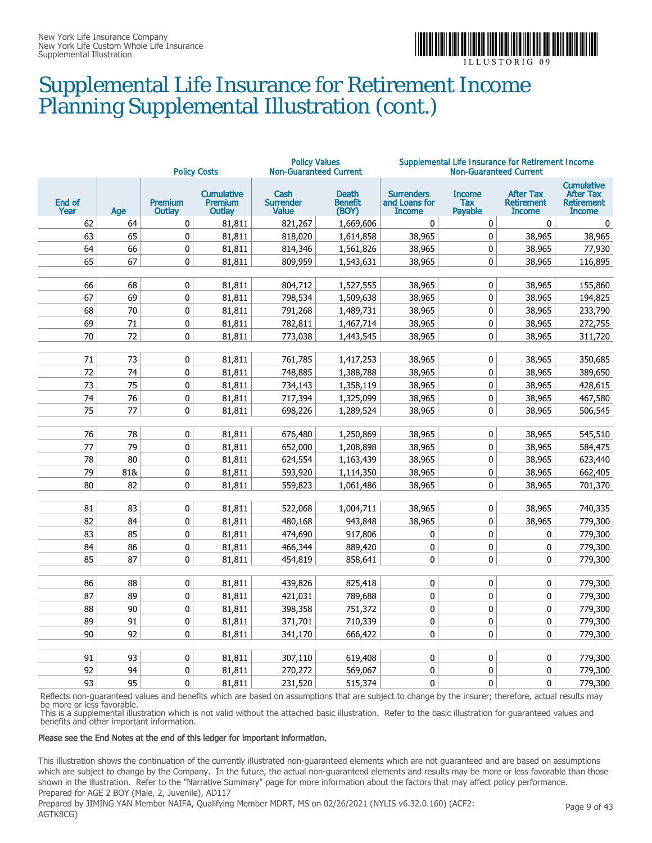

## Supplemental Life Insurance for Retirement Income Planning Supplemental Illustration (cont.)

| <b>Policy Costs</b> |     |                                                                           | <b>Policy Values</b><br><b>Non-Guaranteed Current</b> |                                          | Supplemental Life Insurance for Retirement Income<br><b>Non-Guaranteed Current</b> |              |                                        |                                                        |                                                                             |
|---------------------|-----|---------------------------------------------------------------------------|-------------------------------------------------------|------------------------------------------|------------------------------------------------------------------------------------|--------------|----------------------------------------|--------------------------------------------------------|-----------------------------------------------------------------------------|
| End of<br>Year      | Age | <b>Cumulative</b><br><b>Premium</b><br><b>Premium</b><br>Outlay<br>Outlay |                                                       | Cash<br><b>Surrender</b><br><b>Value</b> | <b>Death</b><br><b>Benefit</b><br>and Loans for<br>(BOY)                           |              | <b>Income</b><br><b>Tax</b><br>Payable | <b>After Tax</b><br><b>Retirement</b><br><b>Income</b> | <b>Cumulative</b><br><b>After Tax</b><br><b>Retirement</b><br><b>Income</b> |
| 62                  | 64  | $\mathbf{0}$                                                              | 81,811                                                | 821,267                                  | 1,669,606                                                                          | $\mathbf{0}$ | $\pmb{0}$                              | $\mathbf{0}$                                           | $\bf{0}$                                                                    |
| 63                  | 65  | 0                                                                         | 81,811                                                | 818,020                                  | 1,614,858                                                                          | 38,965       | 0                                      | 38,965                                                 | 38,965                                                                      |
| 64                  | 66  | $\mathbf 0$                                                               | 81,811                                                | 814,346                                  | 1,561,826                                                                          | 38,965       | 0                                      | 38,965                                                 | 77,930                                                                      |
| 65                  | 67  | $\mathbf 0$                                                               | 81,811                                                | 809,959                                  | 1,543,631                                                                          | 38,965       | 0                                      | 38,965                                                 | 116,895                                                                     |
| 66                  | 68  | 0                                                                         | 81,811                                                | 804,712                                  | 1,527,555                                                                          | 38,965       | 0                                      | 38,965                                                 | 155,860                                                                     |
| 67                  | 69  | $\pmb{0}$                                                                 | 81,811                                                | 798,534                                  | 1,509,638                                                                          | 38,965       | 0                                      | 38,965                                                 | 194,825                                                                     |
| 68                  | 70  | $\pmb{0}$                                                                 | 81,811                                                | 791,268                                  | 1,489,731                                                                          | 38,965       | 0                                      | 38,965                                                 | 233,790                                                                     |
| 69                  | 71  | $\mathbf 0$                                                               | 81,811                                                | 782,811                                  | 1,467,714                                                                          | 38,965       | 0                                      | 38,965                                                 | 272,755                                                                     |
| 70                  | 72  | $\mathbf{0}$                                                              | 81,811                                                | 773,038                                  | 1,443,545                                                                          | 38,965       | 0                                      | 38,965                                                 | 311,720                                                                     |
|                     |     |                                                                           |                                                       |                                          |                                                                                    |              |                                        |                                                        |                                                                             |
| 71                  | 73  | $\mathbf 0$                                                               | 81,811                                                | 761,785                                  | 1,417,253                                                                          | 38,965       | 0                                      | 38,965                                                 | 350,685                                                                     |
| 72                  | 74  | 0                                                                         | 81,811                                                | 748,885                                  | 1,388,788                                                                          | 38,965       | 0                                      | 38,965                                                 | 389,650                                                                     |
| 73                  | 75  | 0                                                                         | 81,811                                                | 734,143                                  | 1,358,119                                                                          | 38,965       | 0                                      | 38,965                                                 | 428,615                                                                     |
| 74                  | 76  | $\pmb{0}$                                                                 | 81,811                                                | 717,394                                  | 1,325,099                                                                          | 38,965       | 0                                      | 38,965                                                 | 467,580                                                                     |
| 75                  | 77  | 0                                                                         | 81,811                                                | 698,226                                  | 1,289,524                                                                          | 38,965       | 0                                      | 38,965                                                 | 506,545                                                                     |
| 76                  | 78  | $\mathbf 0$                                                               | 81,811                                                | 676,480                                  | 1,250,869                                                                          | 38,965       | 0                                      | 38,965                                                 | 545,510                                                                     |
| 77                  | 79  | $\pmb{0}$                                                                 | 81,811                                                | 652,000                                  | 1,208,898                                                                          | 38,965       | 0                                      | 38,965                                                 | 584,475                                                                     |
| 78                  | 80  | 0                                                                         | 81,811                                                | 624,554                                  | 1,163,439                                                                          | 38,965       | 0                                      | 38,965                                                 | 623,440                                                                     |
| 79                  | 81& | $\mathbf 0$                                                               | 81,811                                                | 593,920                                  | 1,114,350                                                                          | 38,965       | 0                                      | 38,965                                                 | 662,405                                                                     |
| 80                  | 82  | 0                                                                         | 81,811                                                | 559,823                                  | 1,061,486                                                                          | 38,965       | 0                                      | 38,965                                                 | 701,370                                                                     |
| 81                  | 83  | 0                                                                         | 81,811                                                | 522,068                                  | 1,004,711                                                                          | 38,965       | 0                                      | 38,965                                                 | 740,335                                                                     |
| 82                  | 84  | 0                                                                         | 81,811                                                | 480,168                                  | 943,848                                                                            | 38,965       | 0                                      | 38,965                                                 | 779,300                                                                     |
| 83                  | 85  | $\mathbf 0$                                                               | 81,811                                                | 474,690                                  | 917,806                                                                            | 0            | 0                                      | 0                                                      | 779,300                                                                     |
| 84                  | 86  | $\pmb{0}$                                                                 | 81,811                                                | 466,344                                  | 889,420                                                                            | $\pmb{0}$    | 0                                      | $\pmb{0}$                                              | 779,300                                                                     |
| 85                  | 87  | $\mathbf{0}$                                                              | 81,811                                                | 454,819                                  | 858,641                                                                            | $\mathbf{0}$ | 0                                      | $\mathbf 0$                                            | 779,300                                                                     |
|                     |     |                                                                           |                                                       |                                          |                                                                                    |              |                                        |                                                        |                                                                             |
| 86                  | 88  | 0                                                                         | 81,811                                                | 439,826                                  | 825,418                                                                            | $\mathbf 0$  | 0                                      | 0                                                      | 779,300                                                                     |
| 87                  | 89  | 0                                                                         | 81,811                                                | 421,031                                  | 789,688                                                                            | $\mathbf{0}$ | 0                                      | 0                                                      | 779,300                                                                     |
| 88                  | 90  | 0                                                                         | 81,811                                                | 398,358                                  | 751,372                                                                            | 0            | 0                                      | 0                                                      | 779,300                                                                     |
| 89                  | 91  | 0                                                                         | 81,811                                                | 371,701                                  | 710,339                                                                            | $\mathbf 0$  | 0                                      | 0                                                      | 779,300                                                                     |
| 90                  | 92  | $\mathbf{0}$                                                              | 81,811                                                | 341,170                                  | 666,422                                                                            | $\mathbf{0}$ | 0                                      | $\mathbf 0$                                            | 779,300                                                                     |
|                     |     |                                                                           |                                                       |                                          |                                                                                    |              |                                        |                                                        |                                                                             |
| 91<br>92            | 93  | $\mathbf 0$                                                               | 81,811                                                | 307,110                                  | 619,408                                                                            | $\mathbf 0$  | 0                                      | 0                                                      | 779,300                                                                     |
|                     | 94  | 0                                                                         | 81,811                                                | 270,272                                  | 569,067                                                                            | $\pmb{0}$    | 0                                      | 0                                                      | 779,300                                                                     |
| 93                  | 95  | 0                                                                         | 81,811                                                | 231,520                                  | 515,374                                                                            | 0            | 0                                      | $\mathbf 0$                                            | 779,300                                                                     |

Reflects non-guaranteed values and benefits which are based on assumptions that are subject to change by the insurer; therefore, actual results may be more or less favorable.

This is a supplemental illustration which is not valid without the attached basic illustration. Refer to the basic illustration for guaranteed values and benefits and other important information.

#### Please see the End Notes at the end of this ledger for important information.

This illustration shows the continuation of the currently illustrated non-guaranteed elements which are not guaranteed and are based on assumptions which are subject to change by the Company. In the future, the actual non-guaranteed elements and results may be more or less favorable than those shown in the illustration. Refer to the "Narrative Summary" page for more information about the factors that may affect policy performance. Prepared for AGE 2 BOY (Male, 2, Juvenile), AD117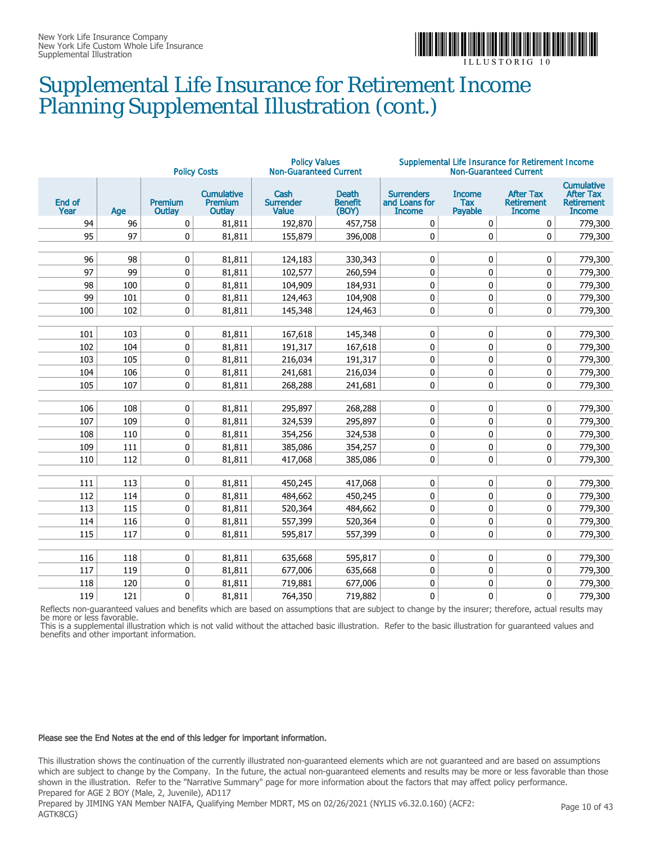

## Supplemental Life Insurance for Retirement Income Planning Supplemental Illustration (cont.)

| <b>Policy Costs</b> |     | <b>Policy Values</b><br><b>Non-Guaranteed Current</b> |                                               | Supplemental Life Insurance for Retirement Income<br><b>Non-Guaranteed Current</b> |                                         |                                                     |                                        |                                                        |                                                                      |
|---------------------|-----|-------------------------------------------------------|-----------------------------------------------|------------------------------------------------------------------------------------|-----------------------------------------|-----------------------------------------------------|----------------------------------------|--------------------------------------------------------|----------------------------------------------------------------------|
| End of<br>Year      | Age | Premium<br>Outlay                                     | <b>Cumulative</b><br><b>Premium</b><br>Outlay | Cash<br><b>Surrender</b><br><b>Value</b>                                           | <b>Death</b><br><b>Benefit</b><br>(BOY) | <b>Surrenders</b><br>and Loans for<br><b>Income</b> | <b>Income</b><br><b>Tax</b><br>Payable | <b>After Tax</b><br><b>Retirement</b><br><b>Income</b> | Cumulative<br><b>After Tax</b><br><b>Retirement</b><br><b>Income</b> |
| 94                  | 96  | 0                                                     | 81,811                                        | 192,870                                                                            | 457,758                                 | 0                                                   | 0                                      | 0                                                      | 779,300                                                              |
| 95                  | 97  | 0                                                     | 81,811                                        | 155,879                                                                            | 396,008                                 | 0                                                   | 0                                      | 0                                                      | 779,300                                                              |
|                     |     |                                                       |                                               |                                                                                    |                                         |                                                     |                                        |                                                        |                                                                      |
| 96                  | 98  | 0                                                     | 81,811                                        | 124,183                                                                            | 330,343                                 | 0                                                   | 0                                      | 0                                                      | 779,300                                                              |
| 97                  | 99  | 0                                                     | 81,811                                        | 102,577                                                                            | 260,594                                 | 0                                                   | $\pmb{0}$                              | 0                                                      | 779,300                                                              |
| 98                  | 100 | 0                                                     | 81,811                                        | 104,909                                                                            | 184,931                                 | 0                                                   | $\pmb{0}$                              | 0                                                      | 779,300                                                              |
| 99                  | 101 | 0                                                     | 81,811                                        | 124,463                                                                            | 104,908                                 | 0                                                   | 0                                      | 0                                                      | 779,300                                                              |
| 100                 | 102 | 0                                                     | 81,811                                        | 145,348                                                                            | 124,463                                 | 0                                                   | 0                                      | 0                                                      | 779,300                                                              |
|                     |     |                                                       |                                               |                                                                                    |                                         |                                                     |                                        |                                                        |                                                                      |
| 101                 | 103 | 0                                                     | 81,811                                        | 167,618                                                                            | 145,348                                 | 0                                                   | 0                                      | 0                                                      | 779,300                                                              |
| 102                 | 104 | 0                                                     | 81,811                                        | 191,317                                                                            | 167,618                                 | 0                                                   | $\pmb{0}$                              | 0                                                      | 779,300                                                              |
| 103                 | 105 | 0                                                     | 81,811                                        | 216,034                                                                            | 191,317                                 | 0                                                   | 0                                      | 0                                                      | 779,300                                                              |
| 104                 | 106 | $\pmb{0}$                                             | 81,811                                        | 241,681                                                                            | 216,034                                 | $\mathbf 0$                                         | 0                                      | 0                                                      | 779,300                                                              |
| 105                 | 107 | $\mathbf 0$                                           | 81,811                                        | 268,288                                                                            | 241,681                                 | 0                                                   | 0                                      | 0                                                      | 779,300                                                              |
|                     |     |                                                       |                                               |                                                                                    |                                         |                                                     |                                        |                                                        |                                                                      |
| 106                 | 108 | 0                                                     | 81,811                                        | 295,897                                                                            | 268,288                                 | 0                                                   | 0                                      | 0                                                      | 779,300                                                              |
| 107                 | 109 | 0                                                     | 81,811                                        | 324,539                                                                            | 295,897                                 | 0                                                   | 0                                      | 0                                                      | 779,300                                                              |
| 108                 | 110 | 0                                                     | 81,811                                        | 354,256                                                                            | 324,538                                 | 0                                                   | 0                                      | 0                                                      | 779,300                                                              |
| 109                 | 111 | 0                                                     | 81,811                                        | 385,086                                                                            | 354,257                                 | 0                                                   | $\pmb{0}$                              | 0                                                      | 779,300                                                              |
| 110                 | 112 | 0                                                     | 81,811                                        | 417,068                                                                            | 385,086                                 | $\Omega$                                            | $\mathbf{0}$                           | 0                                                      | 779,300                                                              |
|                     |     |                                                       |                                               |                                                                                    |                                         |                                                     |                                        |                                                        |                                                                      |
| 111                 | 113 | 0                                                     | 81,811                                        | 450,245                                                                            | 417,068                                 | 0                                                   | 0                                      | 0                                                      | 779,300                                                              |
| 112                 | 114 | 0                                                     | 81,811                                        | 484,662                                                                            | 450,245                                 | 0                                                   | 0                                      | 0                                                      | 779,300                                                              |
| 113                 | 115 | $\mathbf 0$                                           | 81,811                                        | 520,364                                                                            | 484,662                                 | 0                                                   | 0                                      | $\pmb{0}$                                              | 779,300                                                              |
| 114                 | 116 | 0                                                     | 81,811                                        | 557,399                                                                            | 520,364                                 | 0                                                   | $\pmb{0}$                              | $\pmb{0}$                                              | 779,300                                                              |
| 115                 | 117 | 0                                                     | 81,811                                        | 595,817                                                                            | 557,399                                 | 0                                                   | 0                                      | 0                                                      | 779,300                                                              |
|                     |     |                                                       |                                               |                                                                                    |                                         |                                                     |                                        |                                                        |                                                                      |
| 116                 | 118 | 0                                                     | 81,811                                        | 635,668                                                                            | 595,817                                 | 0                                                   | $\pmb{0}$                              | 0                                                      | 779,300                                                              |
| 117                 | 119 | 0                                                     | 81,811                                        | 677,006                                                                            | 635,668                                 | 0                                                   | 0                                      | 0                                                      | 779,300                                                              |
| 118                 | 120 | 0                                                     | 81,811                                        | 719,881                                                                            | 677,006                                 | 0                                                   | 0                                      | 0                                                      | 779,300                                                              |
| 119                 | 121 | 0                                                     | 81,811                                        | 764,350                                                                            | 719,882                                 | 0                                                   | 0                                      | 0                                                      | 779,300                                                              |

Reflects non-guaranteed values and benefits which are based on assumptions that are subject to change by the insurer; therefore, actual results may be more or less favorable.

This is a supplemental illustration which is not valid without the attached basic illustration. Refer to the basic illustration for guaranteed values and benefits and other important information.

#### Please see the End Notes at the end of this ledger for important information.

This illustration shows the continuation of the currently illustrated non-guaranteed elements which are not guaranteed and are based on assumptions which are subject to change by the Company. In the future, the actual non-guaranteed elements and results may be more or less favorable than those shown in the illustration. Refer to the "Narrative Summary" page for more information about the factors that may affect policy performance. Prepared for AGE 2 BOY (Male, 2, Juvenile), AD117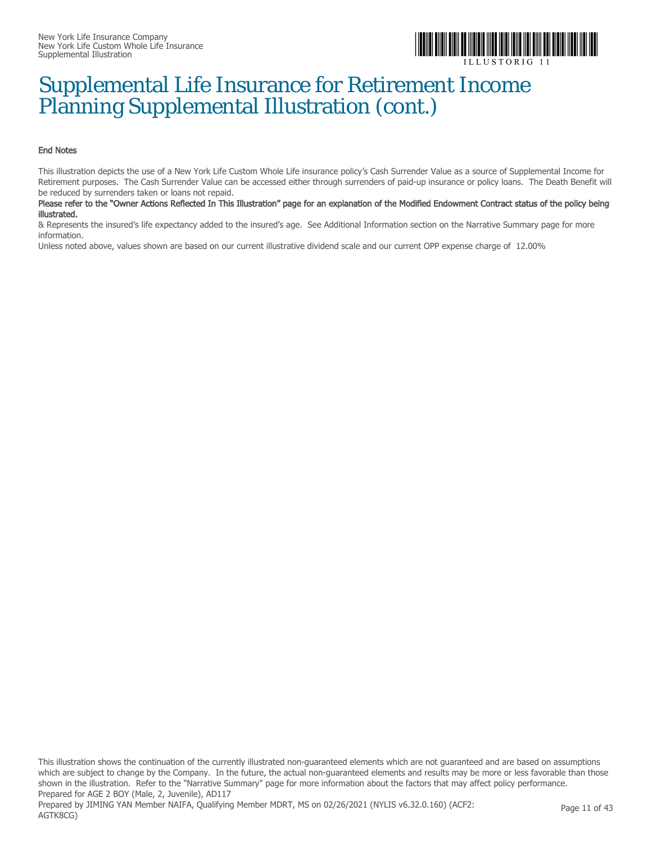

## Supplemental Life Insurance for Retirement Income Planning Supplemental Illustration (cont.)

#### End Notes

This illustration depicts the use of a New York Life Custom Whole Life insurance policy's Cash Surrender Value as a source of Supplemental Income for Retirement purposes. The Cash Surrender Value can be accessed either through surrenders of paid-up insurance or policy loans. The Death Benefit will be reduced by surrenders taken or loans not repaid.

#### Please refer to the "Owner Actions Reflected In This Illustration" page for an explanation of the Modified Endowment Contract status of the policy being illustrated.

& Represents the insured's life expectancy added to the insured's age. See Additional Information section on the Narrative Summary page for more information.

Unless noted above, values shown are based on our current illustrative dividend scale and our current OPP expense charge of 12.00%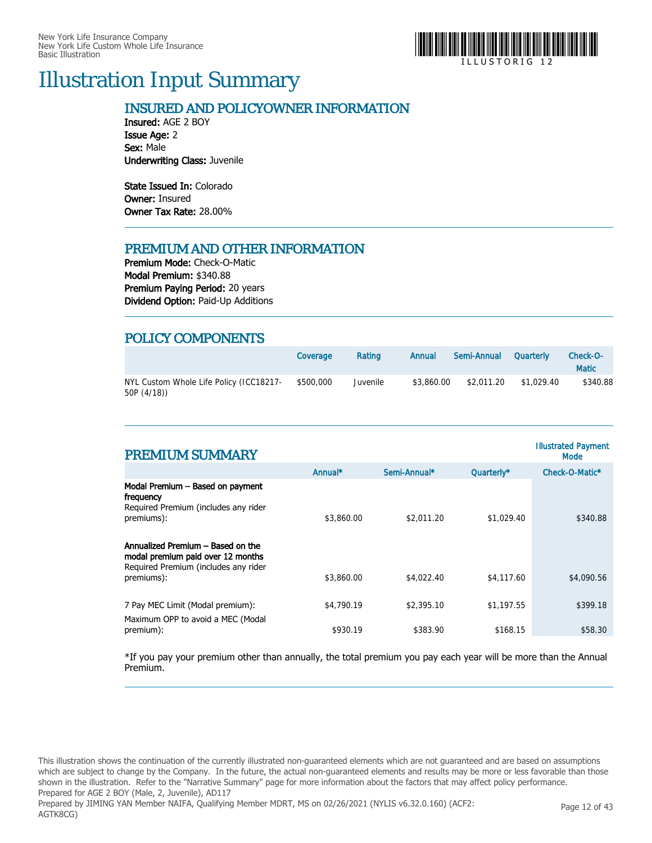

### Illustration Input Summary

#### INSURED AND POLICYOWNER INFORMATION

Insured: AGE 2 BOY Issue Age: 2 Sex: Male Underwriting Class: Juvenile

State Issued In: Colorado Owner: Insured Owner Tax Rate: 28.00%

#### PREMIUM AND OTHER INFORMATION

Premium Mode: Check-O-Matic Modal Premium: \$340.88 Premium Paying Period: 20 years Dividend Option: Paid-Up Additions

#### POLICY COMPONENTS

|                                                        | Coverage  | Rating   | Annual     | Semi-Annual | Quarterly  | Check-O-<br><b>Matic</b> |
|--------------------------------------------------------|-----------|----------|------------|-------------|------------|--------------------------|
| NYL Custom Whole Life Policy (ICC18217-<br>50P (4/18)) | \$500,000 | Juvenile | \$3,860.00 | \$2,011.20  | \$1.029.40 | \$340.88                 |

| <b>PREMIUM SUMMARY</b>                                                                                                                                                        |            |              |            | <b>Illustrated Payment</b><br>Mode |
|-------------------------------------------------------------------------------------------------------------------------------------------------------------------------------|------------|--------------|------------|------------------------------------|
|                                                                                                                                                                               | Annual*    | Semi-Annual* | Quarterly* | Check-O-Matic*                     |
| Modal Premium - Based on payment<br>frequency<br>Required Premium (includes any rider<br>premiums):<br>Annualized Premium - Based on the<br>modal premium paid over 12 months | \$3,860.00 | \$2,011.20   | \$1,029.40 | \$340.88                           |
| Required Premium (includes any rider<br>premiums):                                                                                                                            | \$3,860.00 | \$4,022.40   | \$4,117.60 | \$4,090.56                         |
| 7 Pay MEC Limit (Modal premium):<br>Maximum OPP to avoid a MEC (Modal                                                                                                         | \$4,790.19 | \$2,395.10   | \$1,197.55 | \$399.18                           |
| premium):                                                                                                                                                                     | \$930.19   | \$383.90     | \$168.15   | \$58.30                            |

\*If you pay your premium other than annually, the total premium you pay each year will be more than the Annual Premium.

This illustration shows the continuation of the currently illustrated non-guaranteed elements which are not guaranteed and are based on assumptions which are subject to change by the Company. In the future, the actual non-guaranteed elements and results may be more or less favorable than those shown in the illustration. Refer to the "Narrative Summary" page for more information about the factors that may affect policy performance. Prepared for AGE 2 BOY (Male, 2, Juvenile), AD117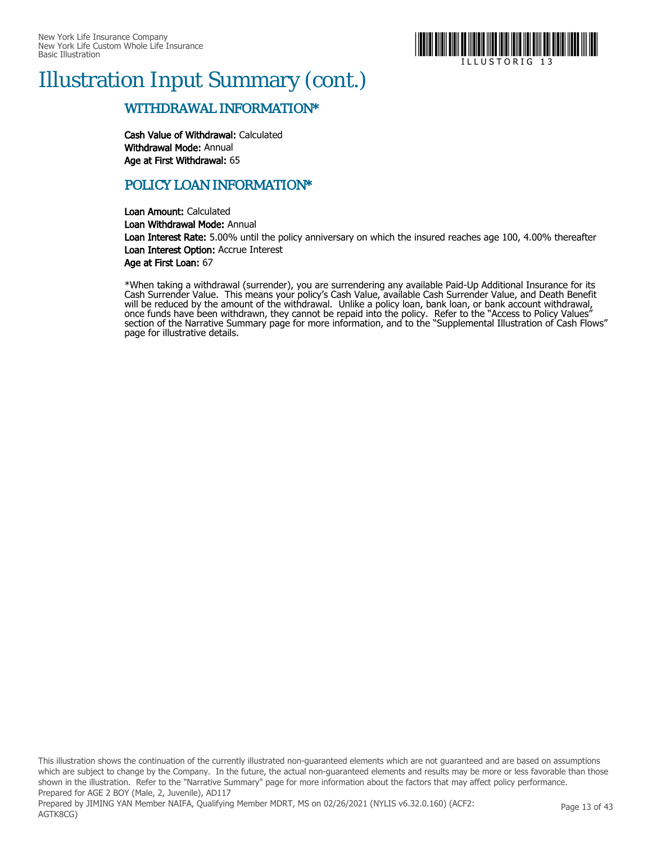

## Illustration Input Summary (cont.)

#### WITHDRAWAL INFORMATION\*

Cash Value of Withdrawal: Calculated Withdrawal Mode: Annual Age at First Withdrawal: 65

#### POLICY LOAN INFORMATION\*

Loan Amount: Calculated Loan Withdrawal Mode: Annual Loan Interest Rate: 5.00% until the policy anniversary on which the insured reaches age 100, 4.00% thereafter Loan Interest Option: Accrue Interest Age at First Loan: 67

\*When taking a withdrawal (surrender), you are surrendering any available Paid-Up Additional Insurance for its Cash Surrender Value. This means your policy's Cash Value, available Cash Surrender Value, and Death Benefit will be reduced by the amount of the withdrawal. Unlike a policy loan, bank loan, or bank account withdrawal, once funds have been withdrawn, they cannot be repaid into the policy. Refer to the "Access to Policy Values" section of the Narrative Summary page for more information, and to the "Supplemental Illustration of Cash Flows" page for illustrative details.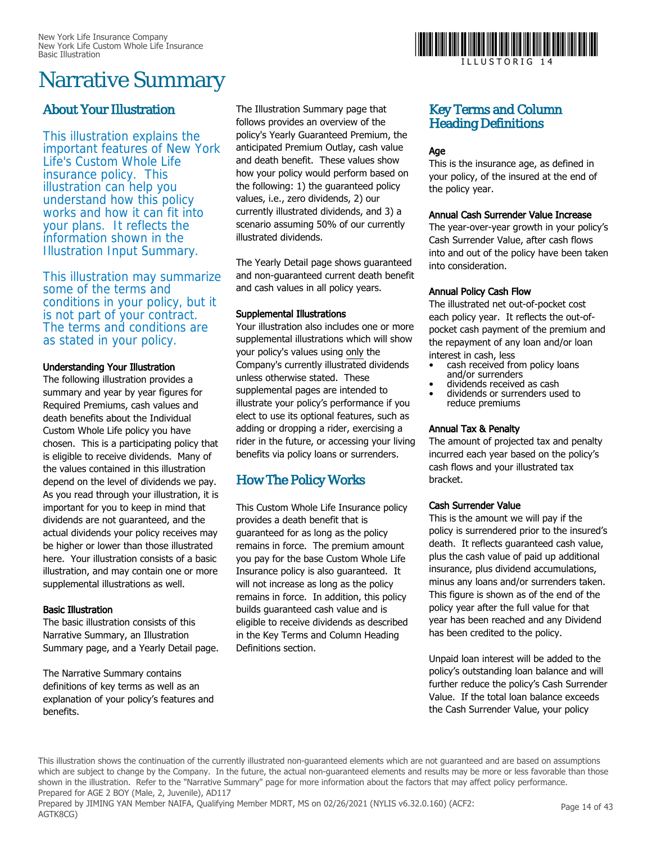## Narrative Summary

#### About Your Illustration

This illustration explains the important features of New York Life's Custom Whole Life insurance policy. This illustration can help you understand how this policy works and how it can fit into your plans. It reflects the information shown in the Illustration Input Summary.

This illustration may summarize some of the terms and conditions in your policy, but it is not part of your contract. The terms and conditions are as stated in your policy.

#### Understanding Your Illustration

The following illustration provides a summary and year by year figures for Required Premiums, cash values and death benefits about the Individual Custom Whole Life policy you have chosen. This is a participating policy that is eligible to receive dividends. Many of the values contained in this illustration depend on the level of dividends we pay. As you read through your illustration, it is important for you to keep in mind that dividends are not guaranteed, and the actual dividends your policy receives may be higher or lower than those illustrated here. Your illustration consists of a basic illustration, and may contain one or more supplemental illustrations as well.

#### Basic Illustration

The basic illustration consists of this Narrative Summary, an Illustration Summary page, and a Yearly Detail page.

The Narrative Summary contains definitions of key terms as well as an explanation of your policy's features and benefits.

The Illustration Summary page that follows provides an overview of the policy's Yearly Guaranteed Premium, the anticipated Premium Outlay, cash value and death benefit. These values show how your policy would perform based on the following: 1) the guaranteed policy values, i.e., zero dividends, 2) our currently illustrated dividends, and 3) a scenario assuming 50% of our currently illustrated dividends.

The Yearly Detail page shows guaranteed and non-guaranteed current death benefit and cash values in all policy years.

#### Supplemental Illustrations

Your illustration also includes one or more supplemental illustrations which will show your policy's values using only the Company's currently illustrated dividends unless otherwise stated. These supplemental pages are intended to illustrate your policy's performance if you elect to use its optional features, such as adding or dropping a rider, exercising a rider in the future, or accessing your living benefits via policy loans or surrenders.

#### How The Policy Works

This Custom Whole Life Insurance policy provides a death benefit that is guaranteed for as long as the policy remains in force. The premium amount you pay for the base Custom Whole Life Insurance policy is also guaranteed. It will not increase as long as the policy remains in force. In addition, this policy builds guaranteed cash value and is eligible to receive dividends as described in the Key Terms and Column Heading Definitions section.



I L L U S T O R I G 1 4

#### Key Terms and Column Heading Definitions

#### Age

This is the insurance age, as defined in your policy, of the insured at the end of the policy year.

#### Annual Cash Surrender Value Increase

The year-over-year growth in your policy's Cash Surrender Value, after cash flows into and out of the policy have been taken into consideration.

#### Annual Policy Cash Flow

The illustrated net out-of-pocket cost each policy year. It reflects the out-ofpocket cash payment of the premium and the repayment of any loan and/or loan interest in cash, less

- cash received from policy loans and/or surrenders
- dividends received as cash
- dividends or surrenders used to reduce premiums

#### Annual Tax & Penalty

The amount of projected tax and penalty incurred each year based on the policy's cash flows and your illustrated tax bracket.

#### Cash Surrender Value

This is the amount we will pay if the policy is surrendered prior to the insured's death. It reflects guaranteed cash value, plus the cash value of paid up additional insurance, plus dividend accumulations, minus any loans and/or surrenders taken. This figure is shown as of the end of the policy year after the full value for that year has been reached and any Dividend has been credited to the policy.

Unpaid loan interest will be added to the policy's outstanding loan balance and will further reduce the policy's Cash Surrender Value. If the total loan balance exceeds the Cash Surrender Value, your policy

This illustration shows the continuation of the currently illustrated non-guaranteed elements which are not guaranteed and are based on assumptions which are subject to change by the Company. In the future, the actual non-guaranteed elements and results may be more or less favorable than those shown in the illustration. Refer to the "Narrative Summary" page for more information about the factors that may affect policy performance. Prepared for AGE 2 BOY (Male, 2, Juvenile), AD117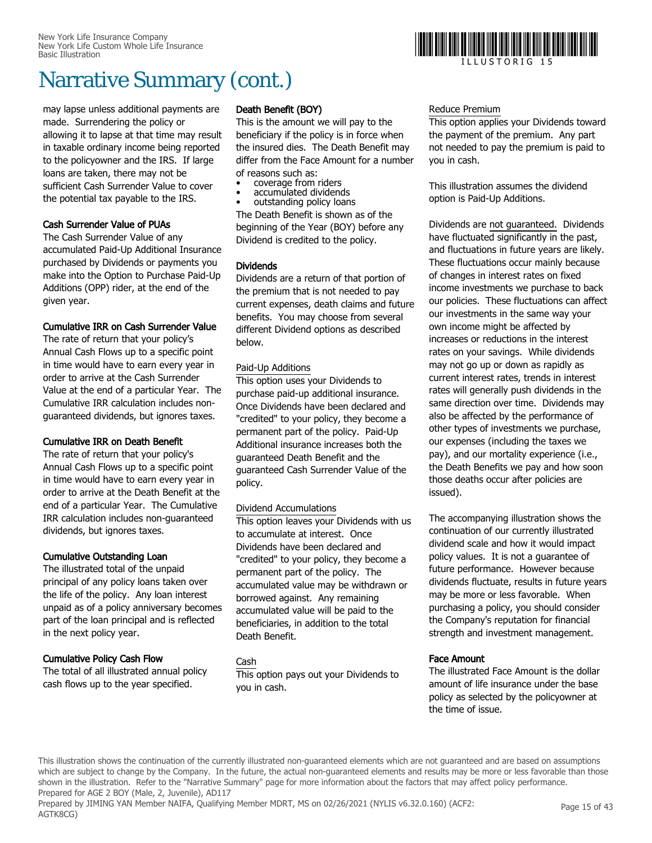may lapse unless additional payments are made. Surrendering the policy or allowing it to lapse at that time may result in taxable ordinary income being reported to the policyowner and the IRS. If large loans are taken, there may not be sufficient Cash Surrender Value to cover the potential tax payable to the IRS.

#### Cash Surrender Value of PUAs

The Cash Surrender Value of any accumulated Paid-Up Additional Insurance purchased by Dividends or payments you make into the Option to Purchase Paid-Up Additions (OPP) rider, at the end of the given year.

#### Cumulative IRR on Cash Surrender Value

The rate of return that your policy's Annual Cash Flows up to a specific point in time would have to earn every year in order to arrive at the Cash Surrender Value at the end of a particular Year. The Cumulative IRR calculation includes nonguaranteed dividends, but ignores taxes.

#### Cumulative IRR on Death Benefit

The rate of return that your policy's Annual Cash Flows up to a specific point in time would have to earn every year in order to arrive at the Death Benefit at the end of a particular Year. The Cumulative IRR calculation includes non-guaranteed dividends, but ignores taxes.

#### Cumulative Outstanding Loan

The illustrated total of the unpaid principal of any policy loans taken over the life of the policy. Any loan interest unpaid as of a policy anniversary becomes part of the loan principal and is reflected in the next policy year.

#### Cumulative Policy Cash Flow

The total of all illustrated annual policy cash flows up to the year specified.

#### Death Benefit (BOY)

This is the amount we will pay to the beneficiary if the policy is in force when the insured dies. The Death Benefit may differ from the Face Amount for a number of reasons such as:

- coverage from riders
- accumulated dividends

• outstanding policy loans The Death Benefit is shown as of the beginning of the Year (BOY) before any Dividend is credited to the policy.

#### Dividends

Dividends are a return of that portion of the premium that is not needed to pay current expenses, death claims and future benefits. You may choose from several different Dividend options as described below.

#### Paid-Up Additions

This option uses your Dividends to purchase paid-up additional insurance. Once Dividends have been declared and "credited" to your policy, they become a permanent part of the policy. Paid-Up Additional insurance increases both the guaranteed Death Benefit and the guaranteed Cash Surrender Value of the policy.

#### Dividend Accumulations

This option leaves your Dividends with us to accumulate at interest. Once Dividends have been declared and "credited" to your policy, they become a permanent part of the policy. The accumulated value may be withdrawn or borrowed against. Any remaining accumulated value will be paid to the beneficiaries, in addition to the total Death Benefit.

#### Cash

This option pays out your Dividends to you in cash.

#### Reduce Premium

This option applies your Dividends toward the payment of the premium. Any part not needed to pay the premium is paid to you in cash.

This illustration assumes the dividend option is Paid-Up Additions.

Dividends are not guaranteed. Dividends have fluctuated significantly in the past, and fluctuations in future years are likely. These fluctuations occur mainly because of changes in interest rates on fixed income investments we purchase to back our policies. These fluctuations can affect our investments in the same way your own income might be affected by increases or reductions in the interest rates on your savings. While dividends may not go up or down as rapidly as current interest rates, trends in interest rates will generally push dividends in the same direction over time. Dividends may also be affected by the performance of other types of investments we purchase, our expenses (including the taxes we pay), and our mortality experience (i.e., the Death Benefits we pay and how soon those deaths occur after policies are issued).

The accompanying illustration shows the continuation of our currently illustrated dividend scale and how it would impact policy values. It is not a guarantee of future performance. However because dividends fluctuate, results in future years may be more or less favorable. When purchasing a policy, you should consider the Company's reputation for financial strength and investment management.

#### Face Amount

The illustrated Face Amount is the dollar amount of life insurance under the base policy as selected by the policyowner at the time of issue.

This illustration shows the continuation of the currently illustrated non-guaranteed elements which are not guaranteed and are based on assumptions which are subject to change by the Company. In the future, the actual non-guaranteed elements and results may be more or less favorable than those shown in the illustration. Refer to the "Narrative Summary" page for more information about the factors that may affect policy performance. Prepared for AGE 2 BOY (Male, 2, Juvenile), AD117

Prepared by JIMING YAN Member NAIFA, Qualifying Member MDRT, MS on 02/26/2021 (NYLIS v6.32.0.160) (ACF2: AGTK8CG)



I L L U S T O R I G 1 5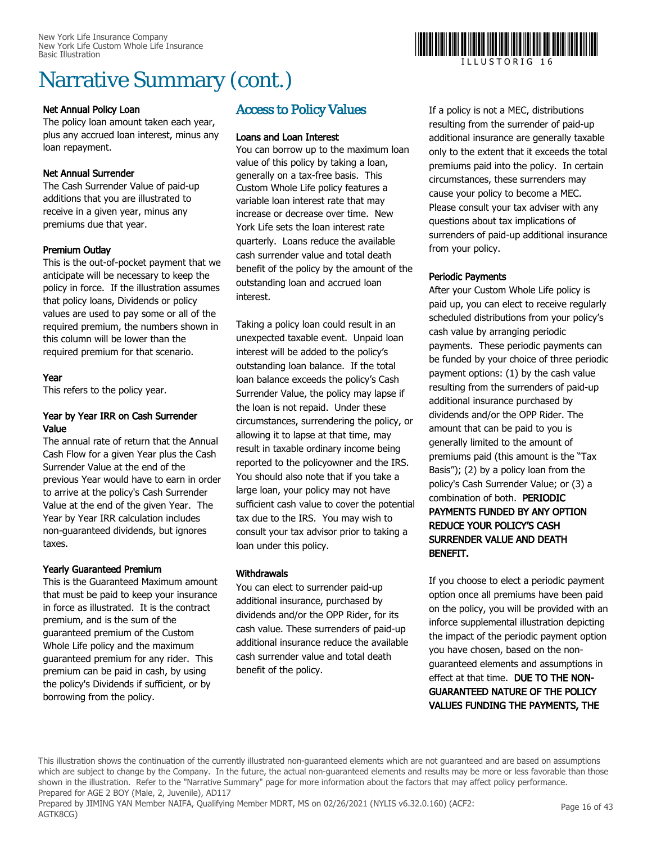#### Net Annual Policy Loan

The policy loan amount taken each year, plus any accrued loan interest, minus any loan repayment.

#### Net Annual Surrender

The Cash Surrender Value of paid-up additions that you are illustrated to receive in a given year, minus any premiums due that year.

#### Premium Outlay

This is the out-of-pocket payment that we anticipate will be necessary to keep the policy in force. If the illustration assumes that policy loans, Dividends or policy values are used to pay some or all of the required premium, the numbers shown in this column will be lower than the required premium for that scenario.

#### Year

This refers to the policy year.

#### Year by Year IRR on Cash Surrender Value

The annual rate of return that the Annual Cash Flow for a given Year plus the Cash Surrender Value at the end of the previous Year would have to earn in order to arrive at the policy's Cash Surrender Value at the end of the given Year. The Year by Year IRR calculation includes non-guaranteed dividends, but ignores taxes.

#### Yearly Guaranteed Premium

This is the Guaranteed Maximum amount that must be paid to keep your insurance in force as illustrated. It is the contract premium, and is the sum of the guaranteed premium of the Custom Whole Life policy and the maximum guaranteed premium for any rider. This premium can be paid in cash, by using the policy's Dividends if sufficient, or by borrowing from the policy.

#### Access to Policy Values

#### Loans and Loan Interest

You can borrow up to the maximum loan value of this policy by taking a loan, generally on a tax-free basis. This Custom Whole Life policy features a variable loan interest rate that may increase or decrease over time. New York Life sets the loan interest rate quarterly. Loans reduce the available cash surrender value and total death benefit of the policy by the amount of the outstanding loan and accrued loan interest.

Taking a policy loan could result in an unexpected taxable event. Unpaid loan interest will be added to the policy's outstanding loan balance. If the total loan balance exceeds the policy's Cash Surrender Value, the policy may lapse if the loan is not repaid. Under these circumstances, surrendering the policy, or allowing it to lapse at that time, may result in taxable ordinary income being reported to the policyowner and the IRS. You should also note that if you take a large loan, your policy may not have sufficient cash value to cover the potential tax due to the IRS. You may wish to consult your tax advisor prior to taking a loan under this policy.

#### **Withdrawals**

You can elect to surrender paid-up additional insurance, purchased by dividends and/or the OPP Rider, for its cash value. These surrenders of paid-up additional insurance reduce the available cash surrender value and total death benefit of the policy.



#### Periodic Payments

After your Custom Whole Life policy is paid up, you can elect to receive regularly scheduled distributions from your policy's cash value by arranging periodic payments. These periodic payments can be funded by your choice of three periodic payment options: (1) by the cash value resulting from the surrenders of paid-up additional insurance purchased by dividends and/or the OPP Rider. The amount that can be paid to you is generally limited to the amount of premiums paid (this amount is the "Tax Basis"); (2) by a policy loan from the policy's Cash Surrender Value; or (3) a combination of both. PERIODIC PAYMENTS FUNDED BY ANY OPTION REDUCE YOUR POLICY'S CASH SURRENDER VALUE AND DEATH BENEFIT.

If you choose to elect a periodic payment option once all premiums have been paid on the policy, you will be provided with an inforce supplemental illustration depicting the impact of the periodic payment option you have chosen, based on the nonguaranteed elements and assumptions in effect at that time. DUE TO THE NON-GUARANTEED NATURE OF THE POLICY VALUES FUNDING THE PAYMENTS, THE

This illustration shows the continuation of the currently illustrated non-guaranteed elements which are not guaranteed and are based on assumptions which are subject to change by the Company. In the future, the actual non-guaranteed elements and results may be more or less favorable than those shown in the illustration. Refer to the "Narrative Summary" page for more information about the factors that may affect policy performance. Prepared for AGE 2 BOY (Male, 2, Juvenile), AD117

Prepared by JIMING YAN Member NAIFA, Qualifying Member MDRT, MS on 02/26/2021 (NYLIS v6.32.0.160) (ACF2: AGTK8CG)



I L L U S T O R I G 1 6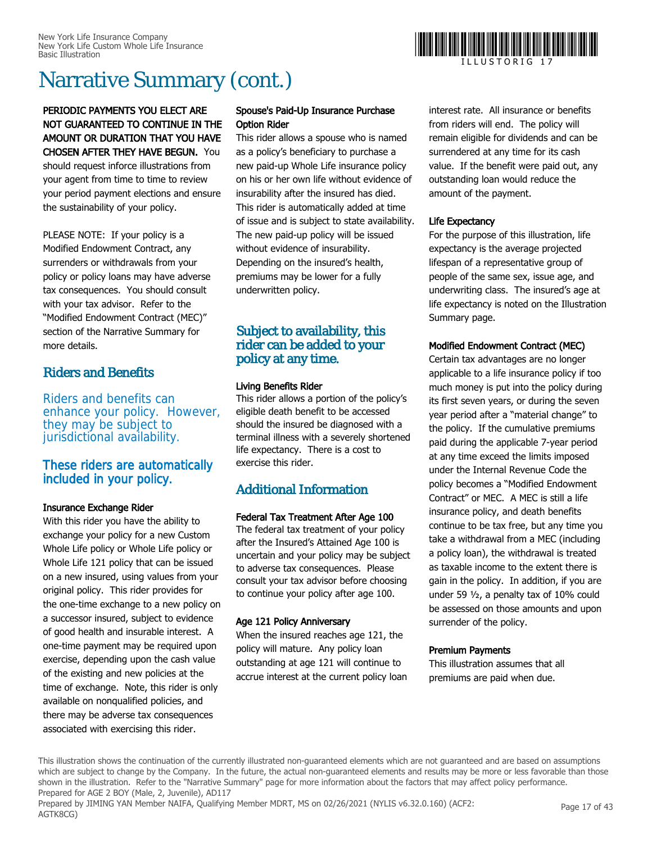#### PERIODIC PAYMENTS YOU ELECT ARE NOT GUARANTEED TO CONTINUE IN THE AMOUNT OR DURATION THAT YOU HAVE CHOSEN AFTER THEY HAVE BEGUN. You

should request inforce illustrations from your agent from time to time to review your period payment elections and ensure the sustainability of your policy.

PLEASE NOTE: If your policy is a Modified Endowment Contract, any surrenders or withdrawals from your policy or policy loans may have adverse tax consequences. You should consult with your tax advisor. Refer to the "Modified Endowment Contract (MEC)" section of the Narrative Summary for more details.

#### Riders and Benefits

Riders and benefits can enhance your policy. However, they may be subject to jurisdictional availability.

#### These riders are automatically included in your policy.

#### Insurance Exchange Rider

With this rider you have the ability to exchange your policy for a new Custom Whole Life policy or Whole Life policy or Whole Life 121 policy that can be issued on a new insured, using values from your original policy. This rider provides for the one-time exchange to a new policy on a successor insured, subject to evidence of good health and insurable interest. A one-time payment may be required upon exercise, depending upon the cash value of the existing and new policies at the time of exchange. Note, this rider is only available on nonqualified policies, and there may be adverse tax consequences associated with exercising this rider.

#### Spouse's Paid-Up Insurance Purchase Option Rider

This rider allows a spouse who is named as a policy's beneficiary to purchase a new paid-up Whole Life insurance policy on his or her own life without evidence of insurability after the insured has died. This rider is automatically added at time of issue and is subject to state availability. The new paid-up policy will be issued without evidence of insurability. Depending on the insured's health, premiums may be lower for a fully underwritten policy.

#### Subject to availability, this rider can be added to your policy at any time.

#### Living Benefits Rider

This rider allows a portion of the policy's eligible death benefit to be accessed should the insured be diagnosed with a terminal illness with a severely shortened life expectancy. There is a cost to exercise this rider.

#### Additional Information

#### Federal Tax Treatment After Age 100

The federal tax treatment of your policy after the Insured's Attained Age 100 is uncertain and your policy may be subject to adverse tax consequences. Please consult your tax advisor before choosing to continue your policy after age 100.

#### Age 121 Policy Anniversary

When the insured reaches age 121, the policy will mature. Any policy loan outstanding at age 121 will continue to accrue interest at the current policy loan interest rate. All insurance or benefits from riders will end. The policy will remain eligible for dividends and can be surrendered at any time for its cash value. If the benefit were paid out, any outstanding loan would reduce the amount of the payment.

#### Life Expectancy

For the purpose of this illustration, life expectancy is the average projected lifespan of a representative group of people of the same sex, issue age, and underwriting class. The insured's age at life expectancy is noted on the Illustration Summary page.

#### Modified Endowment Contract (MEC)

Certain tax advantages are no longer applicable to a life insurance policy if too much money is put into the policy during its first seven years, or during the seven year period after a "material change" to the policy. If the cumulative premiums paid during the applicable 7-year period at any time exceed the limits imposed under the Internal Revenue Code the policy becomes a "Modified Endowment Contract" or MEC. A MEC is still a life insurance policy, and death benefits continue to be tax free, but any time you take a withdrawal from a MEC (including a policy loan), the withdrawal is treated as taxable income to the extent there is gain in the policy. In addition, if you are under 59 ½, a penalty tax of 10% could be assessed on those amounts and upon surrender of the policy.

#### Premium Payments

This illustration assumes that all premiums are paid when due.

This illustration shows the continuation of the currently illustrated non-guaranteed elements which are not guaranteed and are based on assumptions which are subject to change by the Company. In the future, the actual non-guaranteed elements and results may be more or less favorable than those shown in the illustration. Refer to the "Narrative Summary" page for more information about the factors that may affect policy performance. Prepared for AGE 2 BOY (Male, 2, Juvenile), AD117

Prepared by JIMING YAN Member NAIFA, Qualifying Member MDRT, MS on 02/26/2021 (NYLIS v6.32.0.160) (ACF2: AGTK8CG)



ILLUSTORIG 17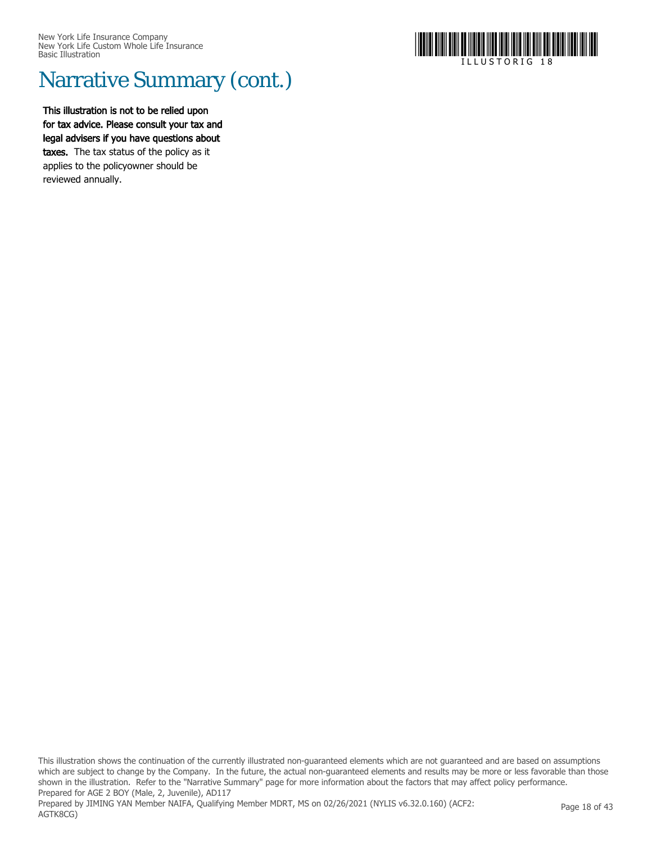

This illustration is not to be relied upon for tax advice. Please consult your tax and legal advisers if you have questions about taxes. The tax status of the policy as it applies to the policyowner should be reviewed annually.

This illustration shows the continuation of the currently illustrated non-guaranteed elements which are not guaranteed and are based on assumptions which are subject to change by the Company. In the future, the actual non-guaranteed elements and results may be more or less favorable than those shown in the illustration. Refer to the "Narrative Summary" page for more information about the factors that may affect policy performance. Prepared for AGE 2 BOY (Male, 2, Juvenile), AD117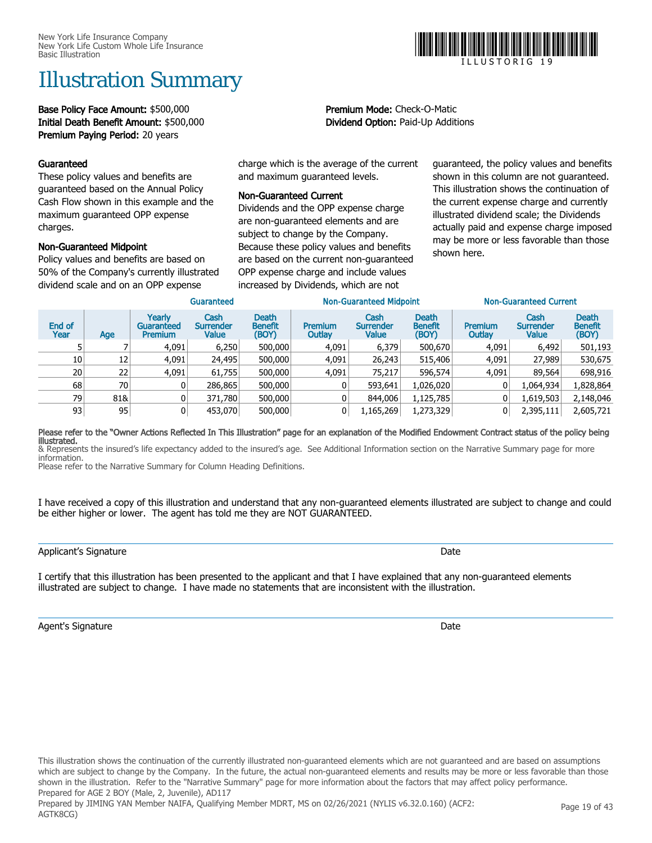## Illustration Summary

Base Policy Face Amount: \$500,000 Premium Mode: Check-O-Matic Initial Death Benefit Amount: \$500,000 Dividend Option: Paid-Up Additions Premium Paying Period: 20 years

#### Guaranteed

These policy values and benefits are guaranteed based on the Annual Policy Cash Flow shown in this example and the maximum guaranteed OPP expense charges.

#### Non-Guaranteed Midpoint

Policy values and benefits are based on 50% of the Company's currently illustrated dividend scale and on an OPP expense

charge which is the average of the current and maximum guaranteed levels.

#### Non-Guaranteed Current

Dividends and the OPP expense charge are non-guaranteed elements and are subject to change by the Company. Because these policy values and benefits are based on the current non-guaranteed OPP expense charge and include values increased by Dividends, which are not

guaranteed, the policy values and benefits shown in this column are not guaranteed. This illustration shows the continuation of the current expense charge and currently illustrated dividend scale; the Dividends actually paid and expense charge imposed may be more or less favorable than those shown here.

| Guaranteed      |     |                                        |                                   |                                         |                          | <b>Non-Guaranteed Midpoint</b>    |                                         | <b>Non-Guaranteed Current</b> |                                   |                                         |
|-----------------|-----|----------------------------------------|-----------------------------------|-----------------------------------------|--------------------------|-----------------------------------|-----------------------------------------|-------------------------------|-----------------------------------|-----------------------------------------|
| End of<br>Year  | Age | Yearlv<br>Guaranteed<br><b>Premium</b> | Cash<br><b>Surrender</b><br>Value | <b>Death</b><br><b>Benefit</b><br>(BOY) | <b>Premium</b><br>Outlay | Cash<br><b>Surrender</b><br>Value | <b>Death</b><br><b>Benefit</b><br>(BOY) | Premium<br>Outlay             | Cash<br><b>Surrender</b><br>Value | <b>Death</b><br><b>Benefit</b><br>(BOY) |
|                 |     | 4,091                                  | 6,250                             | 500,000                                 | 4,091                    | 6,379                             | 500,670                                 | 4,091                         | 6,492                             | 501,193                                 |
| 10              | 12  | 4,091                                  | 24,495                            | 500,000                                 | 4.091                    | 26,243                            | 515,406                                 | 4.091                         | 27,989                            | 530,675                                 |
| 20 <sup>1</sup> | 22  | 4,091                                  | 61,755                            | 500,000                                 | 4,091                    | 75,217                            | 596,574                                 | 4,091                         | 89,564                            | 698,916                                 |
| 68              | 70  |                                        | 286,865                           | 500,000                                 | 0                        | 593,641                           | 1,026,020                               |                               | 1,064,934                         | 1,828,864                               |
| 79              | 81& |                                        | 371,780                           | 500,000                                 | 01                       | 844,006                           | 1,125,785                               |                               | 1,619,503                         | 2,148,046                               |
| 93              | 95  |                                        | 453,070                           | 500,000                                 | 01                       | 1,165,269                         | 1,273,329                               |                               | 2,395,111                         | 2,605,721                               |

#### Please refer to the "Owner Actions Reflected In This Illustration" page for an explanation of the Modified Endowment Contract status of the policy being illustrated.

& Represents the insured's life expectancy added to the insured's age. See Additional Information section on the Narrative Summary page for more information. Please refer to the Narrative Summary for Column Heading Definitions.

I have received a copy of this illustration and understand that any non-guaranteed elements illustrated are subject to change and could be either higher or lower. The agent has told me they are NOT GUARANTEED.

I certify that this illustration has been presented to the applicant and that I have explained that any non-guaranteed elements illustrated are subject to change. I have made no statements that are inconsistent with the illustration.

Agent's Signature Date of the Date of the Date of the Date of the Date of the Date of the Date of the Date of the Date of the Date of the Date of the Date of the Date of the Date of the Date of the Date of the Date of the



I L L U S T O R I G 1 9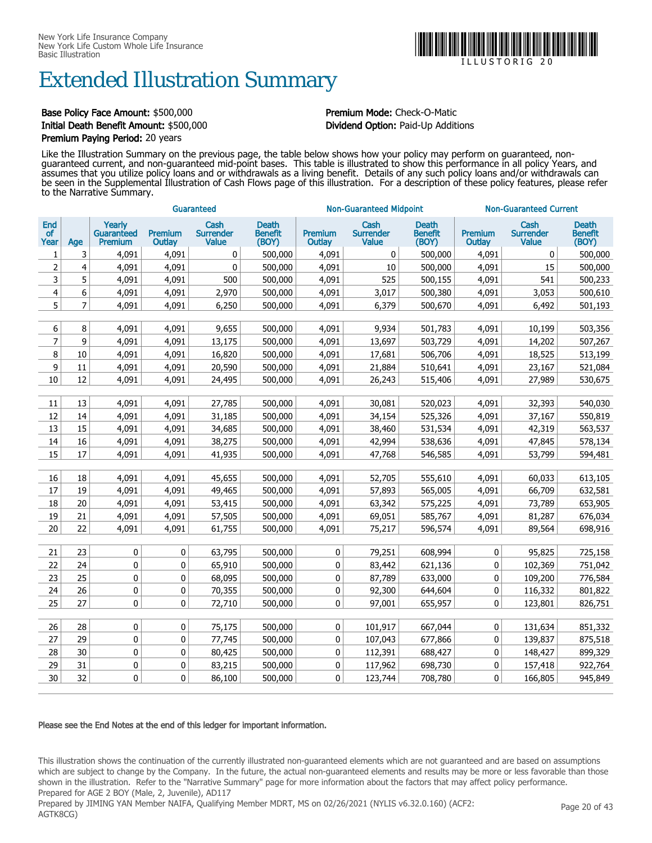## Extended Illustration Summary

### Base Policy Face Amount: \$500,000 Premium Mode: Check-O-Matic Premium Paying Period: 20 years

# Initial Death Benefit Amount: \$500,000 Dividend Option: Paid-Up Additions

Like the Illustration Summary on the previous page, the table below shows how your policy may perform on guaranteed, nonguaranteed current, and non-guaranteed mid-point bases. This table is illustrated to show this performance in all policy Years, and assumes that you utilize policy loans and or withdrawals as a living benefit. Details of any such policy loans and/or withdrawals can be seen in the Supplemental Illustration of Cash Flows page of this illustration. For a description of these policy features, please refer to the Narrative Summary.

|                          |     | Guaranteed                             |                   |                                   |                                         |                   | <b>Non-Guaranteed Midpoint</b>           |                                         | <b>Non-Guaranteed Current</b> |                                   |                                         |
|--------------------------|-----|----------------------------------------|-------------------|-----------------------------------|-----------------------------------------|-------------------|------------------------------------------|-----------------------------------------|-------------------------------|-----------------------------------|-----------------------------------------|
| End<br><b>of</b><br>Year | Age | Yearly<br>Guaranteed<br><b>Premium</b> | Premium<br>Outlay | Cash<br><b>Surrender</b><br>Value | <b>Death</b><br><b>Benefit</b><br>(BOY) | Premium<br>Outlay | Cash<br><b>Surrender</b><br><b>Value</b> | <b>Death</b><br><b>Benefit</b><br>(BOY) | <b>Premium</b><br>Outlay      | Cash<br><b>Surrender</b><br>Value | <b>Death</b><br><b>Benefit</b><br>(BOY) |
| $\mathbf{1}$             | 3   | 4,091                                  | 4,091             | $\mathbf 0$                       | 500,000                                 | 4,091             | 0                                        | 500,000                                 | 4,091                         | $\mathbf 0$                       | 500,000                                 |
| 2                        | 4   | 4,091                                  | 4,091             | $\bf{0}$                          | 500,000                                 | 4,091             | 10                                       | 500,000                                 | 4,091                         | 15                                | 500,000                                 |
| 3                        | 5   | 4,091                                  | 4,091             | 500                               | 500,000                                 | 4,091             | 525                                      | 500,155                                 | 4,091                         | 541                               | 500,233                                 |
| 4                        | 6   | 4,091                                  | 4,091             | 2,970                             | 500,000                                 | 4,091             | 3,017                                    | 500,380                                 | 4,091                         | 3,053                             | 500,610                                 |
| 5                        | 7   | 4,091                                  | 4,091             | 6,250                             | 500,000                                 | 4,091             | 6,379                                    | 500,670                                 | 4,091                         | 6,492                             | 501,193                                 |
|                          |     |                                        |                   |                                   |                                         |                   |                                          |                                         |                               |                                   |                                         |
| 6                        | 8   | 4,091                                  | 4,091             | 9,655                             | 500,000                                 | 4,091             | 9,934                                    | 501,783                                 | 4,091                         | 10,199                            | 503,356                                 |
| 7                        | 9   | 4,091                                  | 4,091             | 13,175                            | 500,000                                 | 4,091             | 13,697                                   | 503,729                                 | 4,091                         | 14,202                            | 507,267                                 |
| 8                        | 10  | 4,091                                  | 4,091             | 16,820                            | 500,000                                 | 4,091             | 17,681                                   | 506,706                                 | 4,091                         | 18,525                            | 513,199                                 |
| 9                        | 11  | 4,091                                  | 4,091             | 20,590                            | 500,000                                 | 4,091             | 21,884                                   | 510,641                                 | 4,091                         | 23,167                            | 521,084                                 |
| 10                       | 12  | 4,091                                  | 4,091             | 24,495                            | 500,000                                 | 4,091             | 26,243                                   | 515,406                                 | 4,091                         | 27,989                            | 530,675                                 |
| 11                       | 13  | 4,091                                  | 4,091             | 27,785                            | 500,000                                 | 4,091             | 30,081                                   | 520,023                                 | 4,091                         | 32,393                            | 540,030                                 |
| 12                       | 14  | 4,091                                  | 4,091             | 31,185                            | 500,000                                 | 4,091             | 34,154                                   | 525,326                                 | 4,091                         | 37,167                            | 550,819                                 |
| 13                       | 15  | 4,091                                  | 4,091             | 34,685                            | 500,000                                 | 4,091             | 38,460                                   | 531,534                                 | 4,091                         | 42,319                            | 563,537                                 |
| 14                       | 16  | 4,091                                  | 4,091             | 38,275                            | 500,000                                 | 4,091             | 42,994                                   | 538,636                                 | 4,091                         | 47,845                            | 578,134                                 |
| 15                       | 17  | 4,091                                  | 4,091             | 41,935                            | 500,000                                 | 4,091             | 47,768                                   | 546,585                                 | 4,091                         | 53,799                            | 594,481                                 |
|                          |     |                                        |                   |                                   |                                         |                   |                                          |                                         |                               |                                   |                                         |
| 16                       | 18  | 4,091                                  | 4,091             | 45,655                            | 500,000                                 | 4,091             | 52,705                                   | 555,610                                 | 4,091                         | 60,033                            | 613,105                                 |
| 17                       | 19  | 4,091                                  | 4,091             | 49,465                            | 500,000                                 | 4,091             | 57,893                                   | 565,005                                 | 4,091                         | 66,709                            | 632,581                                 |
| 18                       | 20  | 4,091                                  | 4,091             | 53,415                            | 500,000                                 | 4,091             | 63,342                                   | 575,225                                 | 4,091                         | 73,789                            | 653,905                                 |
| 19                       | 21  | 4,091                                  | 4,091             | 57,505                            | 500,000                                 | 4,091             | 69,051                                   | 585,767                                 | 4,091                         | 81,287                            | 676,034                                 |
| 20                       | 22  | 4,091                                  | 4,091             | 61,755                            | 500,000                                 | 4,091             | 75,217                                   | 596,574                                 | 4,091                         | 89,564                            | 698,916                                 |
|                          |     |                                        |                   |                                   |                                         |                   |                                          |                                         |                               |                                   |                                         |
| 21                       | 23  | 0                                      | 0                 | 63,795                            | 500,000                                 | 0                 | 79,251                                   | 608,994                                 | $\mathbf 0$                   | 95,825                            | 725,158                                 |
| 22                       | 24  | 0                                      | 0                 | 65,910                            | 500,000                                 | 0                 | 83,442                                   | 621,136                                 | 0                             | 102,369                           | 751,042                                 |
| 23                       | 25  | 0                                      | 0                 | 68,095                            | 500,000                                 | 0                 | 87,789                                   | 633,000                                 | $\mathbf 0$                   | 109,200                           | 776,584                                 |
| 24                       | 26  | 0                                      | 0                 | 70,355                            | 500,000                                 | 0                 | 92,300                                   | 644,604                                 | 0                             | 116,332                           | 801,822                                 |
| 25                       | 27  | 0                                      | 0                 | 72,710                            | 500,000                                 | 0                 | 97,001                                   | 655,957                                 | $\mathbf 0$                   | 123,801                           | 826,751                                 |
|                          |     |                                        |                   |                                   |                                         |                   |                                          |                                         |                               |                                   |                                         |
| 26                       | 28  | 0                                      | 0                 | 75,175                            | 500,000                                 | 0                 | 101,917                                  | 667,044                                 | 0                             | 131,634                           | 851,332                                 |
| 27                       | 29  | 0                                      | 0                 | 77,745                            | 500,000                                 | 0                 | 107,043                                  | 677,866                                 | $\mathbf 0$                   | 139,837                           | 875,518                                 |
| 28                       | 30  | $\pmb{0}$                              | 0                 | 80,425                            | 500,000                                 | 0                 | 112,391                                  | 688,427                                 | $\pmb{0}$                     | 148,427                           | 899,329                                 |
| 29                       | 31  | 0                                      | 0                 | 83,215                            | 500,000                                 | 0                 | 117,962                                  | 698,730                                 | $\mathbf 0$                   | 157,418                           | 922,764                                 |
| 30                       | 32  | $\mathbf{0}$                           | $\mathbf{0}$      | 86,100                            | 500,000                                 | 0                 | 123,744                                  | 708,780                                 | $\mathbf{0}$                  | 166,805                           | 945,849                                 |

#### Please see the End Notes at the end of this ledger for important information.

This illustration shows the continuation of the currently illustrated non-guaranteed elements which are not guaranteed and are based on assumptions which are subject to change by the Company. In the future, the actual non-guaranteed elements and results may be more or less favorable than those shown in the illustration. Refer to the "Narrative Summary" page for more information about the factors that may affect policy performance. Prepared for AGE 2 BOY (Male, 2, Juvenile), AD117



I L L U S T O R I G 2 0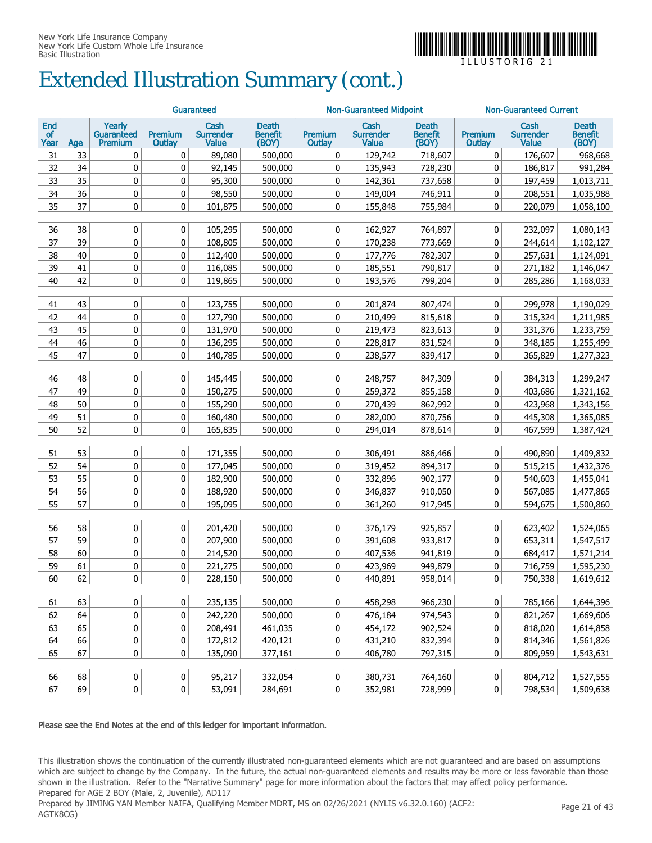

 $\Box$  L L U S T O R I G

## Extended Illustration Summary (cont.)

|                   |          | Guaranteed                      |                   |                                   |                                         |                          | <b>Non-Guaranteed Midpoint</b>    |                                         | <b>Non-Guaranteed Current</b> |                                   |                                         |
|-------------------|----------|---------------------------------|-------------------|-----------------------------------|-----------------------------------------|--------------------------|-----------------------------------|-----------------------------------------|-------------------------------|-----------------------------------|-----------------------------------------|
| End<br>of<br>Year | Age      | Yearly<br>Guaranteed<br>Premium | Premium<br>Outlay | Cash<br><b>Surrender</b><br>Value | <b>Death</b><br><b>Benefit</b><br>(BOY) | <b>Premium</b><br>Outlay | Cash<br><b>Surrender</b><br>Value | <b>Death</b><br><b>Benefit</b><br>(BOY) | <b>Premium</b><br>Outlay      | Cash<br><b>Surrender</b><br>Value | <b>Death</b><br><b>Benefit</b><br>(BOY) |
| 31                | 33       | 0                               | 0                 | 89,080                            | 500,000                                 | 0                        | 129,742                           | 718,607                                 | 0                             | 176,607                           | 968,668                                 |
| 32                | 34       | 0                               | 0                 | 92,145                            | 500,000                                 | 0                        | 135,943                           | 728,230                                 | 0                             | 186,817                           | 991,284                                 |
| 33                | 35       | 0                               | 0                 | 95,300                            | 500,000                                 | 0                        | 142,361                           | 737,658                                 | $\mathbf 0$                   | 197,459                           | 1,013,711                               |
| 34                | 36       | 0                               | 0                 | 98,550                            | 500,000                                 | 0                        | 149,004                           | 746,911                                 | $\mathbf 0$                   | 208,551                           | 1,035,988                               |
| 35                | 37       | 0                               | 0                 | 101,875                           | 500,000                                 | 0                        | 155,848                           | 755,984                                 | $\mathbf 0$                   | 220,079                           | 1,058,100                               |
| 36                | 38       | 0                               | 0                 | 105,295                           | 500,000                                 | 0                        | 162,927                           | 764,897                                 | $\mathbf 0$                   | 232,097                           | 1,080,143                               |
| 37                | 39       | 0                               | 0                 | 108,805                           | 500,000                                 | 0                        | 170,238                           | 773,669                                 | $\mathbf 0$                   | 244,614                           | 1,102,127                               |
| 38                | 40       | 0                               | 0                 | 112,400                           | 500,000                                 | 0                        | 177,776                           | 782,307                                 | $\mathbf 0$                   | 257,631                           | 1,124,091                               |
| 39                | 41       | 0                               | 0                 | 116,085                           | 500,000                                 | 0                        | 185,551                           | 790,817                                 | 0                             | 271,182                           | 1,146,047                               |
| 40                | 42       | 0                               | 0                 | 119,865                           | 500,000                                 | 0                        | 193,576                           | 799,204                                 | $\mathbf 0$                   | 285,286                           | 1,168,033                               |
|                   |          |                                 |                   |                                   |                                         |                          |                                   |                                         |                               |                                   |                                         |
| 41                | 43       | 0                               | 0                 | 123,755                           | 500,000                                 | 0                        | 201,874                           | 807,474                                 | $\mathbf 0$                   | 299,978                           | 1,190,029                               |
| 42                | 44       | 0                               | 0                 | 127,790                           | 500,000                                 | 0                        | 210,499                           | 815,618                                 | 0                             | 315,324                           | 1,211,985                               |
| 43                | 45       | 0                               | 0                 | 131,970                           | 500,000                                 | 0                        | 219,473                           | 823,613                                 | 0                             | 331,376                           | 1,233,759                               |
| 44                | 46       | 0                               | 0                 | 136,295                           | 500,000                                 | 0                        | 228,817                           | 831,524                                 | 0                             | 348,185                           | 1,255,499                               |
| 45                | 47       | 0                               | 0                 | 140,785                           | 500,000                                 | 0                        | 238,577                           | 839,417                                 | 0                             | 365,829                           | 1,277,323                               |
|                   |          |                                 |                   |                                   |                                         |                          |                                   |                                         |                               |                                   |                                         |
| 46                | 48       | 0                               | 0                 | 145,445                           | 500,000                                 | 0                        | 248,757                           | 847,309                                 | 0                             | 384,313                           | 1,299,247                               |
| 47                | 49       | 0                               | 0                 | 150,275                           | 500,000                                 | 0                        | 259,372                           | 855,158                                 | $\mathbf 0$                   | 403,686                           | 1,321,162                               |
| 48                | 50       | 0                               | 0                 | 155,290                           | 500,000                                 | 0                        | 270,439                           | 862,992                                 | $\mathbf 0$                   | 423,968                           | 1,343,156                               |
| 49<br>50          | 51<br>52 | 0<br>0                          | 0<br>0            | 160,480<br>165,835                | 500,000                                 | 0<br>0                   | 282,000<br>294,014                | 870,756                                 | $\mathbf 0$<br>$\mathbf 0$    | 445,308                           | 1,365,085<br>1,387,424                  |
|                   |          |                                 |                   |                                   | 500,000                                 |                          |                                   | 878,614                                 |                               | 467,599                           |                                         |
| 51                | 53       | 0                               | 0                 | 171,355                           | 500,000                                 | 0                        | 306,491                           | 886,466                                 | 0                             | 490,890                           | 1,409,832                               |
| 52                | 54       | 0                               | 0                 | 177,045                           | 500,000                                 | 0                        | 319,452                           | 894,317                                 | $\mathbf 0$                   | 515,215                           | 1,432,376                               |
| 53                | 55       | 0                               | 0                 | 182,900                           | 500,000                                 | 0                        | 332,896                           | 902,177                                 | $\mathbf 0$                   | 540,603                           | 1,455,041                               |
| 54                | 56       | 0                               | 0                 | 188,920                           | 500,000                                 | 0                        | 346,837                           | 910,050                                 | $\mathbf 0$                   | 567,085                           | 1,477,865                               |
| 55                | 57       | 0                               | 0                 | 195,095                           | 500,000                                 | 0                        | 361,260                           | 917,945                                 | $\mathbf 0$                   | 594,675                           | 1,500,860                               |
|                   |          |                                 |                   |                                   |                                         |                          |                                   |                                         |                               |                                   |                                         |
| 56                | 58       | 0                               | 0                 | 201,420                           | 500,000                                 | 0                        | 376,179                           | 925,857                                 | 0                             | 623,402                           | 1,524,065                               |
| 57                | 59       | 0                               | 0                 | 207,900                           | 500,000                                 | 0                        | 391,608                           | 933,817                                 | 0                             | 653,311                           | 1,547,517                               |
| 58                | 60       | 0                               | 0                 | 214,520                           | 500,000                                 | 0                        | 407,536                           | 941,819                                 | 0                             | 684,417                           | 1,571,214                               |
| 59                | 61       | 0                               | 0                 | 221,275                           | 500,000                                 | 0                        | 423,969                           | 949,879                                 | 0                             | 716,759                           | 1,595,230                               |
| 60                | 62       | $\Omega$                        | 0                 | 228,150                           | 500,000                                 | 0                        | 440,891                           | 958,014                                 | $\pmb{0}$                     | 750,338                           | 1,619,612                               |
| 61                | 63       | $\pmb{0}$                       | 0                 | 235,135                           | 500,000                                 | 0                        | 458,298                           | 966,230                                 | 0                             | 785,166                           | 1,644,396                               |
| 62                | 64       | 0                               | 0                 | 242,220                           | 500,000                                 | 0                        | 476,184                           | 974,543                                 | $\pmb{0}$                     | 821,267                           | 1,669,606                               |
| 63                | 65       | 0                               | 0                 | 208,491                           | 461,035                                 | 0                        | 454,172                           | 902,524                                 | $\pmb{0}$                     | 818,020                           | 1,614,858                               |
| 64                | 66       | $\pmb{0}$                       | 0                 | 172,812                           | 420,121                                 | 0                        | 431,210                           | 832,394                                 | $\pmb{0}$                     | 814,346                           | 1,561,826                               |
| 65                | 67       | 0                               | 0                 | 135,090                           | 377,161                                 | 0                        | 406,780                           | 797,315                                 | 0                             | 809,959                           | 1,543,631                               |
|                   |          |                                 |                   |                                   |                                         |                          |                                   |                                         |                               |                                   |                                         |
| 66                | 68       | $\pmb{0}$                       | 0                 | 95,217                            | 332,054                                 | 0                        | 380,731                           | 764,160                                 | $\pmb{0}$                     | 804,712                           | 1,527,555                               |
| 67                | 69       | 0                               | $\pmb{0}$         | 53,091                            | 284,691                                 | 0                        | 352,981                           | 728,999                                 | $\pmb{0}$                     | 798,534                           | 1,509,638                               |

#### Please see the End Notes at the end of this ledger for important information.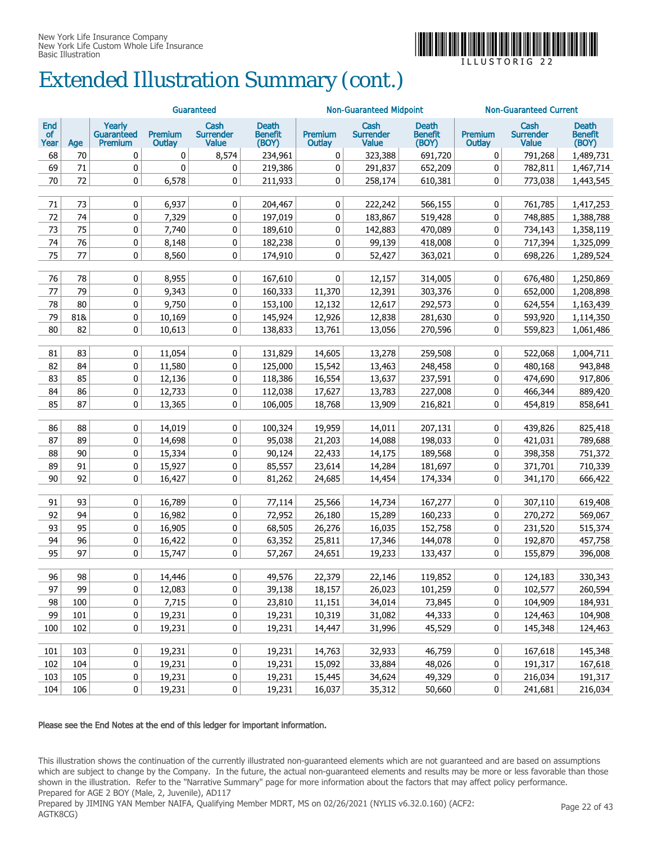

 $\Box$  L L U S T O R I G

## Extended Illustration Summary (cont.)

|                   |          | Guaranteed                      |                          |                                          |                                         |                          | <b>Non-Guaranteed Midpoint</b>           |                                         | <b>Non-Guaranteed Current</b> |                                          |                                         |
|-------------------|----------|---------------------------------|--------------------------|------------------------------------------|-----------------------------------------|--------------------------|------------------------------------------|-----------------------------------------|-------------------------------|------------------------------------------|-----------------------------------------|
| End<br>of<br>Year | Age      | Yearly<br>Guaranteed<br>Premium | <b>Premium</b><br>Outlay | Cash<br><b>Surrender</b><br><b>Value</b> | <b>Death</b><br><b>Benefit</b><br>(BOY) | <b>Premium</b><br>Outlay | Cash<br><b>Surrender</b><br><b>Value</b> | <b>Death</b><br><b>Benefit</b><br>(BOY) | Premium<br>Outlay             | Cash<br><b>Surrender</b><br><b>Value</b> | <b>Death</b><br><b>Benefit</b><br>(BOY) |
| 68                | 70       | 0                               | 0                        | 8,574                                    | 234,961                                 | 0                        | 323,388                                  | 691,720                                 | 0                             | 791,268                                  | 1,489,731                               |
| 69                | 71       | 0                               | 0                        | 0                                        | 219,386                                 | 0                        | 291,837                                  | 652,209                                 | 0                             | 782,811                                  | 1,467,714                               |
| 70                | 72       | 0                               | 6,578                    | 0                                        | 211,933                                 | 0                        | 258,174                                  | 610,381                                 | 0                             | 773,038                                  | 1,443,545                               |
|                   |          |                                 |                          |                                          |                                         |                          |                                          |                                         |                               |                                          |                                         |
| 71                | 73<br>74 | 0                               | 6,937                    | 0                                        | 204,467                                 | 0                        | 222,242                                  | 566,155                                 | 0                             | 761,785                                  | 1,417,253                               |
| 72                | 75       | 0                               | 7,329                    | 0                                        | 197,019                                 | 0                        | 183,867                                  | 519,428                                 | 0                             | 748,885                                  | 1,388,788                               |
| 73<br>74          | 76       | 0                               | 7,740<br>8,148           | 0                                        | 189,610                                 | 0                        | 142,883                                  | 470,089<br>418,008                      | 0<br>0                        | 734,143                                  | 1,358,119                               |
| 75                | 77       | 0                               | 8,560                    | 0<br>0                                   | 182,238                                 | 0<br>0                   | 99,139<br>52,427                         |                                         | 0                             | 717,394<br>698,226                       | 1,325,099                               |
|                   |          | 0                               |                          |                                          | 174,910                                 |                          |                                          | 363,021                                 |                               |                                          | 1,289,524                               |
| 76                | 78       | 0                               | 8,955                    | 0                                        | 167,610                                 | $\mathbf 0$              | 12,157                                   | 314,005                                 | 0                             | 676,480                                  | 1,250,869                               |
| 77                | 79       | 0                               | 9,343                    | 0                                        | 160,333                                 | 11,370                   | 12,391                                   | 303,376                                 | 0                             | 652,000                                  | 1,208,898                               |
| 78                | 80       | 0                               | 9,750                    | 0                                        | 153,100                                 | 12,132                   | 12,617                                   | 292,573                                 | 0                             | 624,554                                  | 1,163,439                               |
| 79                | 81&      | 0                               | 10,169                   | 0                                        | 145,924                                 | 12,926                   | 12,838                                   | 281,630                                 | 0                             | 593,920                                  | 1,114,350                               |
| 80                | 82       | 0                               | 10,613                   | 0                                        | 138,833                                 | 13,761                   | 13,056                                   | 270,596                                 | 0                             | 559,823                                  | 1,061,486                               |
|                   |          |                                 |                          |                                          |                                         |                          |                                          |                                         |                               |                                          |                                         |
| 81                | 83       | 0                               | 11,054                   | 0                                        | 131,829                                 | 14,605                   | 13,278                                   | 259,508                                 | 0                             | 522,068                                  | 1,004,711                               |
| 82                | 84       | 0                               | 11,580                   | 0                                        | 125,000                                 | 15,542                   | 13,463                                   | 248,458                                 | 0                             | 480,168                                  | 943,848                                 |
| 83                | 85       | 0                               | 12,136                   | 0                                        | 118,386                                 | 16,554                   | 13,637                                   | 237,591                                 | 0                             | 474,690                                  | 917,806                                 |
| 84                | 86       | 0                               | 12,733                   | 0                                        | 112,038                                 | 17,627                   | 13,783                                   | 227,008                                 | 0                             | 466,344                                  | 889,420                                 |
| 85                | 87       | 0                               | 13,365                   | 0                                        | 106,005                                 | 18,768                   | 13,909                                   | 216,821                                 | 0                             | 454,819                                  | 858,641                                 |
|                   |          |                                 |                          |                                          |                                         |                          |                                          |                                         |                               |                                          |                                         |
| 86                | 88       | 0                               | 14,019                   | 0                                        | 100,324                                 | 19,959                   | 14,011                                   | 207,131                                 | 0                             | 439,826                                  | 825,418                                 |
| 87                | 89       | 0                               | 14,698                   | 0                                        | 95,038                                  | 21,203                   | 14,088                                   | 198,033                                 | 0                             | 421,031                                  | 789,688                                 |
| 88                | 90       | 0                               | 15,334                   | 0                                        | 90,124                                  | 22,433                   | 14,175                                   | 189,568                                 | 0                             | 398,358                                  | 751,372                                 |
| 89                | 91       | 0                               | 15,927                   | 0                                        | 85,557                                  | 23,614                   | 14,284                                   | 181,697                                 | 0                             | 371,701                                  | 710,339                                 |
| 90                | 92       | 0                               | 16,427                   | 0                                        | 81,262                                  | 24,685                   | 14,454                                   | 174,334                                 | 0                             | 341,170                                  | 666,422                                 |
| 91                | 93       | 0                               | 16,789                   | 0                                        | 77,114                                  | 25,566                   | 14,734                                   | 167,277                                 | 0                             | 307,110                                  | 619,408                                 |
| 92                | 94       | 0                               | 16,982                   | 0                                        | 72,952                                  | 26,180                   | 15,289                                   | 160,233                                 | 0                             | 270,272                                  | 569,067                                 |
| 93                | 95       | 0                               | 16,905                   | 0                                        | 68,505                                  | 26,276                   | 16,035                                   | 152,758                                 | 0                             | 231,520                                  | 515,374                                 |
| 94                | 96       | 0                               | 16,422                   | 0                                        | 63,352                                  | 25,811                   | 17,346                                   | 144,078                                 | 0                             | 192,870                                  | 457,758                                 |
| 95                | 97       | 0                               | 15,747                   | 0                                        | 57,267                                  | 24,651                   | 19,233                                   | 133,437                                 | 0                             | 155,879                                  | 396,008                                 |
|                   |          |                                 |                          |                                          |                                         |                          |                                          |                                         |                               |                                          |                                         |
| 96                | 98       | 0                               | 14,446                   | 0                                        | 49,576                                  | 22,379                   | 22,146                                   | 119,852                                 | 0                             | 124,183                                  | 330,343                                 |
| 97                | 99       | 0                               | 12,083                   | 0                                        | 39,138                                  | 18,157                   | 26,023                                   | 101,259                                 | 0                             | 102,577                                  | 260,594                                 |
| 98                | 100      | 0                               | 7,715                    | 0                                        | 23,810                                  | 11,151                   | 34,014                                   | 73,845                                  | 0                             | 104,909                                  | 184,931                                 |
| 99                | 101      | 0                               | 19,231                   | 0                                        | 19,231                                  | 10,319                   | 31,082                                   | 44,333                                  | 0                             | 124,463                                  | 104,908                                 |
| 100               | 102      | 0                               | 19,231                   | 0                                        | 19,231                                  | 14,447                   | 31,996                                   | 45,529                                  | 0                             | 145,348                                  | 124,463                                 |
|                   |          |                                 |                          |                                          |                                         |                          |                                          |                                         |                               |                                          |                                         |
| 101               | 103      | 0                               | 19,231                   | 0                                        | 19,231                                  | 14,763                   | 32,933                                   | 46,759                                  | 0                             | 167,618                                  | 145,348                                 |
| 102               | 104      | 0                               | 19,231                   | 0                                        | 19,231                                  | 15,092                   | 33,884                                   | 48,026                                  | 0                             | 191,317                                  | 167,618                                 |
| 103               | 105      | $\overline{0}$                  | 19,231                   | $\overline{\mathbf{0}}$                  | 19,231                                  | 15,445                   | 34,624                                   | 49,329                                  | 0                             | 216,034                                  | 191,317                                 |
| 104               | 106      | 0                               | 19,231                   | $\mathbf{0}$                             | 19,231                                  | 16,037                   | 35,312                                   | 50,660                                  | 0                             | 241,681                                  | 216,034                                 |

#### Please see the End Notes at the end of this ledger for important information.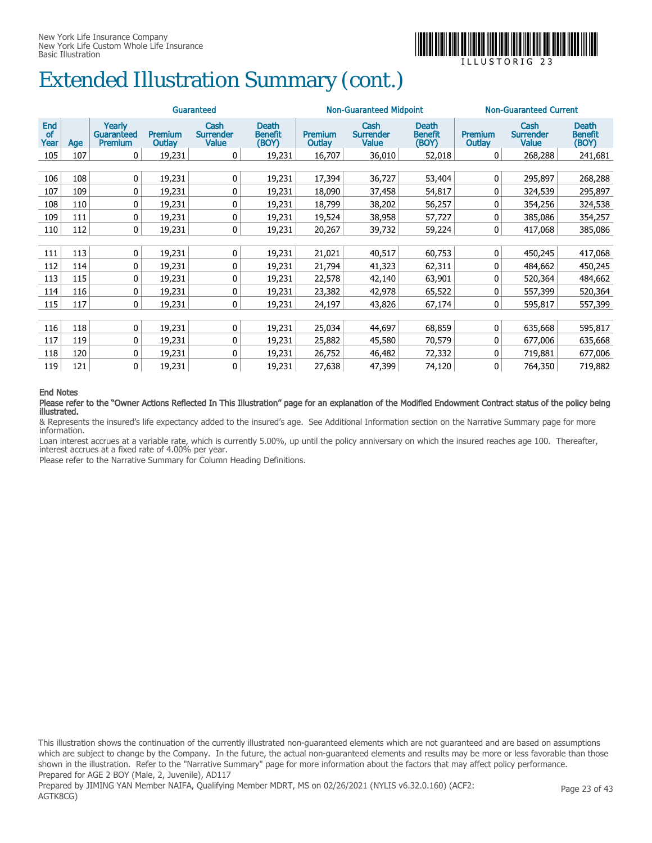

## Extended Illustration Summary (cont.)

|                   | Guaranteed |                                               |                          |                                          |                                         |                                 | <b>Non-Guaranteed Midpoint</b>           |                                         | <b>Non-Guaranteed Current</b> |                                          |                                         |
|-------------------|------------|-----------------------------------------------|--------------------------|------------------------------------------|-----------------------------------------|---------------------------------|------------------------------------------|-----------------------------------------|-------------------------------|------------------------------------------|-----------------------------------------|
| End<br>of<br>Year | Age        | Yearly<br><b>Guaranteed</b><br><b>Premium</b> | <b>Premium</b><br>Outlay | Cash<br><b>Surrender</b><br><b>Value</b> | <b>Death</b><br><b>Benefit</b><br>(BOY) | <b>Premium</b><br><b>Outlay</b> | Cash<br><b>Surrender</b><br><b>Value</b> | <b>Death</b><br><b>Benefit</b><br>(BOY) | <b>Premium</b><br>Outlay      | Cash<br><b>Surrender</b><br><b>Value</b> | <b>Death</b><br><b>Benefit</b><br>(BOY) |
| 105               | 107        | 0                                             | 19,231                   | 0                                        | 19,231                                  | 16,707                          | 36,010                                   | 52,018                                  | 0                             | 268,288                                  | 241,681                                 |
| 106               | 108        | 0                                             | 19,231                   | 0                                        | 19,231                                  | 17,394                          | 36,727                                   | 53,404                                  | 0                             | 295,897                                  | 268,288                                 |
| 107               | 109        | 0                                             | 19,231                   | 0                                        | 19,231                                  | 18,090                          | 37,458                                   | 54,817                                  | 0                             | 324,539                                  | 295,897                                 |
| 108               | 110        | 0                                             | 19,231                   | 0                                        | 19,231                                  | 18,799                          | 38,202                                   | 56,257                                  | 0                             | 354,256                                  | 324,538                                 |
| 109               | 111        | 0                                             | 19,231                   | 0                                        | 19,231                                  | 19,524                          | 38,958                                   | 57,727                                  | 0                             | 385,086                                  | 354,257                                 |
| 110               | 112        | 0                                             | 19,231                   | 0                                        | 19,231                                  | 20,267                          | 39,732                                   | 59,224                                  | 0                             | 417,068                                  | 385,086                                 |
|                   |            |                                               |                          |                                          |                                         |                                 |                                          |                                         |                               |                                          |                                         |
| 111               | 113        | 0                                             | 19,231                   | 0                                        | 19,231                                  | 21,021                          | 40,517                                   | 60,753                                  | 0                             | 450,245                                  | 417,068                                 |
| 112               | 114        | 0                                             | 19,231                   | 0                                        | 19,231                                  | 21,794                          | 41,323                                   | 62,311                                  | 0                             | 484,662                                  | 450,245                                 |
| 113               | 115        | 0                                             | 19,231                   | 0                                        | 19,231                                  | 22,578                          | 42,140                                   | 63,901                                  | 0                             | 520,364                                  | 484,662                                 |
| 114               | 116        | 0                                             | 19,231                   | 0                                        | 19,231                                  | 23,382                          | 42,978                                   | 65,522                                  | $\mathbf 0$                   | 557,399                                  | 520,364                                 |
| 115               | 117        | 0                                             | 19,231                   | 0                                        | 19,231                                  | 24,197                          | 43,826                                   | 67,174                                  | 0                             | 595,817                                  | 557,399                                 |
|                   |            |                                               |                          |                                          |                                         |                                 |                                          |                                         |                               |                                          |                                         |
| 116               | 118        | 0                                             | 19,231                   | 0                                        | 19,231                                  | 25,034                          | 44,697                                   | 68,859                                  | $\mathbf 0$                   | 635,668                                  | 595,817                                 |
| 117               | 119        | 0                                             | 19,231                   | 0                                        | 19,231                                  | 25,882                          | 45,580                                   | 70,579                                  | 0                             | 677,006                                  | 635,668                                 |
| 118               | 120        | 0                                             | 19,231                   | 0                                        | 19,231                                  | 26,752                          | 46,482                                   | 72,332                                  | 0                             | 719,881                                  | 677,006                                 |
| 119               | 121        | 0                                             | 19,231                   | 0                                        | 19,231                                  | 27,638                          | 47,399                                   | 74,120                                  | 0                             | 764,350                                  | 719,882                                 |

#### End Notes

Please refer to the "Owner Actions Reflected In This Illustration" page for an explanation of the Modified Endowment Contract status of the policy being illustrated.

& Represents the insured's life expectancy added to the insured's age. See Additional Information section on the Narrative Summary page for more information.

Loan interest accrues at a variable rate, which is currently 5.00%, up until the policy anniversary on which the insured reaches age 100. Thereafter, interest accrues at a fixed rate of 4.00% per year.

Please refer to the Narrative Summary for Column Heading Definitions.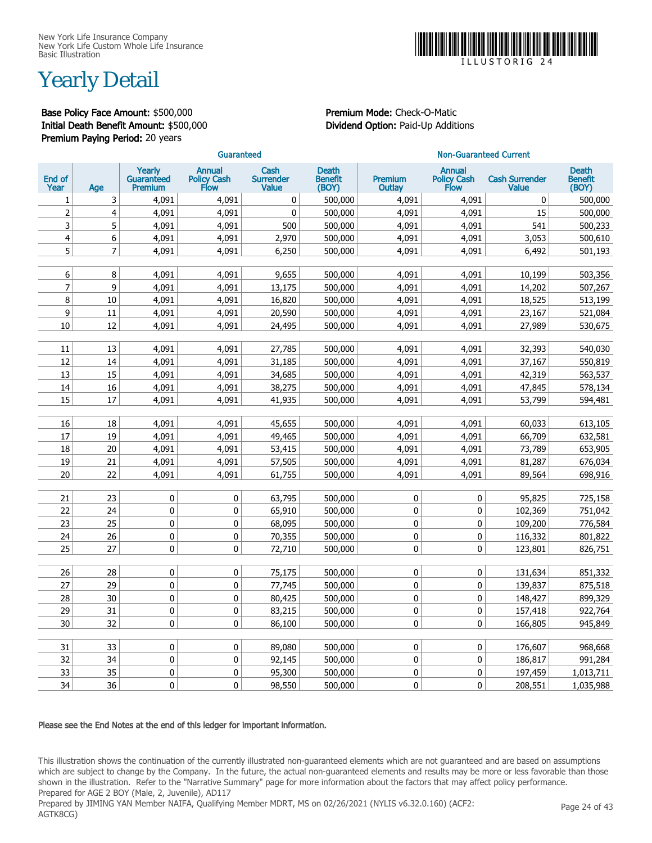

### Yearly Detail

Base Policy Face Amount: \$500,000 Premium Mode: Check-O-Matic Initial Death Benefit Amount: \$500,000 Dividend Option: Paid-Up Additions Premium Paying Period: 20 years

|                |                |                                 | Guaranteed                           |                                          |                                         | <b>Non-Guaranteed Current</b> |                                                    |                                       |                                         |  |  |
|----------------|----------------|---------------------------------|--------------------------------------|------------------------------------------|-----------------------------------------|-------------------------------|----------------------------------------------------|---------------------------------------|-----------------------------------------|--|--|
| End of<br>Year | Age            | Yearly<br>Guaranteed<br>Premium | <b>Annual</b><br>Policy Cash<br>Flow | Cash<br><b>Surrender</b><br><b>Value</b> | <b>Death</b><br><b>Benefit</b><br>(BOY) | Premium<br><b>Outlay</b>      | <b>Annual</b><br><b>Policy Cash</b><br><b>Flow</b> | <b>Cash Surrender</b><br><b>Value</b> | <b>Death</b><br><b>Benefit</b><br>(BOY) |  |  |
| 1              | 3              | 4,091                           | 4,091                                | 0                                        | 500,000                                 | 4,091                         | 4,091                                              | 0                                     | 500,000                                 |  |  |
| $\overline{2}$ | 4              | 4,091                           | 4,091                                | $\mathbf 0$                              | 500,000                                 | 4,091                         | 4,091                                              | 15                                    | 500,000                                 |  |  |
| 3              | 5              | 4,091                           | 4,091                                | 500                                      | 500,000                                 | 4,091                         | 4,091                                              | 541                                   | 500,233                                 |  |  |
| 4              | 6              | 4,091                           | 4,091                                | 2,970                                    | 500,000                                 | 4,091                         | 4,091                                              | 3,053                                 | 500,610                                 |  |  |
| 5              | $\overline{7}$ | 4,091                           | 4,091                                | 6,250                                    | 500,000                                 | 4,091                         | 4,091                                              | 6,492                                 | 501,193                                 |  |  |
|                |                |                                 |                                      |                                          |                                         |                               |                                                    |                                       |                                         |  |  |
| 6              | 8              | 4,091                           | 4,091                                | 9,655                                    | 500,000                                 | 4,091                         | 4,091                                              | 10,199                                | 503,356                                 |  |  |
| 7              | 9              | 4,091                           | 4,091                                | 13,175                                   | 500,000                                 | 4,091                         | 4,091                                              | 14,202                                | 507,267                                 |  |  |
| 8              | 10             | 4,091                           | 4,091                                | 16,820                                   | 500,000                                 | 4,091                         | 4,091                                              | 18,525                                | 513,199                                 |  |  |
| 9              | 11             | 4,091                           | 4,091                                | 20,590                                   | 500,000                                 | 4,091                         | 4,091                                              | 23,167                                | 521,084                                 |  |  |
| 10             | 12             | 4,091                           | 4,091                                | 24,495                                   | 500,000                                 | 4,091                         | 4,091                                              | 27,989                                | 530,675                                 |  |  |
|                |                |                                 |                                      |                                          |                                         |                               |                                                    |                                       |                                         |  |  |
| 11             | 13             | 4,091                           | 4,091                                | 27,785                                   | 500,000                                 | 4,091                         | 4,091                                              | 32,393                                | 540,030                                 |  |  |
| 12             | 14             | 4,091                           | 4,091                                | 31,185                                   | 500,000                                 | 4,091                         | 4,091                                              | 37,167                                | 550,819                                 |  |  |
| 13             | 15             | 4,091                           | 4,091                                | 34,685                                   | 500,000                                 | 4,091                         | 4,091                                              | 42,319                                | 563,537                                 |  |  |
| 14             | 16             | 4,091                           | 4,091                                | 38,275                                   | 500,000                                 | 4,091                         | 4,091                                              | 47,845                                | 578,134                                 |  |  |
| 15             | 17             | 4,091                           | 4,091                                | 41,935                                   | 500,000                                 | 4.091                         | 4,091                                              | 53,799                                | 594,481                                 |  |  |
| 16             | 18             | 4,091                           | 4,091                                | 45,655                                   | 500,000                                 | 4,091                         | 4,091                                              | 60,033                                | 613,105                                 |  |  |
| 17             | 19             |                                 |                                      |                                          |                                         |                               |                                                    |                                       |                                         |  |  |
| 18             | 20             | 4,091                           | 4,091                                | 49,465                                   | 500,000                                 | 4,091                         | 4,091                                              | 66,709<br>73,789                      | 632,581<br>653,905                      |  |  |
| 19             | 21             | 4,091                           | 4,091                                | 53,415                                   | 500,000                                 | 4,091                         | 4,091                                              |                                       |                                         |  |  |
|                |                | 4,091                           | 4,091                                | 57,505                                   | 500,000                                 | 4,091                         | 4,091                                              | 81,287                                | 676,034                                 |  |  |
| 20             | 22             | 4,091                           | 4,091                                | 61,755                                   | 500,000                                 | 4,091                         | 4,091                                              | 89,564                                | 698,916                                 |  |  |
| 21             | 23             | 0                               | 0                                    | 63,795                                   | 500,000                                 | 0                             | 0                                                  | 95,825                                | 725,158                                 |  |  |
| 22             | 24             | 0                               | 0                                    | 65,910                                   | 500,000                                 | 0                             | $\bf{0}$                                           | 102,369                               | 751,042                                 |  |  |
| 23             | 25             | 0                               | $\pmb{0}$                            | 68,095                                   | 500,000                                 | 0                             | 0                                                  | 109,200                               | 776,584                                 |  |  |
| 24             | 26             | 0                               | 0                                    | 70,355                                   | 500,000                                 | 0                             | 0                                                  | 116,332                               | 801,822                                 |  |  |
| 25             | 27             | 0                               | 0                                    | 72,710                                   | 500,000                                 | 0                             | 0                                                  | 123,801                               | 826,751                                 |  |  |
|                |                |                                 |                                      |                                          |                                         |                               |                                                    |                                       |                                         |  |  |
| 26             | 28             | 0                               | 0                                    | 75,175                                   | 500,000                                 | 0                             | 0                                                  | 131,634                               | 851,332                                 |  |  |
| 27             | 29             | $\pmb{0}$                       | $\pmb{0}$                            | 77,745                                   | 500,000                                 | 0                             | $\pmb{0}$                                          | 139,837                               | 875,518                                 |  |  |
| 28             | 30             | $\mathbf 0$                     | $\pmb{0}$                            | 80,425                                   | 500,000                                 | 0                             | $\mathbf 0$                                        | 148,427                               | 899,329                                 |  |  |
| 29             | 31             | $\pmb{0}$                       | $\pmb{0}$                            | 83,215                                   | 500,000                                 | 0                             | 0                                                  | 157,418                               | 922,764                                 |  |  |
| 30             | 32             | 0                               | 0                                    | 86,100                                   | 500,000                                 | 0                             | 0                                                  | 166,805                               | 945,849                                 |  |  |
|                |                |                                 |                                      |                                          |                                         |                               |                                                    |                                       |                                         |  |  |
| 31             | 33             | $\pmb{0}$                       | $\pmb{0}$                            | 89,080                                   | 500,000                                 | 0                             | 0                                                  | 176,607                               | 968,668                                 |  |  |
| 32             | 34             | 0                               | $\mathbf 0$                          | 92,145                                   | 500,000                                 | 0                             | 0                                                  | 186,817                               | 991,284                                 |  |  |
| 33             | 35             | 0                               | 0                                    | 95,300                                   | 500,000                                 | 0                             | $\mathbf 0$                                        | 197,459                               | 1,013,711                               |  |  |
| 34             | 36             | $\mathbf{0}$                    | $\mathbf{0}$                         | 98,550                                   | 500,000                                 | 0                             | $\mathbf{0}$                                       | 208,551                               | 1,035,988                               |  |  |

#### Please see the End Notes at the end of this ledger for important information.

This illustration shows the continuation of the currently illustrated non-guaranteed elements which are not guaranteed and are based on assumptions which are subject to change by the Company. In the future, the actual non-guaranteed elements and results may be more or less favorable than those shown in the illustration. Refer to the "Narrative Summary" page for more information about the factors that may affect policy performance. Prepared for AGE 2 BOY (Male, 2, Juvenile), AD117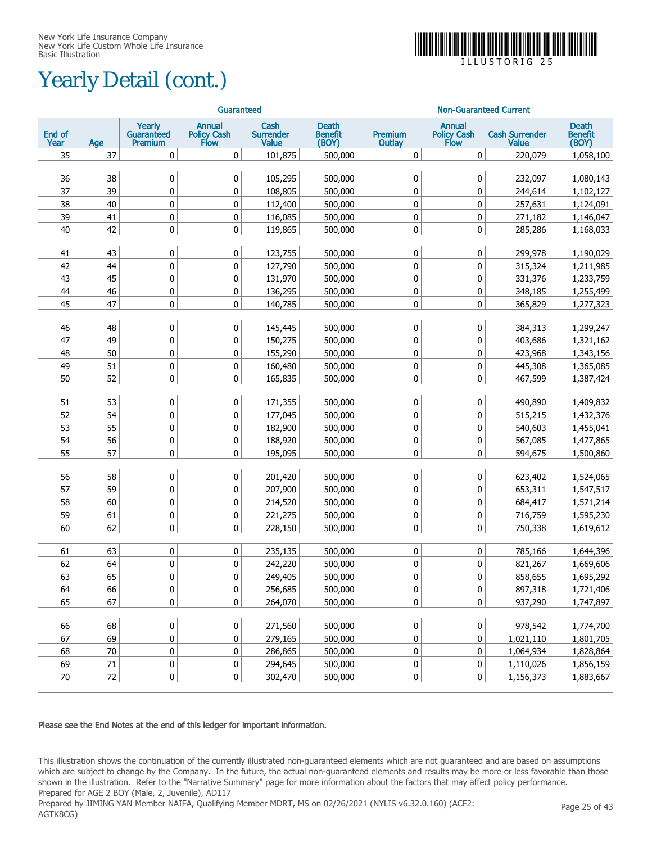## Yearly Detail (cont.)



|                |        |                                        | Guaranteed                           |                                   |                                  | <b>Non-Guaranteed Current</b> |                                      |                                       |                                         |  |  |
|----------------|--------|----------------------------------------|--------------------------------------|-----------------------------------|----------------------------------|-------------------------------|--------------------------------------|---------------------------------------|-----------------------------------------|--|--|
| End of<br>Year | Age    | Yearly<br><b>Guaranteed</b><br>Premium | <b>Annual</b><br>Policy Cash<br>Flow | Cash<br>Surrender<br><b>Value</b> | <b>Death</b><br>Benefit<br>(BOY) | Premium<br>Outlay             | <b>Annual</b><br>Policy Cash<br>Flow | <b>Cash Surrender</b><br><b>Value</b> | <b>Death</b><br><b>Benefit</b><br>(BOY) |  |  |
| 35             | 37     | $\mathbf 0$                            | $\mathbf 0$                          | 101,875                           | 500,000                          | 0                             | 0                                    | 220,079                               | 1,058,100                               |  |  |
|                |        |                                        |                                      |                                   |                                  |                               |                                      |                                       |                                         |  |  |
| 36             | 38     | $\mathbf 0$                            | 0                                    | 105,295                           | 500,000                          | 0                             | 0                                    | 232,097                               | 1,080,143                               |  |  |
| 37             | 39     | $\mathbf 0$                            | $\mathbf 0$                          | 108,805                           | 500,000                          | 0                             | 0                                    | 244,614                               | 1,102,127                               |  |  |
| 38             | 40     | $\mathbf 0$                            | $\mathbf 0$                          | 112,400                           | 500,000                          | $\pmb{0}$                     | 0                                    | 257,631                               | 1,124,091                               |  |  |
| 39             | 41     | $\mathbf 0$                            | $\mathbf 0$                          | 116,085                           | 500,000                          | $\pmb{0}$                     | $\pmb{0}$                            | 271,182                               | 1,146,047                               |  |  |
| 40             | 42     | $\mathbf 0$                            | 0                                    | 119,865                           | 500,000                          | 0                             | 0                                    | 285,286                               | 1,168,033                               |  |  |
|                |        |                                        |                                      |                                   |                                  |                               |                                      |                                       |                                         |  |  |
| 41             | 43     | $\bf{0}$                               | 0                                    | 123,755                           | 500,000                          | 0                             | 0                                    | 299,978                               | 1,190,029                               |  |  |
| 42             | 44     | $\mathbf 0$                            | 0                                    | 127,790                           | 500,000                          | 0                             | 0                                    | 315,324                               | 1,211,985                               |  |  |
| 43             | 45     | $\mathbf 0$                            | $\pmb{0}$                            | 131,970                           | 500,000                          | 0                             | 0                                    | 331,376                               | 1,233,759                               |  |  |
| 44             | 46     | $\pmb{0}$                              | $\pmb{0}$                            | 136,295                           | 500,000                          | 0                             | $\pmb{0}$                            | 348,185                               | 1,255,499                               |  |  |
| 45             | 47     | $\mathbf 0$                            | $\mathbf 0$                          | 140,785                           | 500,000                          | 0                             | 0                                    | 365,829                               | 1,277,323                               |  |  |
|                |        |                                        |                                      |                                   |                                  |                               |                                      |                                       |                                         |  |  |
| 46             | 48     | 0                                      | 0                                    | 145,445                           | 500,000                          | 0                             | 0                                    | 384,313                               | 1,299,247                               |  |  |
| 47             | 49     | $\mathbf{0}$                           | $\pmb{0}$                            | 150,275                           | 500,000                          | 0                             | 0                                    | 403,686                               | 1,321,162                               |  |  |
| 48             | 50     | $\mathbf{0}$                           | $\pmb{0}$                            | 155,290                           | 500,000                          | 0                             | 0                                    | 423,968                               | 1,343,156                               |  |  |
| 49             | 51     | $\bf{0}$                               | 0                                    | 160,480                           | 500,000                          | 0                             | 0                                    | 445,308                               | 1,365,085                               |  |  |
| 50             | 52     | $\mathbf 0$                            | $\mathbf 0$                          | 165,835                           | 500,000                          | 0                             | 0                                    | 467,599                               | 1,387,424                               |  |  |
|                |        |                                        |                                      |                                   |                                  |                               |                                      |                                       |                                         |  |  |
| 51             | 53     | $\bf{0}$                               | 0                                    | 171,355                           | 500,000                          | 0                             | 0                                    | 490,890                               | 1,409,832                               |  |  |
| 52             | 54     | $\mathbf 0$                            | $\mathbf 0$                          | 177,045                           | 500,000                          | $\pmb{0}$                     | $\pmb{0}$                            | 515,215                               | 1,432,376                               |  |  |
| 53             | 55     | $\mathbf 0$                            | $\mathbf 0$                          | 182,900                           | 500,000                          | $\pmb{0}$                     | 0                                    | 540,603                               | 1,455,041                               |  |  |
| 54             | 56     | $\mathbf 0$                            | $\mathbf 0$                          | 188,920                           | 500,000                          | $\pmb{0}$                     | $\pmb{0}$                            | 567,085                               | 1,477,865                               |  |  |
| 55             | 57     | $\mathbf 0$                            | 0                                    | 195,095                           | 500,000                          | $\pmb{0}$                     | $\pmb{0}$                            | 594,675                               | 1,500,860                               |  |  |
|                |        |                                        |                                      |                                   |                                  |                               |                                      |                                       |                                         |  |  |
| 56             | 58     | $\pmb{0}$                              | 0                                    | 201,420                           | 500,000                          | 0                             | 0                                    | 623,402                               | 1,524,065                               |  |  |
| 57             | 59     | $\mathbf 0$                            | $\pmb{0}$                            | 207,900                           | 500,000                          | 0                             | 0                                    | 653,311                               | 1,547,517                               |  |  |
| 58             | 60     | $\mathbf 0$                            | 0                                    | 214,520                           | 500,000                          | 0                             | 0                                    | 684,417                               | 1,571,214                               |  |  |
| 59             | 61     | $\pmb{0}$                              | $\pmb{0}$                            | 221,275                           | 500,000                          | 0                             | $\pmb{0}$                            | 716,759                               | 1,595,230                               |  |  |
| 60             | 62     | $\mathbf 0$                            | $\pmb{0}$                            | 228,150                           | 500,000                          | 0                             | 0                                    | 750,338                               | 1,619,612                               |  |  |
| 61             | 63     | $\mathbf 0$                            | 0                                    | 235,135                           | 500,000                          | 0                             | 0                                    | 785,166                               | 1,644,396                               |  |  |
| 62             | 64     | $\mathbf 0$                            | 0                                    | 242,220                           | 500,000                          | 0                             | 0                                    | 821,267                               | 1,669,606                               |  |  |
| 63             | 65     | $\mathbf 0$                            | $\mathbf{0}$                         |                                   | 500,000                          | 0                             | 0                                    |                                       | 1,695,292                               |  |  |
| 64             | 66     |                                        |                                      | 249,405<br>256,685                | 500,000                          |                               |                                      | 858,655<br>897,318                    | 1,721,406                               |  |  |
|                |        | $\pmb{0}$                              | $\pmb{0}$                            |                                   |                                  | $\pmb{0}$                     | $\pmb{0}$                            |                                       |                                         |  |  |
| 65             | 67     | $\mathbf 0$                            | $\mathbf 0$                          | 264,070                           | 500,000                          | $\mathbf{0}$                  | $\pmb{0}$                            | 937,290                               | 1,747,897                               |  |  |
| 66             | 68     | $\pmb{0}$                              | 0                                    | 271,560                           | 500,000                          | $\pmb{0}$                     | 0                                    | 978,542                               | 1,774,700                               |  |  |
| 67             | 69     | $\pmb{0}$                              | 0                                    | 279,165                           | 500,000                          | 0                             | 0                                    | 1,021,110                             | 1,801,705                               |  |  |
| 68             | $70\,$ | $\pmb{0}$                              | 0                                    | 286,865                           | 500,000                          | 0                             | 0                                    | 1,064,934                             | 1,828,864                               |  |  |
| 69             | $71\,$ | $\pmb{0}$                              | 0                                    | 294,645                           | 500,000                          | 0                             | 0                                    | 1,110,026                             | 1,856,159                               |  |  |
| $70\,$         | 72     | $\pmb{0}$                              | $\pmb{0}$                            | 302,470                           | 500,000                          | 0                             | 0                                    | 1,156,373                             | 1,883,667                               |  |  |
|                |        |                                        |                                      |                                   |                                  |                               |                                      |                                       |                                         |  |  |

#### Please see the End Notes at the end of this ledger for important information.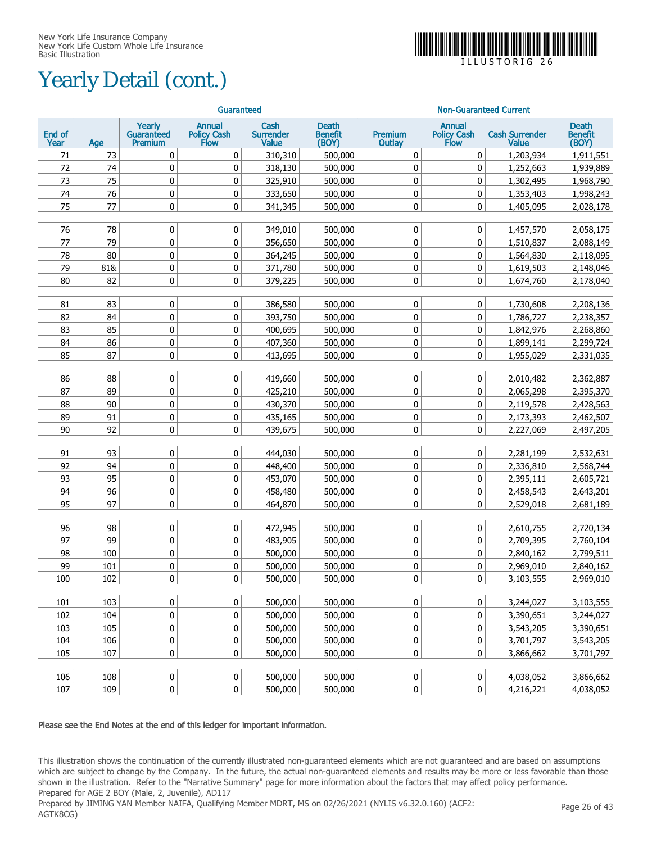## Yearly Detail (cont.)



 $\sqcup$  L  $\sqcup$  S T O R I G

|                |     |                                        | Guaranteed                           |                                   |                                  | <b>Non-Guaranteed Current</b> |                                      |                                |                                         |  |  |  |
|----------------|-----|----------------------------------------|--------------------------------------|-----------------------------------|----------------------------------|-------------------------------|--------------------------------------|--------------------------------|-----------------------------------------|--|--|--|
| End of<br>Year | Age | Yearly<br><b>Guaranteed</b><br>Premium | <b>Annual</b><br>Policy Cash<br>Flow | Cash<br>Surrender<br><b>Value</b> | <b>Death</b><br>Benefit<br>(BOY) | Premium<br><b>Outlay</b>      | <b>Annual</b><br>Policy Cash<br>Flow | <b>Cash Surrender</b><br>Value | <b>Death</b><br><b>Benefit</b><br>(BOY) |  |  |  |
| 71             | 73  | 0                                      | 0                                    | 310,310                           | 500,000                          | 0                             | 0                                    | 1,203,934                      | 1,911,551                               |  |  |  |
| 72             | 74  | 0                                      | 0                                    | 318,130                           | 500,000                          | 0                             | $\mathbf 0$                          | 1,252,663                      | 1,939,889                               |  |  |  |
| 73             | 75  | 0                                      | 0                                    | 325,910                           | 500,000                          | 0                             | $\mathbf 0$                          | 1,302,495                      | 1,968,790                               |  |  |  |
| 74             | 76  | 0                                      | 0                                    | 333,650                           | 500,000                          | 0                             | 0                                    | 1,353,403                      | 1,998,243                               |  |  |  |
| 75             | 77  | 0                                      | 0                                    | 341,345                           | 500,000                          | 0                             | $\mathbf 0$                          | 1,405,095                      | 2,028,178                               |  |  |  |
|                |     |                                        |                                      |                                   |                                  |                               |                                      |                                |                                         |  |  |  |
| 76             | 78  | 0                                      | 0                                    | 349.010                           | 500,000                          | 0                             | 0                                    | 1,457,570                      | 2,058,175                               |  |  |  |
| 77             | 79  | 0                                      | 0                                    | 356,650                           | 500,000                          | 0                             | 0                                    | 1,510,837                      | 2,088,149                               |  |  |  |
| 78             | 80  | 0                                      | 0                                    | 364,245                           | 500,000                          | 0                             | 0                                    | 1,564,830                      | 2,118,095                               |  |  |  |
| 79             | 81& | 0                                      | 0                                    | 371,780                           | 500,000                          | 0                             | 0                                    | 1,619,503                      | 2,148,046                               |  |  |  |
| 80             | 82  | 0                                      | 0                                    | 379,225                           | 500,000                          | 0                             | $\mathbf 0$                          | 1,674,760                      | 2,178,040                               |  |  |  |
|                |     |                                        |                                      |                                   |                                  |                               |                                      |                                |                                         |  |  |  |
| 81             | 83  | 0                                      | 0                                    | 386,580                           | 500,000                          | 0                             | 0                                    | 1,730,608                      | 2,208,136                               |  |  |  |
| 82             | 84  | $\pmb{0}$                              | 0                                    | 393,750                           | 500,000                          | 0                             | 0                                    | 1,786,727                      | 2,238,357                               |  |  |  |
| 83             | 85  | $\pmb{0}$                              | 0                                    | 400,695                           | 500,000                          | 0                             | 0                                    | 1,842,976                      | 2,268,860                               |  |  |  |
| 84             | 86  | $\pmb{0}$                              | 0                                    | 407,360                           | 500,000                          | 0                             | 0                                    | 1,899,141                      | 2,299,724                               |  |  |  |
| 85             | 87  | $\mathbf 0$                            | 0                                    | 413,695                           | 500,000                          | 0                             | 0                                    | 1,955,029                      | 2,331,035                               |  |  |  |
| 86             | 88  | 0                                      | 0                                    | 419,660                           | 500,000                          | 0                             | 0                                    | 2,010,482                      | 2,362,887                               |  |  |  |
| 87             | 89  | 0                                      | 0                                    | 425,210                           | 500,000                          | 0                             | 0                                    | 2,065,298                      | 2,395,370                               |  |  |  |
| 88             | 90  | 0                                      | 0                                    | 430,370                           | 500,000                          | 0                             | 0                                    | 2,119,578                      | 2,428,563                               |  |  |  |
| 89             | 91  | 0                                      | 0                                    | 435,165                           | 500,000                          | 0                             | 0                                    | 2,173,393                      | 2,462,507                               |  |  |  |
| 90             | 92  | 0                                      | 0                                    | 439,675                           | 500,000                          | 0                             | 0                                    | 2,227,069                      | 2,497,205                               |  |  |  |
|                |     |                                        |                                      |                                   |                                  |                               |                                      |                                |                                         |  |  |  |
| 91             | 93  | 0                                      | 0                                    | 444,030                           | 500,000                          | 0                             | 0                                    | 2,281,199                      | 2,532,631                               |  |  |  |
| 92             | 94  | 0                                      | 0                                    | 448,400                           | 500,000                          | 0                             | 0                                    | 2,336,810                      | 2,568,744                               |  |  |  |
| 93             | 95  | 0                                      | 0                                    | 453,070                           | 500,000                          | 0                             | 0                                    | 2,395,111                      | 2,605,721                               |  |  |  |
| 94             | 96  | 0                                      | 0                                    | 458,480                           | 500,000                          | 0                             | 0                                    | 2,458,543                      | 2,643,201                               |  |  |  |
| 95             | 97  | $\pmb{0}$                              | 0                                    | 464,870                           | 500,000                          | 0                             | 0                                    | 2,529,018                      | 2,681,189                               |  |  |  |
|                |     |                                        |                                      |                                   |                                  |                               |                                      |                                |                                         |  |  |  |
| 96             | 98  | $\pmb{0}$                              | 0                                    | 472,945                           | 500,000                          | 0                             | 0                                    | 2,610,755                      | 2,720,134                               |  |  |  |
| 97             | 99  | $\pmb{0}$                              | 0                                    | 483,905                           | 500,000                          | 0                             | $\bf{0}$                             | 2,709,395                      | 2,760,104                               |  |  |  |
| 98             | 100 | $\pmb{0}$                              | 0                                    | 500,000                           | 500,000                          | 0                             | $\bf{0}$                             | 2,840,162                      | 2,799,511                               |  |  |  |
| 99             | 101 | $\pmb{0}$                              | 0                                    | 500,000                           | 500,000                          | 0                             | 0                                    | 2,969,010                      | 2,840,162                               |  |  |  |
| 100            | 102 | 0                                      | 0                                    | 500,000                           | 500,000                          | 0                             | 0                                    | 3,103,555                      | 2,969,010                               |  |  |  |
|                |     |                                        |                                      |                                   |                                  |                               |                                      |                                |                                         |  |  |  |
| 101            | 103 | 0                                      | 0                                    | 500,000                           | 500,000                          | 0                             | 0                                    | 3,244,027                      | 3,103,555                               |  |  |  |
| 102            | 104 | $\pmb{0}$                              | $\pmb{0}$                            | 500,000                           | 500,000                          | 0                             | $\pmb{0}$                            | 3,390,651                      | 3,244,027                               |  |  |  |
| 103            | 105 | 0                                      | 0                                    | 500,000                           | 500,000                          | 0                             | 0                                    | 3,543,205                      | 3,390,651                               |  |  |  |
| 104            | 106 | 0                                      | 0                                    | 500,000                           | 500,000                          | 0                             | 0                                    | 3,701,797                      | 3,543,205                               |  |  |  |
| 105            | 107 | 0                                      | $\pmb{0}$                            | 500,000                           | 500,000                          | 0                             | 0                                    | 3,866,662                      | 3,701,797                               |  |  |  |
|                |     |                                        |                                      |                                   |                                  |                               |                                      |                                |                                         |  |  |  |
| 106            | 108 | $\pmb{0}$                              | 0                                    | 500,000                           | 500,000                          | 0                             | $\pmb{0}$                            | 4,038,052                      | 3,866,662                               |  |  |  |
| 107            | 109 | $\pmb{0}$                              | $\pmb{0}$                            | 500,000                           | 500,000                          | 0                             | 0                                    | 4,216,221                      | 4,038,052                               |  |  |  |

#### Please see the End Notes at the end of this ledger for important information.

This illustration shows the continuation of the currently illustrated non-guaranteed elements which are not guaranteed and are based on assumptions which are subject to change by the Company. In the future, the actual non-guaranteed elements and results may be more or less favorable than those shown in the illustration. Refer to the "Narrative Summary" page for more information about the factors that may affect policy performance. Prepared for AGE 2 BOY (Male, 2, Juvenile), AD117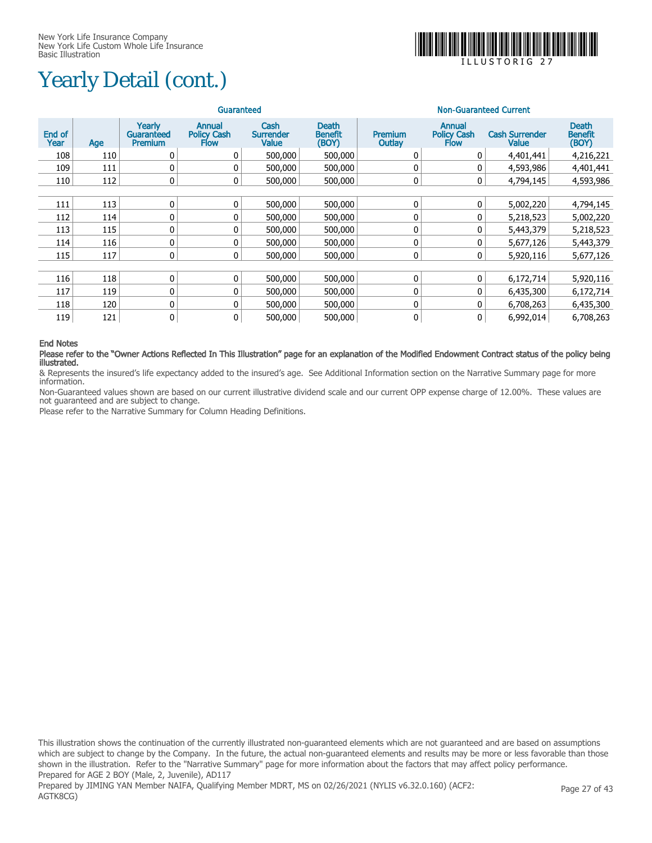## Yearly Detail (cont.)



I L L U S T O R I G 2 7

|                |     |                                               | Guaranteed                                         |                                          |                                         | <b>Non-Guaranteed Current</b> |                                                    |                                       |                                         |  |  |
|----------------|-----|-----------------------------------------------|----------------------------------------------------|------------------------------------------|-----------------------------------------|-------------------------------|----------------------------------------------------|---------------------------------------|-----------------------------------------|--|--|
| End of<br>Year | Age | Yearly<br><b>Guaranteed</b><br><b>Premium</b> | <b>Annual</b><br><b>Policy Cash</b><br><b>Flow</b> | Cash<br><b>Surrender</b><br><b>Value</b> | <b>Death</b><br><b>Benefit</b><br>(BOY) | Premium<br>Outlay             | <b>Annual</b><br><b>Policy Cash</b><br><b>Flow</b> | <b>Cash Surrender</b><br><b>Value</b> | <b>Death</b><br><b>Benefit</b><br>(BOY) |  |  |
| 108            | 110 | 0                                             | 0                                                  | 500,000                                  | 500,000                                 | 0                             | 0                                                  | 4,401,441                             | 4,216,221                               |  |  |
| 109            | 111 | 0                                             | 0                                                  | 500,000                                  | 500,000                                 | 0                             | 0                                                  | 4,593,986                             | 4,401,441                               |  |  |
| 110            | 112 | 0                                             | $\mathbf{0}$                                       | 500,000                                  | 500,000                                 | 0                             | 0                                                  | 4,794,145                             | 4,593,986                               |  |  |
|                |     |                                               |                                                    |                                          |                                         |                               |                                                    |                                       |                                         |  |  |
| 111            | 113 | 0                                             | $\mathbf 0$                                        | 500,000                                  | 500,000                                 | 0                             | 0                                                  | 5,002,220                             | 4,794,145                               |  |  |
| 112            | 114 | $\mathbf{0}$                                  | $\mathbf{0}$                                       | 500,000                                  | 500,000                                 | 0                             | 0                                                  | 5,218,523                             | 5,002,220                               |  |  |
| 113            | 115 | $\mathbf{0}$                                  | 0                                                  | 500,000                                  | 500,000                                 | 0                             | 0                                                  | 5,443,379                             | 5,218,523                               |  |  |
| 114            | 116 | 0                                             | 0                                                  | 500,000                                  | 500,000                                 | 0                             | 0                                                  | 5,677,126                             | 5,443,379                               |  |  |
| 115            | 117 | 0                                             | $\mathbf{0}$                                       | 500,000                                  | 500,000                                 | 0                             | 0                                                  | 5,920,116                             | 5,677,126                               |  |  |
|                |     |                                               |                                                    |                                          |                                         |                               |                                                    |                                       |                                         |  |  |
| 116            | 118 | 0                                             | 0 <sup>1</sup>                                     | 500,000                                  | 500,000                                 | 0                             | 0                                                  | 6,172,714                             | 5,920,116                               |  |  |
| 117            | 119 | 0                                             | 0                                                  | 500,000                                  | 500,000                                 | 0                             | 0                                                  | 6,435,300                             | 6,172,714                               |  |  |
| 118            | 120 | $\mathbf{0}$                                  | 0                                                  | 500,000                                  | 500,000                                 | 0                             | 0                                                  | 6,708,263                             | 6,435,300                               |  |  |
| 119            | 121 | 0                                             | 0                                                  | 500,000                                  | 500,000                                 | 0                             | 0                                                  | 6,992,014                             | 6,708,263                               |  |  |

#### End Notes

#### Please refer to the "Owner Actions Reflected In This Illustration" page for an explanation of the Modified Endowment Contract status of the policy being illustrated.

& Represents the insured's life expectancy added to the insured's age. See Additional Information section on the Narrative Summary page for more information.

Non-Guaranteed values shown are based on our current illustrative dividend scale and our current OPP expense charge of 12.00%. These values are not guaranteed and are subject to change.

Please refer to the Narrative Summary for Column Heading Definitions.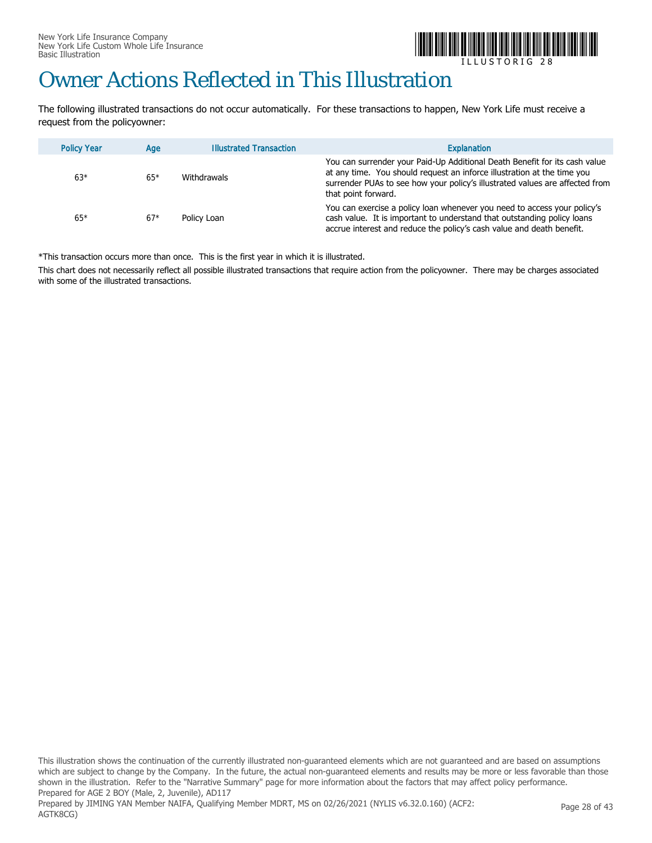

## Owner Actions Reflected in This Illustration

The following illustrated transactions do not occur automatically. For these transactions to happen, New York Life must receive a request from the policyowner:

| <b>Policy Year</b> | Age   | <b>Illustrated Transaction</b> | Explanation                                                                                                                                                                                                                                                  |
|--------------------|-------|--------------------------------|--------------------------------------------------------------------------------------------------------------------------------------------------------------------------------------------------------------------------------------------------------------|
| $63*$              | $65*$ | Withdrawals                    | You can surrender your Paid-Up Additional Death Benefit for its cash value<br>at any time. You should request an inforce illustration at the time you<br>surrender PUAs to see how your policy's illustrated values are affected from<br>that point forward. |
| $65*$              | $67*$ | Policy Loan                    | You can exercise a policy loan whenever you need to access your policy's<br>cash value. It is important to understand that outstanding policy loans<br>accrue interest and reduce the policy's cash value and death benefit.                                 |

\*This transaction occurs more than once. This is the first year in which it is illustrated.

This chart does not necessarily reflect all possible illustrated transactions that require action from the policyowner. There may be charges associated with some of the illustrated transactions.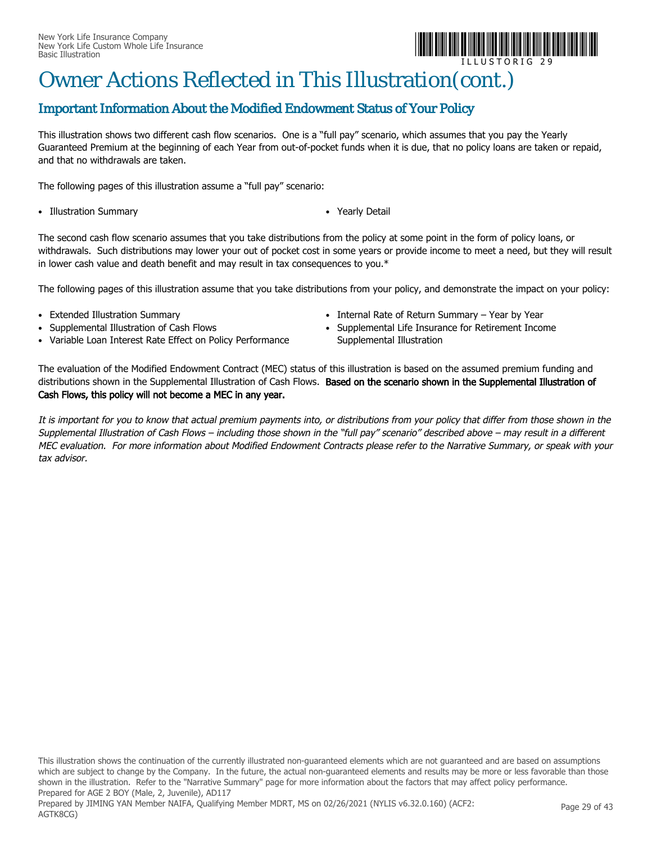

## Owner Actions Reflected in This Illustration(cont.)

#### Important Information About the Modified Endowment Status of Your Policy

This illustration shows two different cash flow scenarios. One is a "full pay" scenario, which assumes that you pay the Yearly Guaranteed Premium at the beginning of each Year from out-of-pocket funds when it is due, that no policy loans are taken or repaid, and that no withdrawals are taken.

The following pages of this illustration assume a "full pay" scenario:

- Illustration Summary *Yearly Detail*
- 

The second cash flow scenario assumes that you take distributions from the policy at some point in the form of policy loans, or withdrawals. Such distributions may lower your out of pocket cost in some years or provide income to meet a need, but they will result in lower cash value and death benefit and may result in tax consequences to you.\*

The following pages of this illustration assume that you take distributions from your policy, and demonstrate the impact on your policy:

- Extended Illustration Summary
- Supplemental Illustration of Cash Flows
- Variable Loan Interest Rate Effect on Policy Performance
- Internal Rate of Return Summary Year by Year
- Supplemental Life Insurance for Retirement Income Supplemental Illustration

The evaluation of the Modified Endowment Contract (MEC) status of this illustration is based on the assumed premium funding and distributions shown in the Supplemental Illustration of Cash Flows. Based on the scenario shown in the Supplemental Illustration of Cash Flows, this policy will not become a MEC in any year.

It is important for you to know that actual premium payments into, or distributions from your policy that differ from those shown in the Supplemental Illustration of Cash Flows – including those shown in the "full pay" scenario" described above – may result in a different MEC evaluation. For more information about Modified Endowment Contracts please refer to the Narrative Summary, or speak with your tax advisor.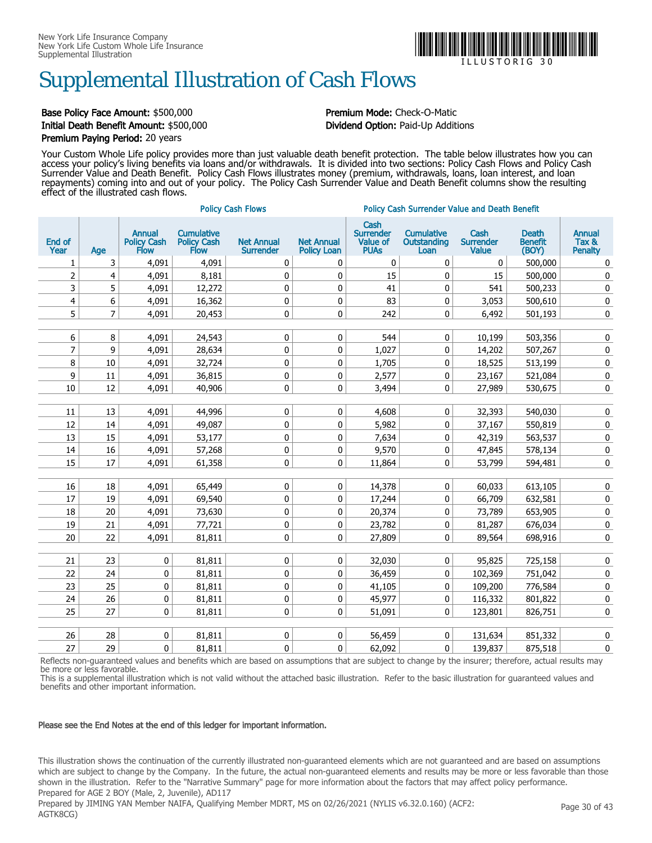

## Supplemental Illustration of Cash Flows

#### Base Policy Face Amount: \$500,000 **Premium Mode:** Check-O-Matic Initial Death Benefit Amount: \$500,000 Dividend Option: Paid-Up Additions Premium Paying Period: 20 years

Your Custom Whole Life policy provides more than just valuable death benefit protection. The table below illustrates how you can access your policy's living benefits via loans and/or withdrawals. It is divided into two sections: Policy Cash Flows and Policy Cash Surrender Value and Death Benefit. Policy Cash Flows illustrates money (premium, withdrawals, loans, loan interest, and loan repayments) coming into and out of your policy. The Policy Cash Surrender Value and Death Benefit columns show the resulting effect of the illustrated cash flows.

|                |                |                                                    |                                          | <b>Policy Cash Flows</b>              |                                         | <b>Policy Cash Surrender Value and Death Benefit</b>       |                                          |                                          |                                         |                                          |  |
|----------------|----------------|----------------------------------------------------|------------------------------------------|---------------------------------------|-----------------------------------------|------------------------------------------------------------|------------------------------------------|------------------------------------------|-----------------------------------------|------------------------------------------|--|
| End of<br>Year | Age            | <b>Annual</b><br><b>Policy Cash</b><br><b>Flow</b> | <b>Cumulative</b><br>Policy Cash<br>Flow | <b>Net Annual</b><br><b>Surrender</b> | <b>Net Annual</b><br><b>Policy Loan</b> | Cash<br><b>Surrender</b><br><b>Value of</b><br><b>PUAS</b> | <b>Cumulative</b><br>Outstanding<br>Loan | Cash<br><b>Surrender</b><br><b>Value</b> | <b>Death</b><br><b>Benefit</b><br>(BOY) | <b>Annual</b><br>Tax &<br><b>Penalty</b> |  |
| 1              | 3              | 4,091                                              | 4,091                                    | 0                                     | 0                                       | 0                                                          | 0                                        | 0                                        | 500,000                                 | 0                                        |  |
| 2              | 4              | 4,091                                              | 8,181                                    | 0                                     | $\mathbf 0$                             | 15                                                         | 0                                        | 15                                       | 500,000                                 | 0                                        |  |
| 3              | 5              | 4,091                                              | 12,272                                   | $\pmb{0}$                             | $\mathbf 0$                             | 41                                                         | 0                                        | 541                                      | 500,233                                 | 0                                        |  |
| 4              | 6              | 4,091                                              | 16,362                                   | $\pmb{0}$                             | 0                                       | 83                                                         | 0                                        | 3,053                                    | 500,610                                 | 0                                        |  |
| 5              | $\overline{7}$ | 4,091                                              | 20,453                                   | $\pmb{0}$                             | $\pmb{0}$                               | 242                                                        | 0                                        | 6,492                                    | 501,193                                 | $\pmb{0}$                                |  |
|                |                |                                                    |                                          |                                       |                                         |                                                            |                                          |                                          |                                         |                                          |  |
| 6              | 8              | 4,091                                              | 24,543                                   | $\pmb{0}$                             | 0                                       | 544                                                        | 0                                        | 10,199                                   | 503,356                                 | 0                                        |  |
| 7              | 9              | 4,091                                              | 28,634                                   | $\pmb{0}$                             | $\pmb{0}$                               | 1,027                                                      | 0                                        | 14,202                                   | 507,267                                 | $\pmb{0}$                                |  |
| 8              | $10\,$         | 4,091                                              | 32,724                                   | $\pmb{0}$                             | $\pmb{0}$                               | 1,705                                                      | 0                                        | 18,525                                   | 513,199                                 | 0                                        |  |
| 9              | 11             | 4,091                                              | 36,815                                   | $\pmb{0}$                             | 0                                       | 2,577                                                      | 0                                        | 23,167                                   | 521,084                                 | 0                                        |  |
| $10\,$         | 12             | 4,091                                              | 40,906                                   | 0                                     | 0                                       | 3,494                                                      | 0                                        | 27,989                                   | 530,675                                 | 0                                        |  |
|                |                |                                                    |                                          |                                       |                                         |                                                            |                                          |                                          |                                         |                                          |  |
| 11             | 13             | 4,091                                              | 44,996                                   | $\pmb{0}$                             | 0                                       | 4,608                                                      | 0                                        | 32,393                                   | 540,030                                 | 0                                        |  |
| $12\,$         | 14             | 4,091                                              | 49,087                                   | $\pmb{0}$                             | 0                                       | 5,982                                                      | 0                                        | 37,167                                   | 550,819                                 | 0                                        |  |
| 13             | 15             | 4,091                                              | 53,177                                   | $\pmb{0}$                             | 0                                       | 7,634                                                      | 0                                        | 42,319                                   | 563,537                                 | 0                                        |  |
| 14             | 16             | 4,091                                              | 57,268                                   | 0                                     | 0                                       | 9,570                                                      | 0                                        | 47,845                                   | 578,134                                 | 0                                        |  |
| 15             | 17             | 4,091                                              | 61,358                                   | 0                                     | $\mathbf 0$                             | 11,864                                                     | 0                                        | 53,799                                   | 594,481                                 | 0                                        |  |
|                |                |                                                    |                                          |                                       |                                         |                                                            |                                          |                                          |                                         |                                          |  |
| 16             | 18             | 4,091                                              | 65,449                                   | $\pmb{0}$                             | 0                                       | 14,378                                                     | 0                                        | 60,033                                   | 613,105                                 | 0                                        |  |
| 17             | 19             | 4,091                                              | 69,540                                   | $\pmb{0}$                             | $\pmb{0}$                               | 17,244                                                     | 0                                        | 66,709                                   | 632,581                                 | 0                                        |  |
| 18             | 20             | 4,091                                              | 73,630                                   | $\pmb{0}$                             | $\mathbf 0$                             | 20,374                                                     | 0                                        | 73,789                                   | 653,905                                 | 0                                        |  |
| 19             | 21             | 4,091                                              | 77,721                                   | 0                                     | 0                                       | 23,782                                                     | 0                                        | 81,287                                   | 676,034                                 | 0                                        |  |
| 20             | 22             | 4,091                                              | 81,811                                   | $\pmb{0}$                             | $\mathbf 0$                             | 27,809                                                     | 0                                        | 89,564                                   | 698,916                                 | 0                                        |  |
|                |                |                                                    |                                          |                                       |                                         |                                                            |                                          |                                          |                                         |                                          |  |
| 21             | 23             | 0                                                  | 81,811                                   | 0                                     | 0                                       | 32,030                                                     | 0                                        | 95,825                                   | 725,158                                 | 0                                        |  |
| 22             | 24             | 0                                                  | 81,811                                   | 0                                     | $\mathbf 0$                             | 36,459                                                     | 0                                        | 102,369                                  | 751,042                                 | 0                                        |  |
| 23             | 25             | 0                                                  | 81,811                                   | $\pmb{0}$                             | $\mathbf 0$                             | 41,105                                                     | 0                                        | 109,200                                  | 776,584                                 | $\pmb{0}$                                |  |
| 24             | 26             | 0                                                  | 81,811                                   | $\pmb{0}$                             | $\pmb{0}$                               | 45,977                                                     | 0                                        | 116,332                                  | 801,822                                 | $\pmb{0}$                                |  |
| 25             | 27             | 0                                                  | 81,811                                   | $\pmb{0}$                             | $\mathbf 0$                             | 51,091                                                     | 0                                        | 123,801                                  | 826,751                                 | 0                                        |  |
|                |                |                                                    |                                          |                                       |                                         |                                                            |                                          |                                          |                                         |                                          |  |
| 26             | 28             | 0                                                  | 81,811                                   | $\pmb{0}$                             | 0                                       | 56,459                                                     | 0                                        | 131,634                                  | 851,332                                 | 0                                        |  |
| 27             | 29             | $\mathbf 0$                                        | 81,811                                   | 0                                     | $\mathbf 0$                             | 62,092                                                     | 0                                        | 139,837                                  | 875,518                                 | 0                                        |  |

Reflects non-guaranteed values and benefits which are based on assumptions that are subject to change by the insurer; therefore, actual results may be more or less favorable.

This is a supplemental illustration which is not valid without the attached basic illustration. Refer to the basic illustration for guaranteed values and benefits and other important information.

#### Please see the End Notes at the end of this ledger for important information.

This illustration shows the continuation of the currently illustrated non-guaranteed elements which are not guaranteed and are based on assumptions which are subject to change by the Company. In the future, the actual non-guaranteed elements and results may be more or less favorable than those shown in the illustration. Refer to the "Narrative Summary" page for more information about the factors that may affect policy performance. Prepared for AGE 2 BOY (Male, 2, Juvenile), AD117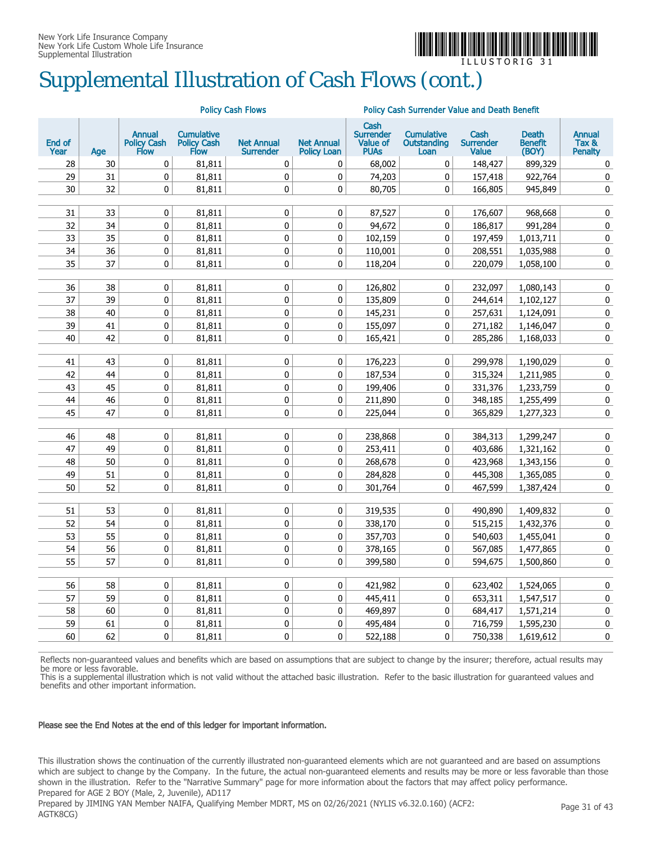

## Supplemental Illustration of Cash Flows (cont.)

|                       |     | <b>Policy Cash Flows</b><br><b>Policy Cash Surrender Value and Death Benefit</b> |                                                        |                                       |                                         |                                                            |                                                 |                                          |                                         |                                          |
|-----------------------|-----|----------------------------------------------------------------------------------|--------------------------------------------------------|---------------------------------------|-----------------------------------------|------------------------------------------------------------|-------------------------------------------------|------------------------------------------|-----------------------------------------|------------------------------------------|
| <b>End of</b><br>Year | Age | <b>Annual</b><br><b>Policy Cash</b><br><b>Flow</b>                               | <b>Cumulative</b><br><b>Policy Cash</b><br><b>Flow</b> | <b>Net Annual</b><br><b>Surrender</b> | <b>Net Annual</b><br><b>Policy Loan</b> | Cash<br><b>Surrender</b><br><b>Value of</b><br><b>PUAS</b> | <b>Cumulative</b><br><b>Outstanding</b><br>Loan | Cash<br><b>Surrender</b><br><b>Value</b> | <b>Death</b><br><b>Benefit</b><br>(BOY) | <b>Annual</b><br>Tax &<br><b>Penalty</b> |
| 28                    | 30  | 0                                                                                | 81,811                                                 | 0                                     | 0                                       | 68,002                                                     | 0                                               | 148,427                                  | 899,329                                 | 0                                        |
| 29                    | 31  | $\pmb{0}$                                                                        | 81,811                                                 | 0                                     | 0                                       | 74,203                                                     | 0                                               | 157,418                                  | 922,764                                 | 0                                        |
| 30                    | 32  | 0                                                                                | 81,811                                                 | 0                                     | 0                                       | 80,705                                                     | 0                                               | 166,805                                  | 945,849                                 | 0                                        |
| 31                    | 33  | $\pmb{0}$                                                                        | 81,811                                                 | 0                                     | $\mathbf 0$                             | 87,527                                                     | 0                                               | 176,607                                  | 968,668                                 | $\pmb{0}$                                |
| 32                    | 34  | $\pmb{0}$                                                                        | 81,811                                                 | 0                                     | $\pmb{0}$                               | 94,672                                                     | 0                                               | 186,817                                  | 991,284                                 | $\pmb{0}$                                |
| 33                    | 35  | $\mathbf 0$                                                                      | 81,811                                                 | 0                                     | 0                                       | 102,159                                                    | 0                                               | 197,459                                  | 1,013,711                               | 0                                        |
| 34                    | 36  | 0                                                                                | 81,811                                                 | 0                                     | 0                                       | 110,001                                                    | 0                                               | 208,551                                  | 1,035,988                               | 0                                        |
| 35                    | 37  | 0                                                                                | 81,811                                                 | 0                                     | 0                                       | 118,204                                                    | 0                                               | 220,079                                  | 1,058,100                               | 0                                        |
|                       |     |                                                                                  |                                                        |                                       |                                         |                                                            |                                                 |                                          |                                         |                                          |
| 36                    | 38  | $\mathbf 0$                                                                      | 81,811                                                 | 0                                     | $\mathbf 0$                             | 126,802                                                    | 0                                               | 232,097                                  | 1,080,143                               | 0                                        |
| 37                    | 39  | $\pmb{0}$                                                                        | 81,811                                                 | 0                                     | 0                                       | 135,809                                                    | 0                                               | 244,614                                  | 1,102,127                               | 0                                        |
| 38                    | 40  | $\pmb{0}$                                                                        | 81,811                                                 | 0                                     | 0                                       | 145,231                                                    | 0                                               | 257,631                                  | 1,124,091                               | 0                                        |
| 39                    | 41  | 0                                                                                | 81,811                                                 | 0                                     | 0                                       | 155,097                                                    | 0                                               | 271,182                                  | 1,146,047                               | 0                                        |
| 40                    | 42  | 0                                                                                | 81,811                                                 | $\pmb{0}$                             | 0                                       | 165,421                                                    | 0                                               | 285,286                                  | 1,168,033                               | 0                                        |
|                       |     |                                                                                  |                                                        |                                       |                                         |                                                            |                                                 |                                          |                                         |                                          |
| 41                    | 43  | 0                                                                                | 81,811                                                 | 0                                     | 0                                       | 176,223                                                    | 0                                               | 299,978                                  | 1,190,029                               | 0                                        |
| 42                    | 44  | $\pmb{0}$                                                                        | 81,811                                                 | 0                                     | 0                                       | 187,534                                                    | 0                                               | 315,324                                  | 1,211,985                               | $\pmb{0}$                                |
| 43                    | 45  | $\pmb{0}$                                                                        | 81,811                                                 | $\pmb{0}$                             | $\mathbf 0$                             | 199,406                                                    | 0                                               | 331,376                                  | 1,233,759                               | $\pmb{0}$                                |
| 44                    | 46  | $\pmb{0}$                                                                        | 81,811                                                 | 0                                     | 0                                       | 211,890                                                    | 0                                               | 348,185                                  | 1,255,499                               | 0                                        |
| 45                    | 47  | $\mathbf 0$                                                                      | 81,811                                                 | 0                                     | 0                                       | 225,044                                                    | 0                                               | 365,829                                  | 1,277,323                               | 0                                        |
| 46                    | 48  | 0                                                                                | 81,811                                                 | 0                                     | $\mathbf 0$                             | 238,868                                                    | 0                                               | 384,313                                  | 1,299,247                               | 0                                        |
| 47                    | 49  | $\pmb{0}$                                                                        | 81,811                                                 | 0                                     | 0                                       | 253,411                                                    | 0                                               | 403,686                                  | 1,321,162                               | 0                                        |
| 48                    | 50  | 0                                                                                | 81,811                                                 | 0                                     | 0                                       | 268,678                                                    | 0                                               | 423,968                                  | 1,343,156                               | 0                                        |
| 49                    | 51  | $\pmb{0}$                                                                        | 81,811                                                 | $\pmb{0}$                             | 0                                       | 284,828                                                    | 0                                               | 445,308                                  | 1,365,085                               | $\pmb{0}$                                |
| 50                    | 52  | 0                                                                                | 81,811                                                 | 0                                     | $\Omega$                                | 301,764                                                    | 0                                               | 467,599                                  | 1,387,424                               | 0                                        |
|                       |     |                                                                                  |                                                        |                                       |                                         |                                                            |                                                 |                                          |                                         |                                          |
| 51                    | 53  | $\pmb{0}$                                                                        | 81,811                                                 | $\pmb{0}$                             | 0                                       | 319,535                                                    | 0                                               | 490,890                                  | 1,409,832                               | $\pmb{0}$                                |
| 52                    | 54  | $\pmb{0}$                                                                        | 81,811                                                 | 0                                     | 0                                       | 338,170                                                    | 0                                               | 515,215                                  | 1,432,376                               | $\pmb{0}$                                |
| 53                    | 55  | $\mathbf 0$                                                                      | 81,811                                                 | 0                                     | $\mathbf 0$                             | 357,703                                                    | 0                                               | 540,603                                  | 1,455,041                               | $\pmb{0}$                                |
| 54                    | 56  | $\mathbf 0$                                                                      | 81,811                                                 | 0                                     | 0                                       | 378,165                                                    | 0                                               | 567,085                                  | 1,477,865                               | 0                                        |
| 55                    | 57  | $\mathbf 0$                                                                      | 81,811                                                 | 0                                     | $\mathbf 0$                             | 399,580                                                    | 0                                               | 594,675                                  | 1,500,860                               | 0                                        |
|                       |     |                                                                                  |                                                        |                                       |                                         |                                                            |                                                 |                                          |                                         |                                          |
| 56                    | 58  | $\pmb{0}$                                                                        | 81,811                                                 | 0                                     | 0                                       | 421,982                                                    | 0                                               | 623,402                                  | 1,524,065                               | 0                                        |
| 57                    | 59  | $\pmb{0}$                                                                        | 81,811                                                 | 0                                     | $\pmb{0}$                               | 445,411                                                    | 0                                               | 653,311                                  | 1,547,517                               | $\pmb{0}$                                |
| 58                    | 60  | $\pmb{0}$                                                                        | 81,811                                                 | $\pmb{0}$                             | $\pmb{0}$                               | 469,897                                                    | 0                                               | 684,417                                  | 1,571,214                               | $\pmb{0}$                                |
| 59                    | 61  | $\pmb{0}$                                                                        | 81,811                                                 | 0                                     | $\mathbf{0}$                            | 495,484                                                    | 0                                               | 716,759                                  | 1,595,230                               | $\pmb{0}$                                |
| 60                    | 62  | $\mathbf{0}$                                                                     | 81,811                                                 | 0                                     | $\Omega$                                | 522,188                                                    | 0                                               | 750,338                                  | 1,619,612                               | 0                                        |

Reflects non-guaranteed values and benefits which are based on assumptions that are subject to change by the insurer; therefore, actual results may be more or less favorable.

This is a supplemental illustration which is not valid without the attached basic illustration. Refer to the basic illustration for guaranteed values and benefits and other important information.

#### Please see the End Notes at the end of this ledger for important information.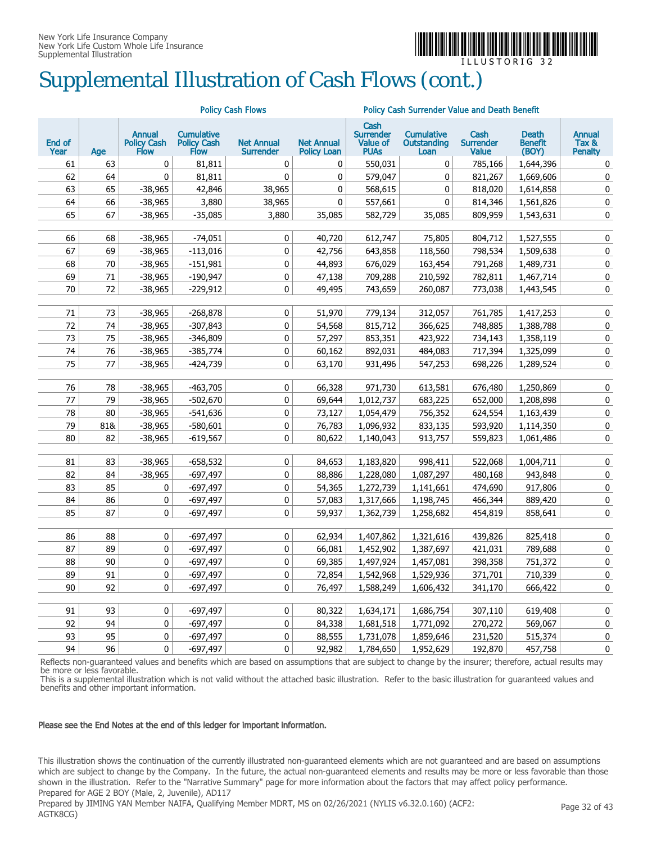

## Supplemental Illustration of Cash Flows (cont.)

|                |          |                                                    |                                                        | <b>Policy Cash Flows</b>              |                                         | <b>Policy Cash Surrender Value and Death Benefit</b>       |                                   |                                          |                                  |                                          |  |
|----------------|----------|----------------------------------------------------|--------------------------------------------------------|---------------------------------------|-----------------------------------------|------------------------------------------------------------|-----------------------------------|------------------------------------------|----------------------------------|------------------------------------------|--|
| End of<br>Year | Age      | <b>Annual</b><br><b>Policy Cash</b><br><b>Flow</b> | <b>Cumulative</b><br><b>Policy Cash</b><br><b>Flow</b> | <b>Net Annual</b><br><b>Surrender</b> | <b>Net Annual</b><br><b>Policy Loan</b> | Cash<br><b>Surrender</b><br><b>Value of</b><br><b>PUAS</b> | Cumulative<br>Outstanding<br>Loan | Cash<br><b>Surrender</b><br><b>Value</b> | Death<br><b>Benefit</b><br>(BOY) | <b>Annual</b><br>Tax &<br><b>Penalty</b> |  |
| 61             | 63       | 0                                                  | 81,811                                                 | 0                                     | 0                                       | 550,031                                                    | 0                                 | 785,166                                  | 1,644,396                        | 0                                        |  |
| 62             | 64       | $\pmb{0}$                                          | 81,811                                                 | $\mathbf{0}$                          | 0                                       | 579,047                                                    | 0                                 | 821,267                                  | 1,669,606                        | $\pmb{0}$                                |  |
| 63             | 65       | $-38,965$                                          | 42,846                                                 | 38,965                                | $\mathbf 0$                             | 568,615                                                    | 0                                 | 818,020                                  | 1,614,858                        | 0                                        |  |
| 64             | 66       | $-38,965$                                          | 3,880                                                  | 38,965                                | 0                                       | 557,661                                                    | 0                                 | 814,346                                  | 1,561,826                        | 0                                        |  |
| 65             | 67       | $-38,965$                                          | $-35,085$                                              | 3,880                                 | 35,085                                  | 582,729                                                    | 35,085                            | 809,959                                  | 1,543,631                        | 0                                        |  |
|                |          |                                                    |                                                        |                                       |                                         |                                                            |                                   |                                          |                                  |                                          |  |
| 66             | 68       | $-38,965$                                          | $-74,051$                                              | 0                                     | 40,720                                  | 612,747                                                    | 75,805                            | 804,712                                  | 1,527,555                        | 0                                        |  |
| 67             | 69       | $-38,965$                                          | $-113,016$                                             | 0                                     | 42,756                                  | 643,858                                                    | 118,560                           | 798,534                                  | 1,509,638                        | $\pmb{0}$                                |  |
| 68             | 70       | $-38,965$                                          | $-151,981$                                             | 0                                     | 44,893                                  | 676,029                                                    | 163,454                           | 791,268                                  | 1,489,731                        | 0                                        |  |
| 69<br>70       | 71<br>72 | $-38,965$                                          | $-190,947$                                             | 0<br>0                                | 47,138                                  | 709,288                                                    | 210,592                           | 782,811                                  | 1,467,714                        | $\pmb{0}$                                |  |
|                |          | $-38,965$                                          | $-229,912$                                             |                                       | 49,495                                  | 743,659                                                    | 260,087                           | 773,038                                  | 1,443,545                        | 0                                        |  |
| 71             | 73       | $-38,965$                                          | $-268,878$                                             | 0                                     | 51,970                                  | 779,134                                                    | 312,057                           | 761,785                                  | 1,417,253                        | 0                                        |  |
| 72             | 74       | $-38,965$                                          | $-307,843$                                             | 0                                     | 54,568                                  | 815,712                                                    | 366,625                           | 748,885                                  | 1,388,788                        | $\pmb{0}$                                |  |
| 73             | 75       | $-38,965$                                          | $-346,809$                                             | 0                                     | 57,297                                  | 853,351                                                    | 423,922                           | 734,143                                  | 1,358,119                        | 0                                        |  |
| 74             | 76       | $-38,965$                                          | $-385,774$                                             | 0                                     | 60,162                                  | 892,031                                                    | 484,083                           | 717,394                                  | 1,325,099                        | 0                                        |  |
| 75             | 77       | $-38,965$                                          | $-424,739$                                             | 0                                     | 63,170                                  | 931,496                                                    | 547,253                           | 698,226                                  | 1,289,524                        | 0                                        |  |
|                |          |                                                    |                                                        |                                       |                                         |                                                            |                                   |                                          |                                  |                                          |  |
| 76             | 78       | $-38,965$                                          | $-463,705$                                             | 0                                     | 66,328                                  | 971,730                                                    | 613,581                           | 676,480                                  | 1,250,869                        | 0                                        |  |
| 77             | 79       | $-38,965$                                          | $-502,670$                                             | 0                                     | 69,644                                  | 1,012,737                                                  | 683,225                           | 652,000                                  | 1,208,898                        | 0                                        |  |
| 78             | 80       | $-38,965$                                          | $-541,636$                                             | 0                                     | 73,127                                  | 1,054,479                                                  | 756,352                           | 624,554                                  | 1,163,439                        | 0                                        |  |
| 79             | 81&      | $-38,965$                                          | $-580,601$                                             | 0                                     | 76,783                                  | 1,096,932                                                  | 833,135                           | 593,920                                  | 1,114,350                        | 0                                        |  |
| 80             | 82       | $-38,965$                                          | $-619,567$                                             | 0                                     | 80,622                                  | 1,140,043                                                  | 913,757                           | 559,823                                  | 1,061,486                        | 0                                        |  |
|                |          |                                                    |                                                        |                                       |                                         |                                                            |                                   |                                          |                                  |                                          |  |
| 81             | 83       | $-38,965$                                          | $-658,532$                                             | 0                                     | 84,653                                  | 1,183,820                                                  | 998,411                           | 522,068                                  | 1,004,711                        | 0                                        |  |
| 82             | 84<br>85 | $-38,965$                                          | $-697,497$                                             | 0                                     | 88,886                                  | 1,228,080                                                  | 1,087,297                         | 480,168                                  | 943,848                          | 0                                        |  |
| 83             |          | 0                                                  | $-697,497$                                             | 0                                     | 54,365                                  | 1,272,739                                                  | 1,141,661                         | 474,690                                  | 917,806                          | $\pmb{0}$                                |  |
| 84<br>85       | 86<br>87 | $\pmb{0}$<br>0                                     | $-697,497$                                             | 0<br>0                                | 57,083                                  | 1,317,666<br>1,362,739                                     | 1,198,745<br>1,258,682            | 466,344                                  | 889,420                          | $\pmb{0}$<br>0                           |  |
|                |          |                                                    | $-697,497$                                             |                                       | 59,937                                  |                                                            |                                   | 454,819                                  | 858,641                          |                                          |  |
| 86             | 88       | 0                                                  | $-697,497$                                             | 0                                     | 62,934                                  | 1,407,862                                                  | 1,321,616                         | 439,826                                  | 825,418                          | 0                                        |  |
| 87             | 89       | 0                                                  | $-697,497$                                             | 0                                     | 66,081                                  | 1,452,902                                                  | 1,387,697                         | 421,031                                  | 789,688                          | 0                                        |  |
| 88             | 90       | 0                                                  | $-697,497$                                             | 0                                     | 69,385                                  | 1,497,924                                                  | 1,457,081                         | 398,358                                  | 751,372                          | 0                                        |  |
| 89             | 91       | 0                                                  | $-697,497$                                             | 0                                     | 72,854                                  | 1,542,968                                                  | 1,529,936                         | 371,701                                  | 710,339                          | 0                                        |  |
| 90             | 92       | 0                                                  | $-697,497$                                             | 0                                     | 76,497                                  | 1,588,249                                                  | 1,606,432                         | 341,170                                  | 666,422                          | 0                                        |  |
|                |          |                                                    |                                                        |                                       |                                         |                                                            |                                   |                                          |                                  |                                          |  |
| 91             | 93       | $\pmb{0}$                                          | $-697,497$                                             | 0                                     | 80,322                                  | 1,634,171                                                  | 1,686,754                         | 307,110                                  | 619,408                          | $\pmb{0}$                                |  |
| 92             | 94       | $\mathbf 0$                                        | $-697,497$                                             | 0                                     | 84,338                                  | 1,681,518                                                  | 1,771,092                         | 270,272                                  | 569,067                          | 0                                        |  |
| 93             | 95       | 0                                                  | -697,497                                               | $\pmb{0}$                             | 88,555                                  | 1,731,078                                                  | 1,859,646                         | 231,520                                  | 515,374                          | 0                                        |  |
| 94             | 96       | 0                                                  | $-697,497$                                             | 0                                     | 92,982                                  | 1,784,650                                                  | 1,952,629                         | 192,870                                  | 457,758                          | 0                                        |  |

Reflects non-guaranteed values and benefits which are based on assumptions that are subject to change by the insurer; therefore, actual results may be more or less favorable.

This is a supplemental illustration which is not valid without the attached basic illustration. Refer to the basic illustration for guaranteed values and benefits and other important information.

#### Please see the End Notes at the end of this ledger for important information.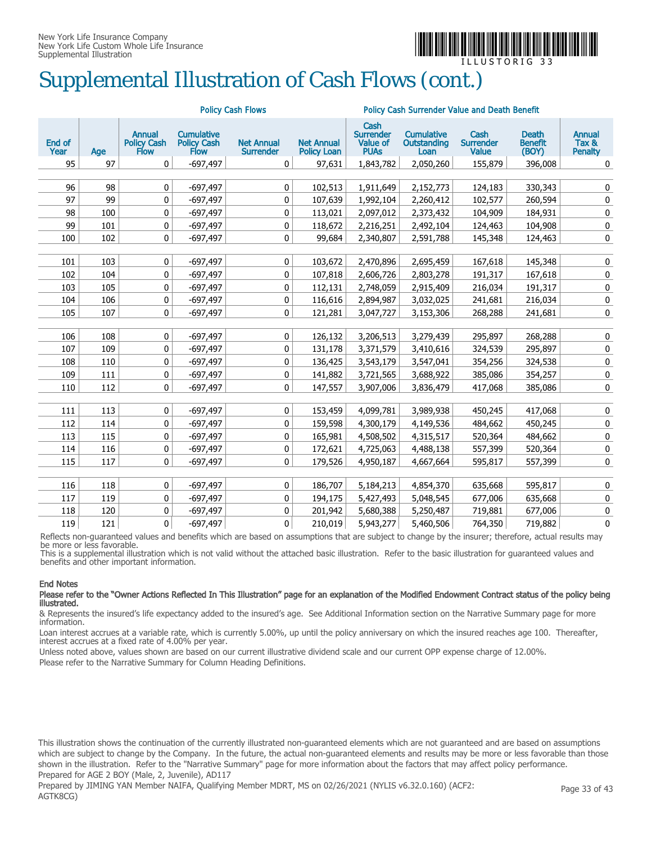

## Supplemental Illustration of Cash Flows (cont.)

|                       |     |                                                    |                                                        | <b>Policy Cash Flows</b>              |                                         | <b>Policy Cash Surrender Value and Death Benefit</b>       |                                                 |                                          |                                         |                                          |  |
|-----------------------|-----|----------------------------------------------------|--------------------------------------------------------|---------------------------------------|-----------------------------------------|------------------------------------------------------------|-------------------------------------------------|------------------------------------------|-----------------------------------------|------------------------------------------|--|
| <b>End of</b><br>Year | Age | <b>Annual</b><br><b>Policy Cash</b><br><b>Flow</b> | <b>Cumulative</b><br><b>Policy Cash</b><br><b>Flow</b> | <b>Net Annual</b><br><b>Surrender</b> | <b>Net Annual</b><br><b>Policy Loan</b> | Cash<br><b>Surrender</b><br><b>Value of</b><br><b>PUAS</b> | <b>Cumulative</b><br><b>Outstanding</b><br>Loan | Cash<br><b>Surrender</b><br><b>Value</b> | <b>Death</b><br><b>Benefit</b><br>(BOY) | <b>Annual</b><br>Tax &<br><b>Penalty</b> |  |
| 95                    | 97  | 0                                                  | $-697,497$                                             | 0                                     | 97,631                                  | 1,843,782                                                  | 2,050,260                                       | 155,879                                  | 396,008                                 | 0                                        |  |
|                       |     |                                                    |                                                        |                                       |                                         |                                                            |                                                 |                                          |                                         |                                          |  |
| 96                    | 98  | 0                                                  | $-697,497$                                             | 0                                     | 102,513                                 | 1,911,649                                                  | 2,152,773                                       | 124,183                                  | 330,343                                 | 0                                        |  |
| 97                    | 99  | 0                                                  | $-697,497$                                             | 0                                     | 107,639                                 | 1,992,104                                                  | 2,260,412                                       | 102,577                                  | 260,594                                 | 0                                        |  |
| 98                    | 100 | 0                                                  | $-697,497$                                             | $\pmb{0}$                             | 113,021                                 | 2,097,012                                                  | 2,373,432                                       | 104,909                                  | 184,931                                 | 0                                        |  |
| 99                    | 101 | 0                                                  | $-697,497$                                             | 0                                     | 118,672                                 | 2,216,251                                                  | 2,492,104                                       | 124,463                                  | 104,908                                 | 0                                        |  |
| 100                   | 102 | 0                                                  | $-697,497$                                             | 0                                     | 99,684                                  | 2,340,807                                                  | 2,591,788                                       | 145,348                                  | 124,463                                 | $\pmb{0}$                                |  |
|                       |     |                                                    |                                                        |                                       |                                         |                                                            |                                                 |                                          |                                         |                                          |  |
| 101                   | 103 | 0                                                  | $-697,497$                                             | 0                                     | 103,672                                 | 2,470,896                                                  | 2,695,459                                       | 167,618                                  | 145,348                                 | 0                                        |  |
| 102                   | 104 | 0                                                  | $-697,497$                                             | 0                                     | 107,818                                 | 2,606,726                                                  | 2,803,278                                       | 191,317                                  | 167,618                                 | 0                                        |  |
| 103                   | 105 | 0                                                  | $-697,497$                                             | 0                                     | 112,131                                 | 2,748,059                                                  | 2,915,409                                       | 216,034                                  | 191,317                                 | 0                                        |  |
| 104                   | 106 | 0                                                  | $-697,497$                                             | 0                                     | 116,616                                 | 2,894,987                                                  | 3,032,025                                       | 241,681                                  | 216,034                                 | 0                                        |  |
| 105                   | 107 | $\mathbf 0$                                        | $-697,497$                                             | 0                                     | 121,281                                 | 3,047,727                                                  | 3,153,306                                       | 268,288                                  | 241,681                                 | $\mathbf 0$                              |  |
|                       |     |                                                    |                                                        |                                       |                                         |                                                            |                                                 |                                          |                                         |                                          |  |
| 106                   | 108 | 0                                                  | $-697,497$                                             | 0                                     | 126,132                                 | 3,206,513                                                  | 3,279,439                                       | 295,897                                  | 268,288                                 | 0                                        |  |
| 107                   | 109 | 0                                                  | $-697,497$                                             | 0                                     | 131,178                                 | 3,371,579                                                  | 3,410,616                                       | 324,539                                  | 295,897                                 | 0                                        |  |
| 108                   | 110 | 0                                                  | $-697,497$                                             | 0                                     | 136,425                                 | 3,543,179                                                  | 3,547,041                                       | 354,256                                  | 324,538                                 | 0                                        |  |
| 109                   | 111 | 0                                                  | $-697,497$                                             | 0                                     | 141,882                                 | 3,721,565                                                  | 3,688,922                                       | 385,086                                  | 354,257                                 | 0                                        |  |
| 110                   | 112 | $\mathbf 0$                                        | $-697,497$                                             | 0                                     | 147,557                                 | 3,907,006                                                  | 3,836,479                                       | 417,068                                  | 385,086                                 | 0                                        |  |
|                       |     |                                                    |                                                        |                                       |                                         |                                                            |                                                 |                                          |                                         |                                          |  |
| 111                   | 113 | 0                                                  | $-697,497$                                             | 0                                     | 153,459                                 | 4,099,781                                                  | 3,989,938                                       | 450,245                                  | 417,068                                 | 0                                        |  |
| 112                   | 114 | 0                                                  | $-697,497$                                             | 0                                     | 159,598                                 | 4,300,179                                                  | 4,149,536                                       | 484,662                                  | 450,245                                 | 0                                        |  |
| 113                   | 115 | 0                                                  | $-697,497$                                             | $\pmb{0}$                             | 165,981                                 | 4,508,502                                                  | 4,315,517                                       | 520,364                                  | 484,662                                 | $\pmb{0}$                                |  |
| 114                   | 116 | 0                                                  | $-697,497$                                             | 0                                     | 172,621                                 | 4,725,063                                                  | 4,488,138                                       | 557,399                                  | 520,364                                 | 0                                        |  |
| 115                   | 117 | $\mathbf 0$                                        | $-697,497$                                             | 0                                     | 179,526                                 | 4,950,187                                                  | 4,667,664                                       | 595,817                                  | 557,399                                 | $\mathbf 0$                              |  |
|                       |     |                                                    |                                                        |                                       |                                         |                                                            |                                                 |                                          |                                         |                                          |  |
| 116                   | 118 | 0                                                  | $-697,497$                                             | 0                                     | 186,707                                 | 5,184,213                                                  | 4,854,370                                       | 635,668                                  | 595,817                                 | 0                                        |  |
| 117                   | 119 | 0                                                  | $-697,497$                                             | 0                                     | 194,175                                 | 5,427,493                                                  | 5,048,545                                       | 677,006                                  | 635,668                                 | 0                                        |  |
| 118                   | 120 | 0                                                  | $-697,497$                                             | 0                                     | 201,942                                 | 5,680,388                                                  | 5,250,487                                       | 719,881                                  | 677,006                                 | 0                                        |  |
| 119                   | 121 | 0                                                  | -697,497                                               | 0                                     | 210,019                                 | 5,943,277                                                  | 5,460,506                                       | 764,350                                  | 719,882                                 | $\mathbf 0$                              |  |

Reflects non-guaranteed values and benefits which are based on assumptions that are subject to change by the insurer; therefore, actual results may be more or less favorable.

This is a supplemental illustration which is not valid without the attached basic illustration. Refer to the basic illustration for guaranteed values and benefits and other important information.

#### End Notes

Please refer to the "Owner Actions Reflected In This Illustration" page for an explanation of the Modified Endowment Contract status of the policy being illustrated.

& Represents the insured's life expectancy added to the insured's age. See Additional Information section on the Narrative Summary page for more information.

Loan interest accrues at a variable rate, which is currently 5.00%, up until the policy anniversary on which the insured reaches age 100. Thereafter, interest accrues at a fixed rate of 4.00% per year.

Unless noted above, values shown are based on our current illustrative dividend scale and our current OPP expense charge of 12.00%. Please refer to the Narrative Summary for Column Heading Definitions.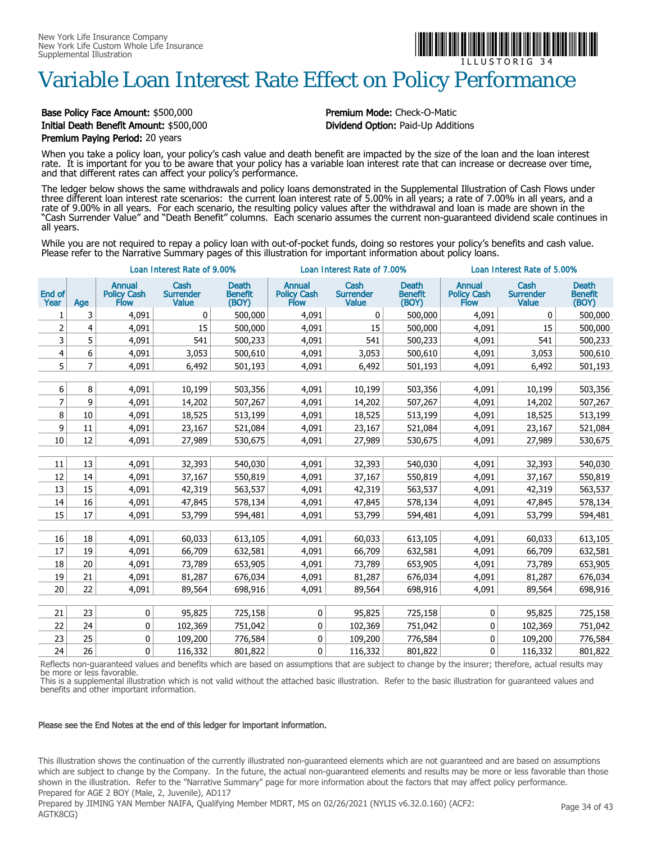## Variable Loan Interest Rate Effect on Policy Performance

#### Base Policy Face Amount: \$500,000 **Premium Mode:** Check-O-Matic Initial Death Benefit Amount: \$500,000 Dividend Option: Paid-Up Additions Premium Paying Period: 20 years

When you take a policy loan, your policy's cash value and death benefit are impacted by the size of the loan and the loan interest rate. It is important for you to be aware that your policy has a variable loan interest rate that can increase or decrease over time, and that different rates can affect your policy's performance.

The ledger below shows the same withdrawals and policy loans demonstrated in the Supplemental Illustration of Cash Flows under three different loan interest rate scenarios: the current loan interest rate of 5.00% in all years; a rate of 7.00% in all years, and a rate of 9.00% in all years. For each scenario, the resulting policy values after the withdrawal and loan is made are shown in the "Cash Surrender Value" and "Death Benefit" columns. Each scenario assumes the current non-guaranteed dividend scale continues in all years.

While you are not required to repay a policy loan with out-of-pocket funds, doing so restores your policy's benefits and cash value. Please refer to the Narrative Summary pages of this illustration for important information about policy loans.

|                |                | Loan Interest Rate of 9.00%                        |                                   |                                         |                                      | Loan Interest Rate of 7.00%              |                                         | Loan Interest Rate of 5.00%          |                                          |                                         |
|----------------|----------------|----------------------------------------------------|-----------------------------------|-----------------------------------------|--------------------------------------|------------------------------------------|-----------------------------------------|--------------------------------------|------------------------------------------|-----------------------------------------|
| End of<br>Year | Age            | <b>Annual</b><br><b>Policy Cash</b><br><b>Flow</b> | Cash<br><b>Surrender</b><br>Value | <b>Death</b><br><b>Benefit</b><br>(BOY) | <b>Annual</b><br>Policy Cash<br>Flow | Cash<br><b>Surrender</b><br><b>Value</b> | <b>Death</b><br><b>Benefit</b><br>(BOY) | <b>Annual</b><br>Policy Cash<br>Flow | Cash<br><b>Surrender</b><br><b>Value</b> | <b>Death</b><br><b>Benefit</b><br>(BOY) |
| 1              | 3              | 4,091                                              | 0                                 | 500,000                                 | 4,091                                | 0                                        | 500,000                                 | 4,091                                | 0                                        | 500,000                                 |
| $\overline{2}$ | 4              | 4,091                                              | 15                                | 500,000                                 | 4,091                                | 15                                       | 500,000                                 | 4,091                                | 15                                       | 500,000                                 |
| 3              | 5              | 4,091                                              | 541                               | 500,233                                 | 4,091                                | 541                                      | 500,233                                 | 4,091                                | 541                                      | 500,233                                 |
| 4              | 6              | 4,091                                              | 3,053                             | 500,610                                 | 4,091                                | 3,053                                    | 500,610                                 | 4,091                                | 3,053                                    | 500,610                                 |
| 5              | $\overline{7}$ | 4,091                                              | 6,492                             | 501,193                                 | 4,091                                | 6,492                                    | 501,193                                 | 4,091                                | 6,492                                    | 501,193                                 |
|                |                |                                                    |                                   |                                         |                                      |                                          |                                         |                                      |                                          |                                         |
| 6              | 8              | 4,091                                              | 10,199                            | 503,356                                 | 4,091                                | 10,199                                   | 503,356                                 | 4,091                                | 10,199                                   | 503,356                                 |
| 7              | 9              | 4,091                                              | 14,202                            | 507,267                                 | 4,091                                | 14,202                                   | 507,267                                 | 4,091                                | 14,202                                   | 507,267                                 |
| 8              | 10             | 4,091                                              | 18,525                            | 513,199                                 | 4,091                                | 18,525                                   | 513,199                                 | 4,091                                | 18,525                                   | 513,199                                 |
| 9              | 11             | 4,091                                              | 23,167                            | 521,084                                 | 4,091                                | 23,167                                   | 521,084                                 | 4,091                                | 23,167                                   | 521,084                                 |
| 10             | 12             | 4,091                                              | 27,989                            | 530,675                                 | 4,091                                | 27,989                                   | 530,675                                 | 4,091                                | 27,989                                   | 530,675                                 |
|                |                |                                                    |                                   |                                         |                                      |                                          |                                         |                                      |                                          |                                         |
| 11             | 13             | 4,091                                              | 32,393                            | 540,030                                 | 4,091                                | 32,393                                   | 540,030                                 | 4,091                                | 32,393                                   | 540,030                                 |
| 12             | 14             | 4,091                                              | 37,167                            | 550,819                                 | 4,091                                | 37,167                                   | 550,819                                 | 4,091                                | 37,167                                   | 550,819                                 |
| 13             | 15             | 4,091                                              | 42,319                            | 563,537                                 | 4,091                                | 42,319                                   | 563,537                                 | 4,091                                | 42,319                                   | 563,537                                 |
| 14             | 16             | 4,091                                              | 47,845                            | 578,134                                 | 4,091                                | 47,845                                   | 578,134                                 | 4,091                                | 47,845                                   | 578,134                                 |
| 15             | 17             | 4,091                                              | 53,799                            | 594,481                                 | 4,091                                | 53,799                                   | 594,481                                 | 4,091                                | 53,799                                   | 594,481                                 |
|                |                |                                                    |                                   |                                         |                                      |                                          |                                         |                                      |                                          |                                         |
| 16             | 18             | 4,091                                              | 60,033                            | 613,105                                 | 4,091                                | 60,033                                   | 613,105                                 | 4,091                                | 60,033                                   | 613,105                                 |
| 17             | 19             | 4,091                                              | 66,709                            | 632,581                                 | 4,091                                | 66,709                                   | 632,581                                 | 4,091                                | 66,709                                   | 632,581                                 |
| 18             | 20             | 4,091                                              | 73,789                            | 653,905                                 | 4,091                                | 73,789                                   | 653,905                                 | 4,091                                | 73,789                                   | 653,905                                 |
| 19             | 21             | 4,091                                              | 81,287                            | 676,034                                 | 4,091                                | 81,287                                   | 676,034                                 | 4,091                                | 81,287                                   | 676,034                                 |
| 20             | 22             | 4,091                                              | 89,564                            | 698,916                                 | 4,091                                | 89,564                                   | 698,916                                 | 4,091                                | 89,564                                   | 698,916                                 |
|                |                |                                                    |                                   |                                         |                                      |                                          |                                         |                                      |                                          |                                         |
| 21             | 23             | 0                                                  | 95,825                            | 725,158                                 | 0                                    | 95,825                                   | 725,158                                 | 0                                    | 95,825                                   | 725,158                                 |
| 22             | 24             | 0                                                  | 102,369                           | 751,042                                 | 0                                    | 102,369                                  | 751,042                                 | 0                                    | 102,369                                  | 751,042                                 |
| 23             | 25             | 0                                                  | 109,200                           | 776,584                                 | 0                                    | 109,200                                  | 776,584                                 | 0                                    | 109,200                                  | 776,584                                 |
| 24             | 26             | 0                                                  | 116,332                           | 801,822                                 | $\mathbf 0$                          | 116,332                                  | 801,822                                 | 0                                    | 116,332                                  | 801,822                                 |

Reflects non-guaranteed values and benefits which are based on assumptions that are subject to change by the insurer; therefore, actual results may be more or less favorable.

This is a supplemental illustration which is not valid without the attached basic illustration. Refer to the basic illustration for guaranteed values and benefits and other important information.

#### Please see the End Notes at the end of this ledger for important information.

This illustration shows the continuation of the currently illustrated non-guaranteed elements which are not guaranteed and are based on assumptions which are subject to change by the Company. In the future, the actual non-guaranteed elements and results may be more or less favorable than those shown in the illustration. Refer to the "Narrative Summary" page for more information about the factors that may affect policy performance. Prepared for AGE 2 BOY (Male, 2, Juvenile), AD117



I L L U S T O R I G 3 4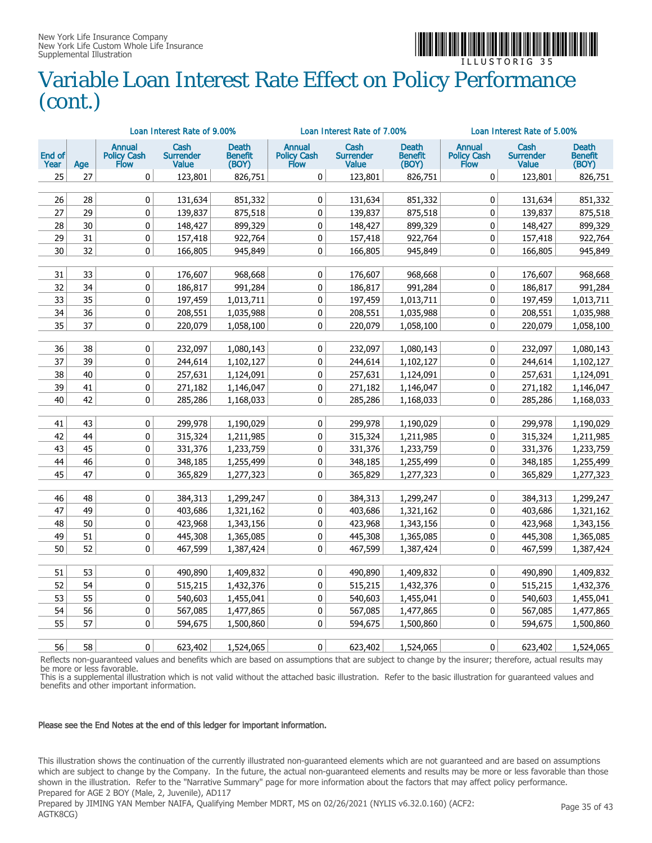

## Variable Loan Interest Rate Effect on Policy Performance (cont.)

|                |          | Loan Interest Rate of 9.00%   |                                          |                                         |                               | Loan Interest Rate of 7.00%              |                                  | Loan Interest Rate of 5.00%   |                                          |                                  |  |
|----------------|----------|-------------------------------|------------------------------------------|-----------------------------------------|-------------------------------|------------------------------------------|----------------------------------|-------------------------------|------------------------------------------|----------------------------------|--|
| End of<br>Year | Age      | Annual<br>Policy Cash<br>Flow | Cash<br><b>Surrender</b><br><b>Value</b> | <b>Death</b><br><b>Benefit</b><br>(BOY) | Annual<br>Policy Cash<br>Flow | Cash<br><b>Surrender</b><br><b>Value</b> | Death<br><b>Benefit</b><br>(BOY) | Annual<br>Policy Cash<br>Flow | Cash<br><b>Surrender</b><br><b>Value</b> | Death<br><b>Benefit</b><br>(BOY) |  |
| 25             | 27       | 0                             | 123,801                                  | 826,751                                 | 0                             | 123,801                                  | 826,751                          | 0                             | 123,801                                  | 826,751                          |  |
|                |          |                               |                                          |                                         |                               |                                          |                                  |                               |                                          |                                  |  |
| 26<br>27       | 28<br>29 | 0<br>0                        | 131,634                                  | 851,332<br>875,518                      | 0<br>0                        | 131,634                                  | 851,332<br>875,518               | 0<br>0                        | 131,634                                  | 851,332                          |  |
| 28             | 30       | 0                             | 139,837<br>148,427                       | 899,329                                 | 0                             | 139,837<br>148,427                       | 899,329                          | $\mathbf 0$                   | 139,837<br>148,427                       | 875,518<br>899,329               |  |
| 29             | 31       | 0                             | 157,418                                  | 922,764                                 | 0                             | 157,418                                  | 922,764                          | 0                             | 157,418                                  | 922,764                          |  |
| 30             | 32       | 0                             | 166,805                                  | 945,849                                 | 0                             | 166,805                                  | 945,849                          | 0                             | 166,805                                  | 945,849                          |  |
|                |          |                               |                                          |                                         |                               |                                          |                                  |                               |                                          |                                  |  |
| 31             | 33       | 0                             | 176,607                                  | 968,668                                 | 0                             | 176,607                                  | 968,668                          | 0                             | 176,607                                  | 968,668                          |  |
| 32             | 34       | 0                             | 186,817                                  | 991,284                                 | 0                             | 186,817                                  | 991,284                          | 0                             | 186,817                                  | 991,284                          |  |
| 33             | 35       | 0                             | 197,459                                  | 1,013,711                               | 0                             | 197,459                                  | 1,013,711                        | 0                             | 197,459                                  | 1,013,711                        |  |
| 34             | 36       | 0                             | 208,551                                  | 1,035,988                               | $\pmb{0}$                     | 208,551                                  | 1,035,988                        | 0                             | 208,551                                  | 1,035,988                        |  |
| 35             | 37       | 0                             | 220,079                                  | 1,058,100                               | 0                             | 220,079                                  | 1,058,100                        | 0                             | 220,079                                  | 1,058,100                        |  |
|                |          |                               |                                          |                                         |                               |                                          |                                  |                               |                                          |                                  |  |
| 36             | 38       | 0                             | 232,097                                  | 1,080,143                               | 0                             | 232,097                                  | 1,080,143                        | 0                             | 232,097                                  | 1,080,143                        |  |
| 37             | 39       | 0                             | 244,614                                  | 1,102,127                               | 0                             | 244,614                                  | 1,102,127                        | $\mathbf 0$                   | 244,614                                  | 1,102,127                        |  |
| 38             | 40       | 0                             | 257,631                                  | 1,124,091                               | 0                             | 257,631                                  | 1,124,091                        | 0                             | 257,631                                  | 1,124,091                        |  |
| 39             | 41       | 0                             | 271,182                                  | 1,146,047                               | 0                             | 271,182                                  | 1,146,047                        | 0                             | 271,182                                  | 1,146,047                        |  |
| 40             | 42       | 0                             | 285,286                                  | 1,168,033                               | 0                             | 285,286                                  | 1,168,033                        | 0                             | 285,286                                  | 1,168,033                        |  |
| 41             | 43       | 0                             | 299,978                                  | 1,190,029                               | 0                             | 299,978                                  | 1,190,029                        | 0                             | 299,978                                  | 1,190,029                        |  |
| 42             | 44       | 0                             | 315,324                                  | 1,211,985                               | 0                             | 315,324                                  | 1,211,985                        | $\pmb{0}$                     | 315,324                                  | 1,211,985                        |  |
| 43             | 45       | 0                             | 331,376                                  | 1,233,759                               | 0                             | 331,376                                  | 1,233,759                        | 0                             | 331,376                                  | 1,233,759                        |  |
| 44             | 46       | 0                             | 348,185                                  | 1,255,499                               | 0                             | 348,185                                  | 1,255,499                        | 0                             | 348,185                                  | 1,255,499                        |  |
| 45             | 47       | 0                             | 365,829                                  | 1,277,323                               | 0                             | 365,829                                  | 1,277,323                        | 0                             | 365,829                                  | 1,277,323                        |  |
|                |          |                               |                                          |                                         |                               |                                          |                                  |                               |                                          |                                  |  |
| 46             | 48       | 0                             | 384,313                                  | 1,299,247                               | 0                             | 384,313                                  | 1,299,247                        | 0                             | 384,313                                  | 1,299,247                        |  |
| 47             | 49       | 0                             | 403,686                                  | 1,321,162                               | 0                             | 403,686                                  | 1,321,162                        | 0                             | 403,686                                  | 1,321,162                        |  |
| 48             | 50       | 0                             | 423,968                                  | 1,343,156                               | 0                             | 423,968                                  | 1,343,156                        | 0                             | 423,968                                  | 1,343,156                        |  |
| 49             | 51       | 0                             | 445,308                                  | 1,365,085                               | 0                             | 445,308                                  | 1,365,085                        | 0                             | 445,308                                  | 1,365,085                        |  |
| 50             | 52       | 0                             | 467,599                                  | 1,387,424                               | 0                             | 467,599                                  | 1,387,424                        | 0                             | 467,599                                  | 1,387,424                        |  |
|                |          |                               |                                          |                                         |                               |                                          |                                  |                               |                                          |                                  |  |
| 51             | 53       | 0                             | 490,890                                  | 1,409,832                               | 0                             | 490,890                                  | 1,409,832                        | 0                             | 490,890                                  | 1,409,832                        |  |
| 52             | 54       | 0                             | 515,215                                  | 1,432,376                               | 0                             | 515,215                                  | 1,432,376                        | 0                             | 515,215                                  | 1,432,376                        |  |
| 53             | 55       | 0                             | 540,603                                  | 1,455,041                               | 0                             | 540,603                                  | 1,455,041                        | 0                             | 540,603                                  | 1,455,041                        |  |
| 54             | 56       | 0                             | 567,085                                  | 1,477,865                               | 0                             | 567,085                                  | 1,477,865                        | 0                             | 567,085                                  | 1,477,865                        |  |
| 55             | 57       | 0                             | 594,675                                  | 1,500,860                               | 0                             | 594,675                                  | 1,500,860                        | 0                             | 594,675                                  | 1,500,860                        |  |
| 56             | 58       | $\mathbf{0}$                  | 623,402                                  | 1,524,065                               | 0                             | 623,402                                  | 1,524,065                        | $\mathbf{0}$                  | 623,402                                  | 1,524,065                        |  |

Reflects non-guaranteed values and benefits which are based on assumptions that are subject to change by the insurer; therefore, actual results may be more or less favorable.

This is a supplemental illustration which is not valid without the attached basic illustration. Refer to the basic illustration for guaranteed values and benefits and other important information.

#### Please see the End Notes at the end of this ledger for important information.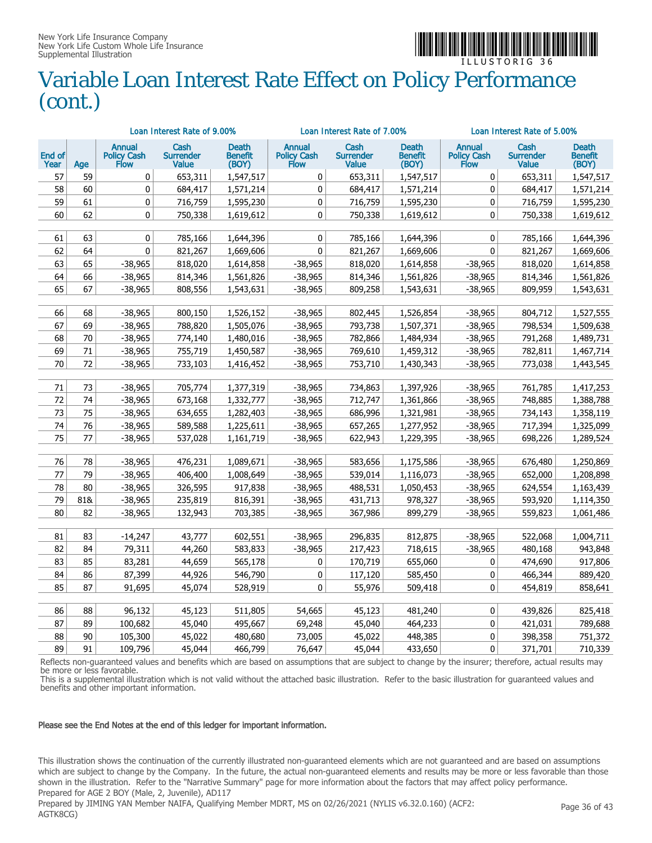

## Variable Loan Interest Rate Effect on Policy Performance (cont.)

|                |     | Loan Interest Rate of 9.00%          |                                          |                                  |                                      | Loan Interest Rate of 7.00%              |                                  | Loan Interest Rate of 5.00%   |                                          |                                         |  |
|----------------|-----|--------------------------------------|------------------------------------------|----------------------------------|--------------------------------------|------------------------------------------|----------------------------------|-------------------------------|------------------------------------------|-----------------------------------------|--|
| End of<br>Year | Age | <b>Annual</b><br>Policy Cash<br>Flow | Cash<br><b>Surrender</b><br><b>Value</b> | Death<br><b>Benefit</b><br>(BOY) | <b>Annual</b><br>Policy Cash<br>Flow | Cash<br><b>Surrender</b><br><b>Value</b> | Death<br><b>Benefit</b><br>(BOY) | Annual<br>Policy Cash<br>Flow | Cash<br><b>Surrender</b><br><b>Value</b> | <b>Death</b><br><b>Benefit</b><br>(BOY) |  |
| 57             | 59  | $\mathbf 0$                          | 653,311                                  | 1,547,517                        | 0                                    | 653,311                                  | 1,547,517                        | $\mathbf 0$                   | 653,311                                  | 1,547,517                               |  |
| 58             | 60  | $\bf{0}$                             | 684,417                                  | 1,571,214                        | 0                                    | 684,417                                  | 1,571,214                        | 0                             | 684,417                                  | 1,571,214                               |  |
| 59             | 61  | $\mathbf{0}$                         | 716,759                                  | 1,595,230                        | $\mathbf 0$                          | 716,759                                  | 1,595,230                        | $\mathbf 0$                   | 716,759                                  | 1,595,230                               |  |
| 60             | 62  | 0                                    | 750,338                                  | 1,619,612                        | 0                                    | 750,338                                  | 1,619,612                        | 0                             | 750,338                                  | 1,619,612                               |  |
|                |     |                                      |                                          |                                  |                                      |                                          |                                  |                               |                                          |                                         |  |
| 61             | 63  | 0                                    | 785,166                                  | 1,644,396                        | 0                                    | 785,166                                  | 1,644,396                        | 0                             | 785,166                                  | 1,644,396                               |  |
| 62             | 64  | 0                                    | 821,267                                  | 1,669,606                        | 0                                    | 821,267                                  | 1,669,606                        | 0                             | 821,267                                  | 1,669,606                               |  |
| 63             | 65  | $-38,965$                            | 818,020                                  | 1,614,858                        | $-38,965$                            | 818,020                                  | 1,614,858                        | $-38,965$                     | 818,020                                  | 1,614,858                               |  |
| 64             | 66  | $-38,965$                            | 814,346                                  | 1,561,826                        | $-38,965$                            | 814,346                                  | 1,561,826                        | $-38,965$                     | 814,346                                  | 1,561,826                               |  |
| 65             | 67  | $-38,965$                            | 808,556                                  | 1,543,631                        | $-38,965$                            | 809,258                                  | 1,543,631                        | $-38,965$                     | 809,959                                  | 1,543,631                               |  |
|                |     |                                      |                                          |                                  |                                      |                                          |                                  |                               |                                          |                                         |  |
| 66             | 68  | $-38,965$                            | 800,150                                  | 1,526,152                        | $-38,965$                            | 802,445                                  | 1,526,854                        | $-38,965$                     | 804,712                                  | 1,527,555                               |  |
| 67             | 69  | $-38,965$                            | 788,820                                  | 1,505,076                        | $-38,965$                            | 793,738                                  | 1,507,371                        | $-38,965$                     | 798,534                                  | 1,509,638                               |  |
| 68             | 70  | $-38,965$                            | 774,140                                  | 1,480,016                        | $-38,965$                            | 782,866                                  | 1,484,934                        | $-38,965$                     | 791,268                                  | 1,489,731                               |  |
| 69             | 71  | $-38,965$                            | 755,719                                  | 1,450,587                        | $-38,965$                            | 769,610                                  | 1,459,312                        | $-38,965$                     | 782,811                                  | 1,467,714                               |  |
| 70             | 72  | $-38,965$                            | 733,103                                  | 1,416,452                        | $-38,965$                            | 753,710                                  | 1,430,343                        | $-38,965$                     | 773,038                                  | 1,443,545                               |  |
|                |     |                                      |                                          |                                  |                                      |                                          |                                  |                               |                                          |                                         |  |
| 71             | 73  | $-38,965$                            | 705,774                                  | 1,377,319                        | $-38,965$                            | 734,863                                  | 1,397,926                        | $-38,965$                     | 761,785                                  | 1,417,253                               |  |
| 72             | 74  | $-38,965$                            | 673,168                                  | 1,332,777                        | $-38,965$                            | 712,747                                  | 1,361,866                        | $-38,965$                     | 748,885                                  | 1,388,788                               |  |
| 73             | 75  | $-38,965$                            | 634,655                                  | 1,282,403                        | $-38,965$                            | 686,996                                  | 1,321,981                        | $-38,965$                     | 734,143                                  | 1,358,119                               |  |
| 74             | 76  | $-38,965$                            | 589,588                                  | 1,225,611                        | $-38,965$                            | 657,265                                  | 1,277,952                        | $-38,965$                     | 717,394                                  | 1,325,099                               |  |
| 75             | 77  | $-38,965$                            | 537,028                                  | 1,161,719                        | $-38,965$                            | 622,943                                  | 1,229,395                        | $-38,965$                     | 698,226                                  | 1,289,524                               |  |
|                |     |                                      |                                          |                                  |                                      |                                          |                                  |                               |                                          |                                         |  |
| 76             | 78  | $-38,965$                            | 476,231                                  | 1,089,671                        | $-38,965$                            | 583,656                                  | 1,175,586                        | $-38,965$                     | 676,480                                  | 1,250,869                               |  |
| 77             | 79  | $-38,965$                            | 406,400                                  | 1,008,649                        | $-38,965$                            | 539,014                                  | 1,116,073                        | $-38,965$                     | 652,000                                  | 1,208,898                               |  |
| 78             | 80  | $-38,965$                            | 326,595                                  | 917,838                          | $-38,965$                            | 488,531                                  | 1,050,453                        | $-38,965$                     | 624,554                                  | 1,163,439                               |  |
| 79             | 81& | $-38,965$                            | 235,819                                  | 816,391                          | $-38,965$                            | 431,713                                  | 978,327                          | $-38,965$                     | 593,920                                  | 1,114,350                               |  |
| 80             | 82  | $-38,965$                            | 132,943                                  | 703,385                          | $-38,965$                            | 367,986                                  | 899,279                          | $-38,965$                     | 559,823                                  | 1,061,486                               |  |
|                |     |                                      |                                          |                                  |                                      |                                          |                                  |                               |                                          |                                         |  |
| 81             | 83  | $-14,247$                            | 43,777                                   | 602,551                          | $-38,965$                            | 296,835                                  | 812,875                          | $-38,965$                     | 522,068                                  | 1,004,711                               |  |
| 82             | 84  | 79,311                               | 44,260                                   | 583,833                          | $-38,965$                            | 217,423                                  | 718,615                          | $-38,965$                     | 480,168                                  | 943,848                                 |  |
| 83             | 85  | 83,281                               | 44,659                                   | 565,178                          | 0                                    | 170,719                                  | 655,060                          | 0                             | 474,690                                  | 917,806                                 |  |
| 84             | 86  | 87,399                               | 44,926                                   | 546,790                          | 0                                    | 117,120                                  | 585,450                          | 0                             | 466,344                                  | 889,420                                 |  |
| 85             | 87  | 91,695                               | 45,074                                   | 528,919                          | 0                                    | 55,976                                   | 509,418                          | 0                             | 454,819                                  | 858,641                                 |  |
| 86             | 88  | 96,132                               | 45,123                                   |                                  | 54,665                               | 45,123                                   | 481,240                          | 0                             | 439,826                                  | 825,418                                 |  |
|                |     |                                      |                                          | 511,805                          |                                      |                                          |                                  | 0                             |                                          |                                         |  |
| 87             | 89  | 100,682                              | 45,040                                   | 495,667                          | 69,248                               | 45,040                                   | 464,233                          |                               | 421,031                                  | 789,688                                 |  |
| 88             | 90  | 105,300                              | 45,022                                   | 480,680                          | 73,005                               | 45,022                                   | 448,385                          | 0                             | 398,358                                  | 751,372                                 |  |
| 89             | 91  | 109,796                              | 45,044                                   | 466,799                          | 76,647                               | 45,044                                   | 433,650                          | 0                             | 371,701                                  | 710,339                                 |  |

Reflects non-guaranteed values and benefits which are based on assumptions that are subject to change by the insurer; therefore, actual results may be more or less favorable.

This is a supplemental illustration which is not valid without the attached basic illustration. Refer to the basic illustration for guaranteed values and benefits and other important information.

#### Please see the End Notes at the end of this ledger for important information.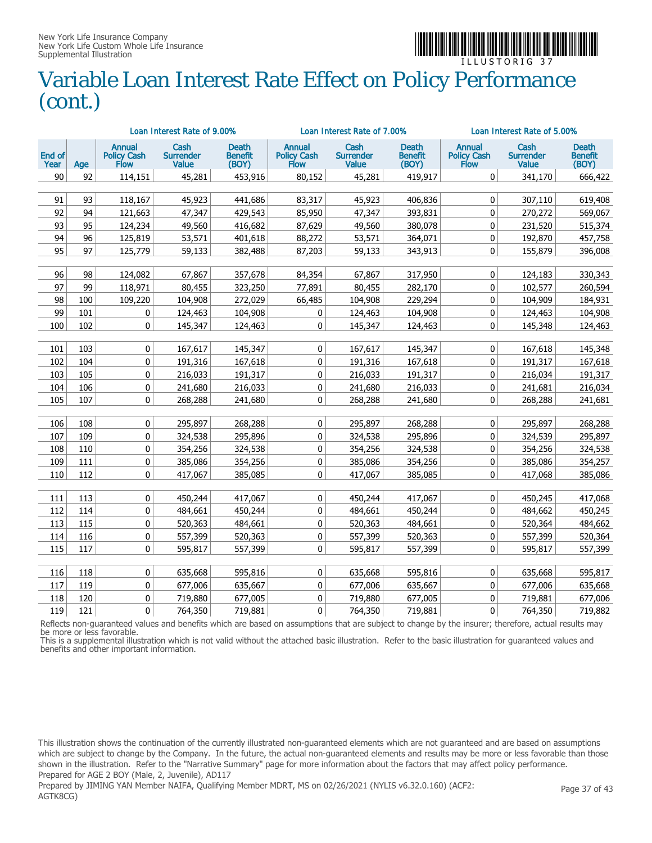

## Variable Loan Interest Rate Effect on Policy Performance (cont.)

|                |     | Loan Interest Rate of 9.00%                        |                                   |                                         |                                      | Loan Interest Rate of 7.00%       |                                         | Loan Interest Rate of 5.00%          |                                                 |                                         |
|----------------|-----|----------------------------------------------------|-----------------------------------|-----------------------------------------|--------------------------------------|-----------------------------------|-----------------------------------------|--------------------------------------|-------------------------------------------------|-----------------------------------------|
| End of<br>Year | Age | <b>Annual</b><br><b>Policy Cash</b><br><b>Flow</b> | Cash<br><b>Surrender</b><br>Value | <b>Death</b><br><b>Benefit</b><br>(BOY) | <b>Annual</b><br>Policy Cash<br>Flow | Cash<br><b>Surrender</b><br>Value | <b>Death</b><br><b>Benefit</b><br>(BOY) | <b>Annual</b><br>Policy Cash<br>Flow | <b>Cash</b><br><b>Surrender</b><br><b>Value</b> | <b>Death</b><br><b>Benefit</b><br>(BOY) |
| 90             | 92  | 114,151                                            | 45,281                            | 453,916                                 | 80,152                               | 45,281                            | 419,917                                 | 0                                    | 341,170                                         | 666,422                                 |
|                |     |                                                    |                                   |                                         |                                      |                                   |                                         |                                      |                                                 |                                         |
| 91             | 93  | 118,167                                            | 45,923                            | 441,686                                 | 83,317                               | 45,923                            | 406,836                                 | 0                                    | 307,110                                         | 619,408                                 |
| 92             | 94  | 121,663                                            | 47,347                            | 429,543                                 | 85,950                               | 47,347                            | 393,831                                 | 0                                    | 270,272                                         | 569,067                                 |
| 93             | 95  | 124,234                                            | 49,560                            | 416,682                                 | 87,629                               | 49,560                            | 380,078                                 | 0                                    | 231,520                                         | 515,374                                 |
| 94             | 96  | 125,819                                            | 53,571                            | 401,618                                 | 88,272                               | 53,571                            | 364,071                                 | 0                                    | 192,870                                         | 457,758                                 |
| 95             | 97  | 125,779                                            | 59,133                            | 382,488                                 | 87,203                               | 59,133                            | 343,913                                 | 0                                    | 155,879                                         | 396,008                                 |
| 96             | 98  | 124,082                                            | 67,867                            | 357,678                                 | 84,354                               | 67,867                            | 317,950                                 | 0                                    | 124,183                                         | 330,343                                 |
| 97             | 99  | 118,971                                            | 80,455                            | 323,250                                 | 77,891                               | 80,455                            | 282,170                                 | 0                                    | 102,577                                         | 260,594                                 |
| 98             | 100 | 109,220                                            | 104,908                           | 272,029                                 | 66,485                               | 104,908                           | 229,294                                 | 0                                    | 104,909                                         | 184,931                                 |
| 99             | 101 | 0                                                  | 124,463                           | 104,908                                 | 0                                    | 124,463                           | 104,908                                 | $\pmb{0}$                            | 124,463                                         | 104,908                                 |
| 100            | 102 | 0                                                  | 145,347                           | 124,463                                 | 0                                    | 145,347                           | 124,463                                 | 0                                    | 145,348                                         | 124,463                                 |
|                |     |                                                    |                                   |                                         |                                      |                                   |                                         |                                      |                                                 |                                         |
| 101            | 103 | 0                                                  | 167,617                           | 145,347                                 | 0                                    | 167,617                           | 145,347                                 | 0                                    | 167,618                                         | 145,348                                 |
| 102            | 104 | 0                                                  | 191,316                           | 167,618                                 | 0                                    | 191,316                           | 167,618                                 | 0                                    | 191,317                                         | 167,618                                 |
| 103            | 105 | 0                                                  | 216,033                           | 191,317                                 | 0                                    | 216,033                           | 191,317                                 | 0                                    | 216,034                                         | 191,317                                 |
| 104            | 106 | 0                                                  | 241,680                           | 216,033                                 | 0                                    | 241,680                           | 216,033                                 | 0                                    | 241,681                                         | 216,034                                 |
| 105            | 107 | 0                                                  | 268,288                           | 241,680                                 | 0                                    | 268,288                           | 241,680                                 | 0                                    | 268,288                                         | 241,681                                 |
|                |     |                                                    |                                   |                                         |                                      |                                   |                                         |                                      |                                                 |                                         |
| 106            | 108 | 0                                                  | 295,897                           | 268,288                                 | 0                                    | 295,897                           | 268,288                                 | 0                                    | 295,897                                         | 268,288                                 |
| 107            | 109 | 0                                                  | 324,538                           | 295,896                                 | 0                                    | 324,538                           | 295,896                                 | 0                                    | 324,539                                         | 295,897                                 |
| 108            | 110 | 0                                                  | 354,256                           | 324,538                                 | 0                                    | 354,256                           | 324,538                                 | 0                                    | 354,256                                         | 324,538                                 |
| 109            | 111 | 0                                                  | 385,086                           | 354,256                                 | 0                                    | 385,086                           | 354,256                                 | 0                                    | 385,086                                         | 354,257                                 |
| 110            | 112 | 0                                                  | 417,067                           | 385,085                                 | 0                                    | 417,067                           | 385,085                                 | 0                                    | 417,068                                         | 385,086                                 |
|                |     |                                                    |                                   |                                         |                                      |                                   |                                         |                                      |                                                 |                                         |
| 111            | 113 | 0                                                  | 450,244                           | 417,067                                 | 0                                    | 450,244                           | 417,067                                 | 0                                    | 450,245                                         | 417,068                                 |
| 112            | 114 | 0                                                  | 484,661                           | 450,244                                 | 0                                    | 484,661                           | 450,244                                 | 0                                    | 484,662                                         | 450,245                                 |
| 113            | 115 | 0                                                  | 520,363                           | 484,661                                 | 0                                    | 520,363                           | 484,661                                 | 0                                    | 520,364                                         | 484,662                                 |
| 114            | 116 | 0                                                  | 557,399                           | 520,363                                 | 0                                    | 557,399                           | 520,363                                 | 0                                    | 557,399                                         | 520,364                                 |
| 115            | 117 | 0                                                  | 595,817                           | 557,399                                 | 0                                    | 595,817                           | 557,399                                 | 0                                    | 595,817                                         | 557,399                                 |
| 116            | 118 | 0                                                  | 635,668                           | 595,816                                 | 0                                    | 635,668                           | 595,816                                 | 0                                    | 635,668                                         | 595,817                                 |
| 117            | 119 | 0                                                  | 677,006                           | 635,667                                 | 0                                    | 677,006                           | 635,667                                 | 0                                    | 677,006                                         | 635,668                                 |
| 118            | 120 | 0                                                  | 719,880                           | 677,005                                 | 0                                    | 719,880                           | 677,005                                 | 0                                    | 719,881                                         | 677,006                                 |
| 119            | 121 | 0                                                  | 764,350                           | 719,881                                 | $\mathbf{0}$                         | 764,350                           | 719,881                                 | $\mathbf{0}$                         | 764,350                                         | 719,882                                 |

Reflects non-guaranteed values and benefits which are based on assumptions that are subject to change by the insurer; therefore, actual results may be more or less favorable.

This is a supplemental illustration which is not valid without the attached basic illustration. Refer to the basic illustration for guaranteed values and benefits and other important information.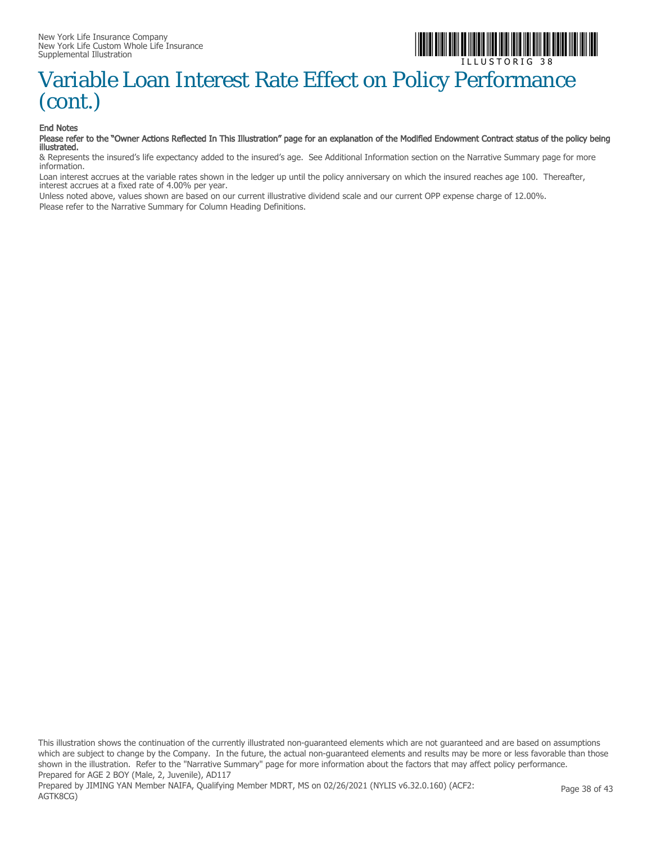

#### I L L U S T O R I G 3 8 Variable Loan Interest Rate Effect on Policy Performance (cont.)

#### End Notes

#### Please refer to the "Owner Actions Reflected In This Illustration" page for an explanation of the Modified Endowment Contract status of the policy being illustrated.

& Represents the insured's life expectancy added to the insured's age. See Additional Information section on the Narrative Summary page for more information.

Loan interest accrues at the variable rates shown in the ledger up until the policy anniversary on which the insured reaches age 100. Thereafter, interest accrues at a fixed rate of 4.00% per year.

Unless noted above, values shown are based on our current illustrative dividend scale and our current OPP expense charge of 12.00%. Please refer to the Narrative Summary for Column Heading Definitions.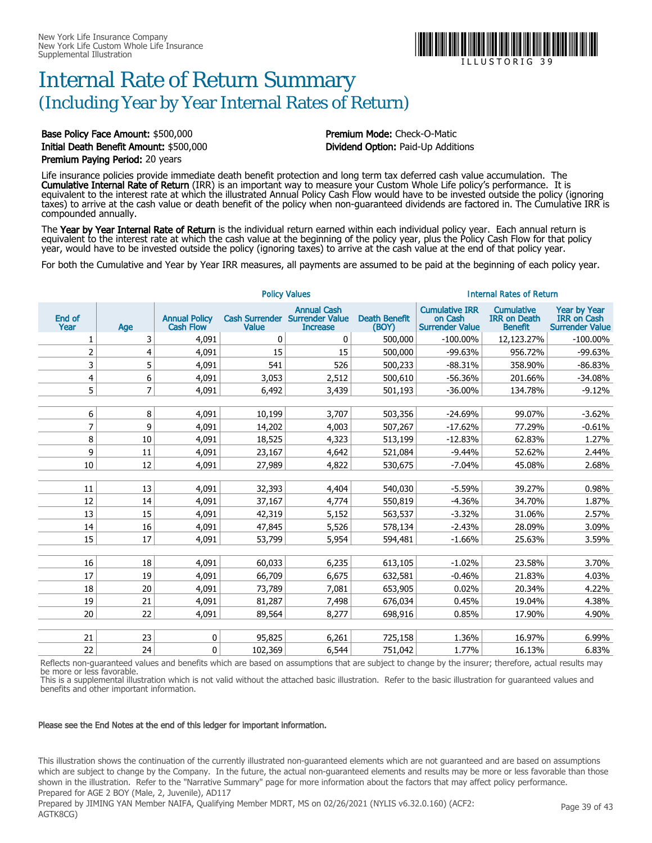

### Internal Rate of Return Summary (Including Year by Year Internal Rates of Return)

Base Policy Face Amount: \$500,000 **Premium Mode: Check-O-Matic** Initial Death Benefit Amount: \$500,000 Dividend Option: Paid-Up Additions Premium Paying Period: 20 years

Life insurance policies provide immediate death benefit protection and long term tax deferred cash value accumulation. The **Cumulative Internal Rate of Return** (IRR) is an important way to measure your Custom Whole Life policy's performance. It is equivalent to the interest rate at which the illustrated Annual Policy Cash Flow would have to be invested outside the policy (ignoring taxes) to arrive at the cash value or death benefit of the policy when non-guaranteed dividends are factored in. The Cumulative IRR is compounded annually.

The Year by Year Internal Rate of Return is the individual return earned within each individual policy year. Each annual return is equivalent to the interest rate at which the cash value at the beginning of the policy year, plus the Policy Cash Flow for that policy year, would have to be invested outside the policy (ignoring taxes) to arrive at the cash value at the end of that policy year.

For both the Cumulative and Year by Year IRR measures, all payments are assumed to be paid at the beginning of each policy year.

|                |                |                                          |                                | <b>Policy Values</b>                                            | <b>Internal Rates of Return</b> |                                                            |                                                            |                                                                     |
|----------------|----------------|------------------------------------------|--------------------------------|-----------------------------------------------------------------|---------------------------------|------------------------------------------------------------|------------------------------------------------------------|---------------------------------------------------------------------|
| End of<br>Year | Age            | <b>Annual Policy</b><br><b>Cash Flow</b> | <b>Cash Surrender</b><br>Value | <b>Annual Cash</b><br><b>Surrender Value</b><br><b>Increase</b> | <b>Death Benefit</b><br>(BOY)   | <b>Cumulative IRR</b><br>on Cash<br><b>Surrender Value</b> | <b>Cumulative</b><br><b>IRR on Death</b><br><b>Benefit</b> | <b>Year by Year</b><br><b>IRR on Cash</b><br><b>Surrender Value</b> |
| 1              | 3              | 4,091                                    | 0                              | $\mathbf 0$                                                     | 500,000                         | $-100.00\%$                                                | 12,123.27%                                                 | $-100.00\%$                                                         |
| 2              | 4              | 4,091                                    | 15                             | 15                                                              | 500,000                         | $-99.63%$                                                  | 956.72%                                                    | -99.63%                                                             |
| 3              | 5              | 4,091                                    | 541                            | 526                                                             | 500,233                         | $-88.31%$                                                  | 358.90%                                                    | $-86.83%$                                                           |
| 4              | 6              | 4,091                                    | 3,053                          | 2,512                                                           | 500,610                         | $-56.36%$                                                  | 201.66%                                                    | $-34.08%$                                                           |
| 5              | $\overline{7}$ | 4,091                                    | 6,492                          | 3,439                                                           | 501,193                         | $-36.00%$                                                  | 134.78%                                                    | $-9.12%$                                                            |
|                |                |                                          |                                |                                                                 |                                 |                                                            |                                                            |                                                                     |
| 6              | 8              | 4,091                                    | 10,199                         | 3,707                                                           | 503,356                         | $-24.69%$                                                  | 99.07%                                                     | $-3.62%$                                                            |
| 7              | 9              | 4,091                                    | 14,202                         | 4,003                                                           | 507,267                         | $-17.62%$                                                  | 77.29%                                                     | $-0.61%$                                                            |
| 8              | 10             | 4,091                                    | 18,525                         | 4,323                                                           | 513,199                         | $-12.83%$                                                  | 62.83%                                                     | 1.27%                                                               |
| 9              | 11             | 4,091                                    | 23,167                         | 4,642                                                           | 521,084                         | $-9.44%$                                                   | 52.62%                                                     | 2.44%                                                               |
| 10             | 12             | 4,091                                    | 27,989                         | 4,822                                                           | 530,675                         | $-7.04%$                                                   | 45.08%                                                     | 2.68%                                                               |
|                |                |                                          |                                |                                                                 |                                 |                                                            |                                                            |                                                                     |
| 11             | 13             | 4,091                                    | 32,393                         | 4,404                                                           | 540,030                         | $-5.59%$                                                   | 39.27%                                                     | 0.98%                                                               |
| 12             | 14             | 4,091                                    | 37,167                         | 4,774                                                           | 550,819                         | $-4.36%$                                                   | 34.70%                                                     | 1.87%                                                               |
| 13             | 15             | 4,091                                    | 42,319                         | 5,152                                                           | 563,537                         | $-3.32%$                                                   | 31.06%                                                     | 2.57%                                                               |
| 14             | 16             | 4,091                                    | 47,845                         | 5,526                                                           | 578,134                         | $-2.43%$                                                   | 28.09%                                                     | 3.09%                                                               |
| 15             | 17             | 4,091                                    | 53,799                         | 5,954                                                           | 594,481                         | $-1.66%$                                                   | 25.63%                                                     | 3.59%                                                               |
|                |                |                                          |                                |                                                                 |                                 |                                                            |                                                            |                                                                     |
| 16             | 18             | 4,091                                    | 60,033                         | 6,235                                                           | 613,105                         | $-1.02%$                                                   | 23.58%                                                     | 3.70%                                                               |
| 17             | 19             | 4.091                                    | 66,709                         | 6,675                                                           | 632,581                         | $-0.46%$                                                   | 21.83%                                                     | 4.03%                                                               |
| 18             | 20             | 4,091                                    | 73,789                         | 7,081                                                           | 653,905                         | 0.02%                                                      | 20.34%                                                     | 4.22%                                                               |
| 19             | 21             | 4,091                                    | 81,287                         | 7,498                                                           | 676,034                         | 0.45%                                                      | 19.04%                                                     | 4.38%                                                               |
| 20             | 22             | 4,091                                    | 89,564                         | 8,277                                                           | 698,916                         | 0.85%                                                      | 17.90%                                                     | 4.90%                                                               |
|                |                |                                          |                                |                                                                 |                                 |                                                            |                                                            |                                                                     |
| 21             | 23             | 0                                        | 95,825                         | 6,261                                                           | 725,158                         | 1.36%                                                      | 16.97%                                                     | 6.99%                                                               |
| 22             | 24             | 0                                        | 102,369                        | 6,544                                                           | 751,042                         | 1.77%                                                      | 16.13%                                                     | 6.83%                                                               |

Reflects non-guaranteed values and benefits which are based on assumptions that are subject to change by the insurer; therefore, actual results may be more or less favorable.

This is a supplemental illustration which is not valid without the attached basic illustration. Refer to the basic illustration for guaranteed values and benefits and other important information.

#### Please see the End Notes at the end of this ledger for important information.

This illustration shows the continuation of the currently illustrated non-guaranteed elements which are not guaranteed and are based on assumptions which are subject to change by the Company. In the future, the actual non-guaranteed elements and results may be more or less favorable than those shown in the illustration. Refer to the "Narrative Summary" page for more information about the factors that may affect policy performance. Prepared for AGE 2 BOY (Male, 2, Juvenile), AD117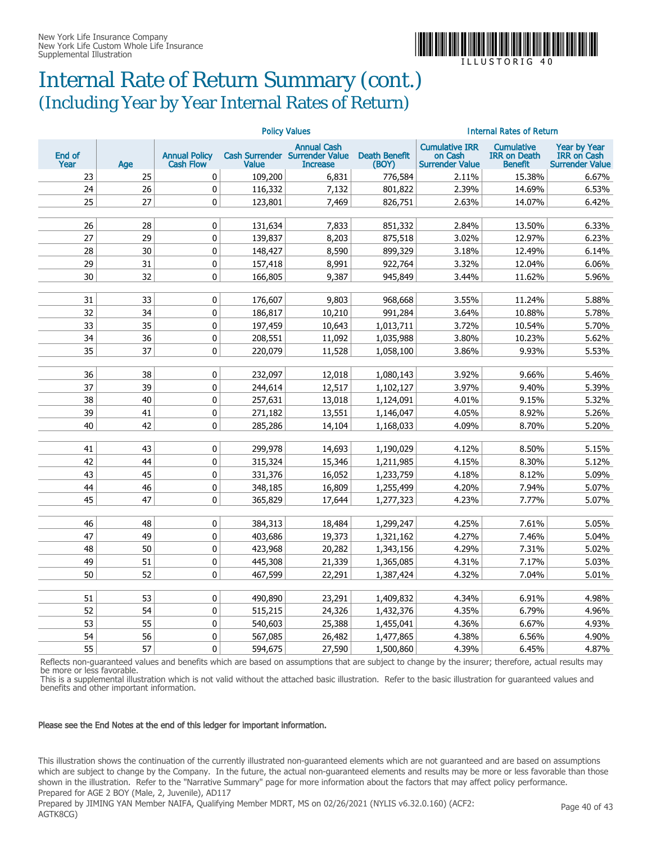

### Internal Rate of Return Summary (cont.) (Including Year by Year Internal Rates of Return)

|                |     | <b>Policy Values</b>                     |              |                                                                         | <b>Internal Rates of Return</b> |                                                            |                                                            |                                                                     |
|----------------|-----|------------------------------------------|--------------|-------------------------------------------------------------------------|---------------------------------|------------------------------------------------------------|------------------------------------------------------------|---------------------------------------------------------------------|
| End of<br>Year | Age | <b>Annual Policy</b><br><b>Cash Flow</b> | <b>Value</b> | <b>Annual Cash</b><br>Cash Surrender Surrender Value<br><b>Increase</b> | <b>Death Benefit</b><br>(BOY)   | <b>Cumulative IRR</b><br>on Cash<br><b>Surrender Value</b> | <b>Cumulative</b><br><b>IRR on Death</b><br><b>Benefit</b> | <b>Year by Year</b><br><b>IRR</b> on Cash<br><b>Surrender Value</b> |
| 23             | 25  | 0                                        | 109,200      | 6,831                                                                   | 776.584                         | 2.11%                                                      | 15.38%                                                     | 6.67%                                                               |
| 24             | 26  | 0                                        | 116,332      | 7,132                                                                   | 801,822                         | 2.39%                                                      | 14.69%                                                     | 6.53%                                                               |
| 25             | 27  | $\mathbf{0}$                             | 123,801      | 7,469                                                                   | 826,751                         | 2.63%                                                      | 14.07%                                                     | 6.42%                                                               |
|                |     |                                          |              |                                                                         |                                 |                                                            |                                                            |                                                                     |
| 26             | 28  | 0                                        | 131,634      | 7,833                                                                   | 851,332                         | 2.84%                                                      | 13.50%                                                     | 6.33%                                                               |
| 27             | 29  | $\pmb{0}$                                | 139,837      | 8,203                                                                   | 875,518                         | 3.02%                                                      | 12.97%                                                     | 6.23%                                                               |
| 28             | 30  | 0                                        | 148,427      | 8,590                                                                   | 899,329                         | 3.18%                                                      | 12.49%                                                     | 6.14%                                                               |
| 29             | 31  | 0                                        | 157,418      | 8,991                                                                   | 922,764                         | 3.32%                                                      | 12.04%                                                     | 6.06%                                                               |
| 30             | 32  | 0                                        | 166.805      | 9,387                                                                   | 945.849                         | 3.44%                                                      | 11.62%                                                     | 5.96%                                                               |
|                |     |                                          |              |                                                                         |                                 |                                                            |                                                            |                                                                     |
| 31             | 33  | 0                                        | 176,607      | 9,803                                                                   | 968,668                         | 3.55%                                                      | 11.24%                                                     | 5.88%                                                               |
| 32             | 34  | 0                                        | 186,817      | 10,210                                                                  | 991,284                         | 3.64%                                                      | 10.88%                                                     | 5.78%                                                               |
| 33             | 35  | 0                                        | 197,459      | 10,643                                                                  | 1,013,711                       | 3.72%                                                      | 10.54%                                                     | 5.70%                                                               |
| 34             | 36  | $\pmb{0}$                                | 208,551      | 11,092                                                                  | 1,035,988                       | 3.80%                                                      | 10.23%                                                     | 5.62%                                                               |
| 35             | 37  | 0                                        | 220,079      | 11,528                                                                  | 1,058,100                       | 3.86%                                                      | 9.93%                                                      | 5.53%                                                               |
|                |     |                                          |              |                                                                         |                                 |                                                            |                                                            |                                                                     |
| 36             | 38  | 0                                        | 232,097      | 12,018                                                                  | 1,080,143                       | 3.92%                                                      | 9.66%                                                      | 5.46%                                                               |
| 37             | 39  | $\mathbf 0$                              | 244,614      | 12,517                                                                  | 1,102,127                       | 3.97%                                                      | 9.40%                                                      | 5.39%                                                               |
| 38             | 40  | 0                                        | 257,631      | 13,018                                                                  | 1,124,091                       | 4.01%                                                      | 9.15%                                                      | 5.32%                                                               |
| 39             | 41  | $\pmb{0}$                                | 271,182      | 13,551                                                                  | 1,146,047                       | 4.05%                                                      | 8.92%                                                      | 5.26%                                                               |
| 40             | 42  | 0                                        | 285,286      | 14,104                                                                  | 1,168,033                       | 4.09%                                                      | 8.70%                                                      | 5.20%                                                               |
|                |     |                                          |              |                                                                         |                                 |                                                            |                                                            |                                                                     |
| 41             | 43  | 0                                        | 299,978      | 14,693                                                                  | 1,190,029                       | 4.12%                                                      | 8.50%                                                      | 5.15%                                                               |
| 42             | 44  | 0                                        | 315,324      | 15,346                                                                  | 1,211,985                       | 4.15%                                                      | 8.30%                                                      | 5.12%                                                               |
| 43             | 45  | 0                                        | 331,376      | 16,052                                                                  | 1,233,759                       | 4.18%                                                      | 8.12%                                                      | 5.09%                                                               |
| 44             | 46  | 0                                        | 348,185      | 16,809                                                                  | 1,255,499                       | 4.20%                                                      | 7.94%                                                      | 5.07%                                                               |
| 45             | 47  | $\mathbf{0}$                             | 365,829      | 17,644                                                                  | 1,277,323                       | 4.23%                                                      | 7.77%                                                      | 5.07%                                                               |
| 46             | 48  | 0                                        | 384,313      | 18,484                                                                  | 1,299,247                       | 4.25%                                                      | 7.61%                                                      | 5.05%                                                               |
| 47             | 49  | $\pmb{0}$                                | 403,686      | 19,373                                                                  | 1,321,162                       | 4.27%                                                      | 7.46%                                                      | 5.04%                                                               |
| 48             | 50  | 0                                        | 423,968      | 20,282                                                                  | 1,343,156                       | 4.29%                                                      | 7.31%                                                      | 5.02%                                                               |
| 49             | 51  | 0                                        | 445,308      | 21,339                                                                  | 1,365,085                       | 4.31%                                                      | 7.17%                                                      | 5.03%                                                               |
|                |     | $\Omega$                                 |              |                                                                         |                                 |                                                            |                                                            |                                                                     |
| 50             | 52  |                                          | 467,599      | 22,291                                                                  | 1,387,424                       | 4.32%                                                      | 7.04%                                                      | 5.01%                                                               |
| 51             | 53  | 0                                        | 490,890      | 23,291                                                                  | 1,409,832                       | 4.34%                                                      | 6.91%                                                      | 4.98%                                                               |
| 52             | 54  | 0                                        | 515,215      | 24,326                                                                  | 1,432,376                       | 4.35%                                                      | 6.79%                                                      | 4.96%                                                               |
| 53             | 55  | 0                                        | 540,603      | 25,388                                                                  | 1,455,041                       | 4.36%                                                      | 6.67%                                                      | 4.93%                                                               |
| 54             | 56  | 0                                        | 567,085      | 26,482                                                                  | 1,477,865                       | 4.38%                                                      | 6.56%                                                      | 4.90%                                                               |
| 55             | 57  | $\mathbf{0}$                             | 594,675      | 27,590                                                                  | 1,500,860                       | 4.39%                                                      | 6.45%                                                      | 4.87%                                                               |

Reflects non-guaranteed values and benefits which are based on assumptions that are subject to change by the insurer; therefore, actual results may be more or less favorable.

This is a supplemental illustration which is not valid without the attached basic illustration. Refer to the basic illustration for guaranteed values and benefits and other important information.

#### Please see the End Notes at the end of this ledger for important information.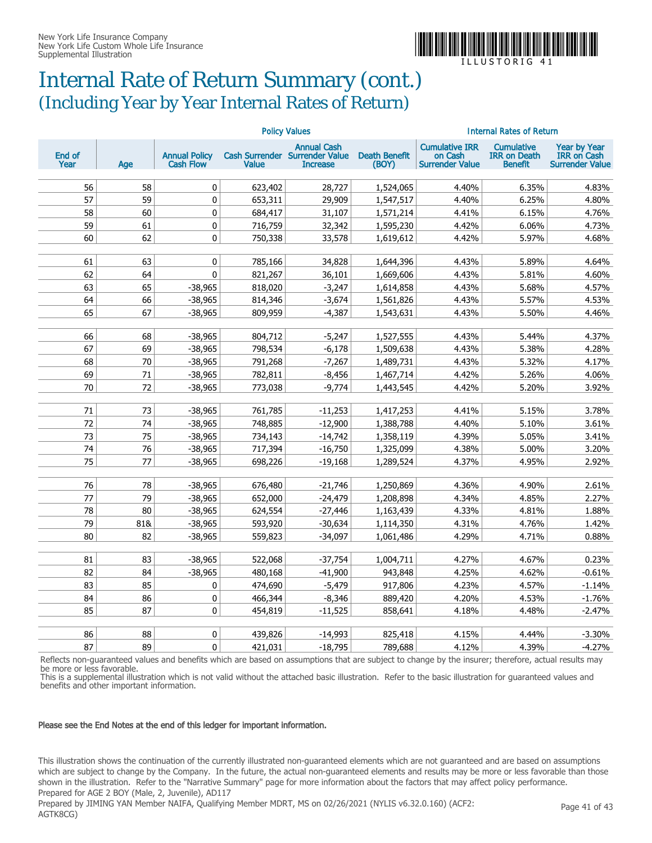

### Internal Rate of Return Summary (cont.) (Including Year by Year Internal Rates of Return)

|                |     | <b>Policy Values</b>                     |                    |                                                                         |                               | <b>Internal Rates of Return</b>                            |                                                            |                                                              |
|----------------|-----|------------------------------------------|--------------------|-------------------------------------------------------------------------|-------------------------------|------------------------------------------------------------|------------------------------------------------------------|--------------------------------------------------------------|
| End of<br>Year | Age | <b>Annual Policy</b><br><b>Cash Flow</b> | <b>Value</b>       | <b>Annual Cash</b><br>Cash Surrender Surrender Value<br><b>Increase</b> | <b>Death Benefit</b><br>(BOY) | <b>Cumulative IRR</b><br>on Cash<br><b>Surrender Value</b> | <b>Cumulative</b><br><b>IRR on Death</b><br><b>Benefit</b> | Year by Year<br><b>IRR</b> on Cash<br><b>Surrender Value</b> |
| 56             | 58  | 0                                        | 623,402            | 28,727                                                                  | 1,524,065                     | 4.40%                                                      | 6.35%                                                      | 4.83%                                                        |
| 57             | 59  | 0                                        | 653,311            | 29,909                                                                  | 1,547,517                     | 4.40%                                                      | 6.25%                                                      | 4.80%                                                        |
| 58             | 60  | 0                                        | 684,417            | 31,107                                                                  | 1,571,214                     | 4.41%                                                      | 6.15%                                                      | 4.76%                                                        |
| 59             | 61  | 0                                        | 716,759            | 32,342                                                                  | 1,595,230                     | 4.42%                                                      | 6.06%                                                      | 4.73%                                                        |
| 60             | 62  | 0                                        | 750,338            | 33,578                                                                  | 1,619,612                     | 4.42%                                                      | 5.97%                                                      | 4.68%                                                        |
|                |     |                                          |                    |                                                                         |                               |                                                            |                                                            |                                                              |
| 61             | 63  | 0                                        | 785,166            | 34,828                                                                  | 1,644,396                     | 4.43%                                                      | 5.89%                                                      | 4.64%                                                        |
| 62             | 64  | 0                                        | 821,267            | 36,101                                                                  | 1,669,606                     | 4.43%                                                      | 5.81%                                                      | 4.60%                                                        |
| 63             | 65  | $-38,965$                                | 818,020            | $-3,247$                                                                | 1,614,858                     | 4.43%                                                      | 5.68%                                                      | 4.57%                                                        |
| 64             | 66  | $-38,965$                                | 814,346            | $-3,674$                                                                | 1,561,826                     | 4.43%                                                      | 5.57%                                                      | 4.53%                                                        |
| 65             | 67  | $-38,965$                                | 809,959            | $-4,387$                                                                | 1,543,631                     | 4.43%                                                      | 5.50%                                                      | 4.46%                                                        |
| 66             | 68  | $-38,965$                                |                    |                                                                         |                               | 4.43%                                                      |                                                            |                                                              |
| 67             | 69  | $-38,965$                                | 804,712<br>798,534 | $-5,247$                                                                | 1,527,555<br>1,509,638        | 4.43%                                                      | 5.44%<br>5.38%                                             | 4.37%<br>4.28%                                               |
| 68             | 70  | $-38,965$                                | 791,268            | $-6,178$<br>$-7,267$                                                    | 1,489,731                     | 4.43%                                                      | 5.32%                                                      | 4.17%                                                        |
| 69             | 71  | $-38,965$                                | 782,811            |                                                                         | 1,467,714                     | 4.42%                                                      | 5.26%                                                      | 4.06%                                                        |
| 70             | 72  | $-38,965$                                | 773,038            | $-8,456$<br>$-9,774$                                                    | 1,443,545                     | 4.42%                                                      | 5.20%                                                      | 3.92%                                                        |
|                |     |                                          |                    |                                                                         |                               |                                                            |                                                            |                                                              |
| 71             | 73  | $-38,965$                                | 761,785            | $-11,253$                                                               | 1,417,253                     | 4.41%                                                      | 5.15%                                                      | 3.78%                                                        |
| 72             | 74  | $-38,965$                                | 748,885            | $-12,900$                                                               | 1,388,788                     | 4.40%                                                      | 5.10%                                                      | 3.61%                                                        |
| 73             | 75  | $-38,965$                                | 734,143            | $-14,742$                                                               | 1,358,119                     | 4.39%                                                      | 5.05%                                                      | 3.41%                                                        |
| 74             | 76  | $-38,965$                                | 717,394            | $-16,750$                                                               | 1,325,099                     | 4.38%                                                      | 5.00%                                                      | 3.20%                                                        |
| 75             | 77  | $-38,965$                                | 698,226            | $-19,168$                                                               | 1,289,524                     | 4.37%                                                      | 4.95%                                                      | 2.92%                                                        |
|                |     |                                          |                    |                                                                         |                               |                                                            |                                                            |                                                              |
| 76             | 78  | $-38,965$                                | 676,480            | $-21,746$                                                               | 1,250,869                     | 4.36%                                                      | 4.90%                                                      | 2.61%                                                        |
| 77             | 79  | $-38,965$                                | 652,000            | $-24,479$                                                               | 1,208,898                     | 4.34%                                                      | 4.85%                                                      | 2.27%                                                        |
| 78             | 80  | $-38,965$                                | 624,554            | $-27,446$                                                               | 1,163,439                     | 4.33%                                                      | 4.81%                                                      | 1.88%                                                        |
| 79             | 81& | $-38,965$                                | 593,920            | $-30,634$                                                               | 1,114,350                     | 4.31%                                                      | 4.76%                                                      | 1.42%                                                        |
| 80             | 82  | $-38,965$                                | 559,823            | $-34,097$                                                               | 1,061,486                     | 4.29%                                                      | 4.71%                                                      | 0.88%                                                        |
|                |     |                                          |                    |                                                                         |                               |                                                            |                                                            |                                                              |
| 81             | 83  | $-38,965$                                | 522,068            | $-37,754$                                                               | 1,004,711                     | 4.27%                                                      | 4.67%                                                      | 0.23%                                                        |
| 82             | 84  | $-38,965$                                | 480,168            | $-41,900$                                                               | 943.848                       | 4.25%                                                      | 4.62%                                                      | $-0.61%$                                                     |
| 83             | 85  | 0                                        | 474,690            | $-5,479$                                                                | 917,806                       | 4.23%                                                      | 4.57%                                                      | $-1.14%$                                                     |
| 84             | 86  | 0                                        | 466,344            | $-8,346$                                                                | 889,420                       | 4.20%                                                      | 4.53%                                                      | $-1.76%$                                                     |
| 85             | 87  | 0                                        | 454,819            | $-11,525$                                                               | 858,641                       | 4.18%                                                      | 4.48%                                                      | $-2.47%$                                                     |
| 86             | 88  | 0                                        | 439,826            | $-14,993$                                                               | 825,418                       | 4.15%                                                      | 4.44%                                                      | $-3.30%$                                                     |
| 87             | 89  | 0                                        | 421,031            | $-18,795$                                                               | 789,688                       | 4.12%                                                      | 4.39%                                                      | $-4.27%$                                                     |

Reflects non-guaranteed values and benefits which are based on assumptions that are subject to change by the insurer; therefore, actual results may be more or less favorable.

This is a supplemental illustration which is not valid without the attached basic illustration. Refer to the basic illustration for guaranteed values and benefits and other important information.

#### Please see the End Notes at the end of this ledger for important information.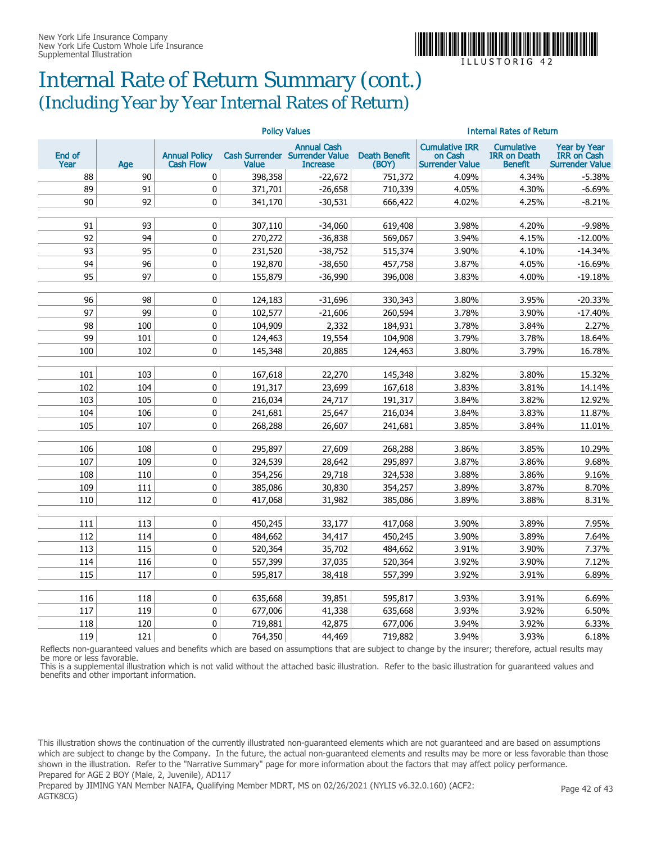

### Internal Rate of Return Summary (cont.) (Including Year by Year Internal Rates of Return)

|                |     | <b>Policy Values</b>                     |              |                                                                         | <b>Internal Rates of Return</b> |                                                            |                                                            |                                                                     |
|----------------|-----|------------------------------------------|--------------|-------------------------------------------------------------------------|---------------------------------|------------------------------------------------------------|------------------------------------------------------------|---------------------------------------------------------------------|
| End of<br>Year | Age | <b>Annual Policy</b><br><b>Cash Flow</b> | <b>Value</b> | <b>Annual Cash</b><br>Cash Surrender Surrender Value<br><b>Increase</b> | <b>Death Benefit</b><br>(BOY)   | <b>Cumulative IRR</b><br>on Cash<br><b>Surrender Value</b> | <b>Cumulative</b><br><b>IRR on Death</b><br><b>Benefit</b> | <b>Year by Year</b><br><b>IRR</b> on Cash<br><b>Surrender Value</b> |
| 88             | 90  | 0                                        | 398,358      | $-22,672$                                                               | 751,372                         | 4.09%                                                      | 4.34%                                                      | $-5.38%$                                                            |
| 89             | 91  | 0                                        | 371,701      | $-26,658$                                                               | 710,339                         | 4.05%                                                      | 4.30%                                                      | $-6.69%$                                                            |
| 90             | 92  | 0                                        | 341,170      | $-30,531$                                                               | 666,422                         | 4.02%                                                      | 4.25%                                                      | $-8.21%$                                                            |
|                |     |                                          |              |                                                                         |                                 |                                                            |                                                            |                                                                     |
| 91             | 93  | 0                                        | 307,110      | $-34,060$                                                               | 619,408                         | 3.98%                                                      | 4.20%                                                      | $-9.98%$                                                            |
| 92             | 94  | 0                                        | 270,272      | $-36,838$                                                               | 569,067                         | 3.94%                                                      | 4.15%                                                      | $-12.00%$                                                           |
| 93             | 95  | 0                                        | 231,520      | $-38,752$                                                               | 515,374                         | 3.90%                                                      | 4.10%                                                      | $-14.34%$                                                           |
| 94             | 96  | 0                                        | 192,870      | $-38,650$                                                               | 457,758                         | 3.87%                                                      | 4.05%                                                      | $-16.69%$                                                           |
| 95             | 97  | 0                                        | 155,879      | $-36,990$                                                               | 396,008                         | 3.83%                                                      | 4.00%                                                      | $-19.18%$                                                           |
|                |     |                                          |              |                                                                         |                                 |                                                            |                                                            |                                                                     |
| 96             | 98  | 0                                        | 124,183      | $-31,696$                                                               | 330,343                         | 3.80%                                                      | 3.95%                                                      | $-20.33%$                                                           |
| 97             | 99  | 0                                        | 102,577      | $-21,606$                                                               | 260,594                         | 3.78%                                                      | 3.90%                                                      | $-17.40%$                                                           |
| 98             | 100 | 0                                        | 104,909      | 2,332                                                                   | 184,931                         | 3.78%                                                      | 3.84%                                                      | 2.27%                                                               |
| 99             | 101 | 0                                        | 124,463      | 19,554                                                                  | 104,908                         | 3.79%                                                      | 3.78%                                                      | 18.64%                                                              |
| 100            | 102 | 0                                        | 145,348      | 20,885                                                                  | 124,463                         | 3.80%                                                      | 3.79%                                                      | 16.78%                                                              |
|                |     |                                          |              |                                                                         |                                 |                                                            |                                                            |                                                                     |
| 101            | 103 | 0                                        | 167,618      | 22,270                                                                  | 145,348                         | 3.82%                                                      | 3.80%                                                      | 15.32%                                                              |
| 102            | 104 | 0                                        | 191,317      | 23,699                                                                  | 167,618                         | 3.83%                                                      | 3.81%                                                      | 14.14%                                                              |
| 103            | 105 | $\pmb{0}$                                | 216,034      | 24,717                                                                  | 191,317                         | 3.84%                                                      | 3.82%                                                      | 12.92%                                                              |
| 104            | 106 | 0                                        | 241,681      | 25,647                                                                  | 216,034                         | 3.84%                                                      | 3.83%                                                      | 11.87%                                                              |
| 105            | 107 | 0                                        | 268,288      | 26,607                                                                  | 241,681                         | 3.85%                                                      | 3.84%                                                      | 11.01%                                                              |
|                |     |                                          |              |                                                                         |                                 |                                                            |                                                            |                                                                     |
| 106            | 108 | 0                                        | 295,897      | 27,609                                                                  | 268,288                         | 3.86%                                                      | 3.85%                                                      | 10.29%                                                              |
| 107            | 109 | 0                                        | 324,539      | 28,642                                                                  | 295,897                         | 3.87%                                                      | 3.86%                                                      | 9.68%                                                               |
| 108            | 110 | 0                                        | 354,256      | 29,718                                                                  | 324,538                         | 3.88%                                                      | 3.86%                                                      | 9.16%                                                               |
| 109            | 111 | 0                                        | 385,086      | 30,830                                                                  | 354,257                         | 3.89%                                                      | 3.87%                                                      | 8.70%                                                               |
| 110            | 112 | 0                                        | 417,068      | 31,982                                                                  | 385,086                         | 3.89%                                                      | 3.88%                                                      | 8.31%                                                               |
|                |     |                                          |              |                                                                         |                                 |                                                            |                                                            |                                                                     |
| 111            | 113 | 0                                        | 450,245      | 33,177                                                                  | 417,068                         | 3.90%                                                      | 3.89%                                                      | 7.95%                                                               |
| 112            | 114 | 0                                        | 484,662      | 34,417                                                                  | 450,245                         | 3.90%                                                      | 3.89%                                                      | 7.64%                                                               |
| 113            | 115 | 0                                        | 520,364      | 35,702                                                                  | 484,662                         | 3.91%                                                      | 3.90%                                                      | 7.37%                                                               |
| 114            | 116 | 0                                        | 557,399      | 37,035                                                                  | 520,364                         | 3.92%                                                      | 3.90%                                                      | 7.12%                                                               |
| 115            | 117 | 0                                        | 595,817      | 38,418                                                                  | 557,399                         | 3.92%                                                      | 3.91%                                                      | 6.89%                                                               |
| 116            | 118 | 0                                        | 635,668      | 39,851                                                                  | 595,817                         | 3.93%                                                      | 3.91%                                                      | 6.69%                                                               |
| 117            | 119 | 0                                        | 677,006      | 41,338                                                                  | 635,668                         | 3.93%                                                      | 3.92%                                                      | 6.50%                                                               |
|                |     | 0                                        |              |                                                                         |                                 |                                                            |                                                            |                                                                     |
| 118            | 120 |                                          | 719,881      | 42,875                                                                  | 677,006                         | 3.94%                                                      | 3.92%                                                      | 6.33%                                                               |
| 119            | 121 | 0                                        | 764,350      | 44,469                                                                  | 719,882                         | 3.94%                                                      | 3.93%                                                      | 6.18%                                                               |

Reflects non-guaranteed values and benefits which are based on assumptions that are subject to change by the insurer; therefore, actual results may be more or less favorable.

This is a supplemental illustration which is not valid without the attached basic illustration. Refer to the basic illustration for guaranteed values and benefits and other important information.